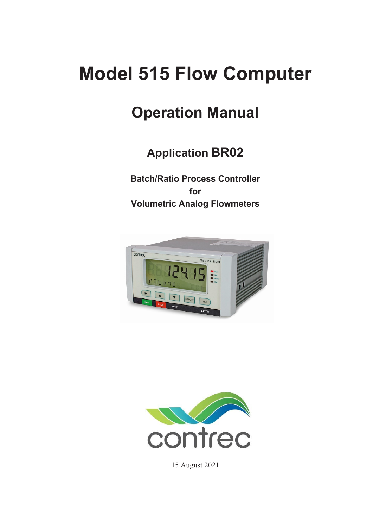# **Model 515 Flow Computer**

# **Operation Manual**

# **Application BR02**

**Batch/Ratio Process Controller for Volumetric Analog Flowmeters**





15 August 2021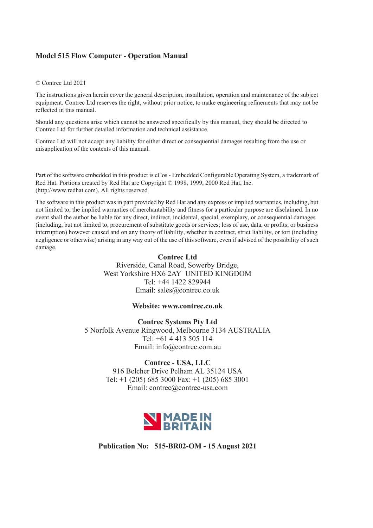#### **Model 515 Flow Computer - Operation Manual**

#### © Contrec Ltd 2021

The instructions given herein cover the general description, installation, operation and maintenance of the subject equipment. Contrec Ltd reserves the right, without prior notice, to make engineering refinements that may not be reflected in this manual.

Should any questions arise which cannot be answered specifically by this manual, they should be directed to Contrec Ltd for further detailed information and technical assistance.

Contrec Ltd will not accept any liability for either direct or consequential damages resulting from the use or misapplication of the contents of this manual.

Part of the software embedded in this product is eCos - Embedded Configurable Operating System, a trademark of Red Hat. Portions created by Red Hat are Copyright © 1998, 1999, 2000 Red Hat, Inc. (http://www.redhat.com). All rights reserved

The software in this product was in part provided by Red Hat and any express or implied warranties, including, but not limited to, the implied warranties of merchantability and fitness for a particular purpose are disclaimed. In no event shall the author be liable for any direct, indirect, incidental, special, exemplary, or consequential damages (including, but not limited to, procurement of substitute goods or services; loss of use, data, or profits; or business interruption) however caused and on any theory of liability, whether in contract, strict liability, or tort (including negligence or otherwise) arising in any way out of the use of this software, even if advised of the possibility of such damage.

#### **Contrec Ltd**

Riverside, Canal Road, Sowerby Bridge, West Yorkshire HX6 2AY UNITED KINGDOM Tel: +44 1422 829944 Email: sales@contrec.co.uk

#### **Website: www.contrec.co.uk**

**Contrec Systems Pty Ltd** 5 Norfolk Avenue Ringwood, Melbourne 3134 AUSTRALIA Tel: +61 4 413 505 114 Email: info@contrec.com.au

**Contrec - USA, LLC**

916 Belcher Drive Pelham AL 35124 USA Tel: +1 (205) 685 3000 Fax: +1 (205) 685 3001 Email: contrec@contrec-usa.com



**Publication No: 515-BR02-OM - 15 August 2021**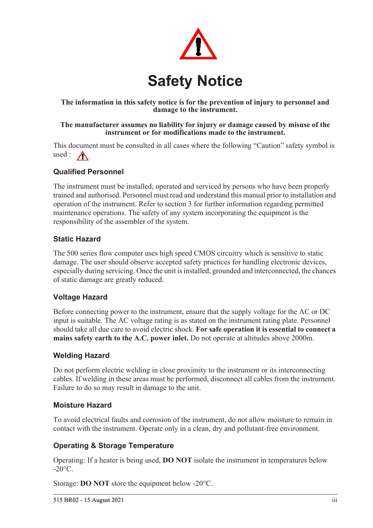

#### **The information in this safety notice is for the prevention of injury to personnel and damage to the instrument.**

#### **The manufacturer assumes no liability for injury or damage caused by misuse of the instrument or for modifications made to the instrument.**

This document must be consulted in all cases where the following "Caution" safety symbol is used :  $\bigwedge$ 

#### **Qualified Personnel**

The instrument must be installed, operated and serviced by persons who have been properly trained and authorised. Personnel must read and understand this manual prior to installation and operation of the instrument. Refer to section 3 for further information regarding permitted maintenance operations. The safety of any system incorporating the equipment is the responsibility of the assembler of the system.

#### **Static Hazard**

The 500 series flow computer uses high speed CMOS circuitry which is sensitive to static damage. The user should observe accepted safety practices for handling electronic devices, especially during servicing. Once the unit is installed, grounded and interconnected, the chances of static damage are greatly reduced.

#### **Voltage Hazard**

Before connecting power to the instrument, ensure that the supply voltage for the AC or DC input is suitable. The AC voltage rating is as stated on the instrument rating plate. Personnel should take all due care to avoid electric shock. **For safe operation it is essential to connect a mains safety earth to the A.C. power inlet.** Do not operate at altitudes above 2000m.

#### **Welding Hazard**

Do not perform electric welding in close proximity to the instrument or its interconnecting cables. If welding in these areas must be performed, disconnect all cables from the instrument. Failure to do so may result in damage to the unit.

#### **Moisture Hazard**

To avoid electrical faults and corrosion of the instrument, do not allow moisture to remain in contact with the instrument. Operate only in a clean, dry and pollutant-free environment.

#### **Operating & Storage Temperature**

Operating: If a heater is being used, **DO NOT** isolate the instrument in temperatures below  $-20^{\circ}$ C.

Storage: **DO NOT** store the equipment below -20°C.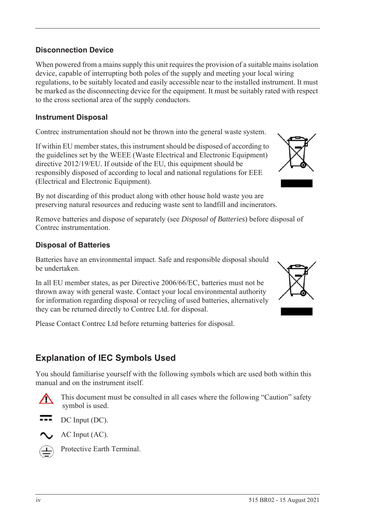#### **Disconnection Device**

When powered from a mains supply this unit requires the provision of a suitable mains isolation device, capable of interrupting both poles of the supply and meeting your local wiring regulations, to be suitably located and easily accessible near to the installed instrument. It must be marked as the disconnecting device for the equipment. It must be suitably rated with respect to the cross sectional area of the supply conductors.

#### **Instrument Disposal**

Contrec instrumentation should not be thrown into the general waste system.

If within EU member states, this instrument should be disposed of according to the guidelines set by the WEEE (Waste Electrical and Electronic Equipment) directive 2012/19/EU. If outside of the EU, this equipment should be responsibly disposed of according to local and national regulations for EEE (Electrical and Electronic Equipment).

By not discarding of this product along with other house hold waste you are preserving natural resources and reducing waste sent to landfill and incinerators.

Remove batteries and dispose of separately (see *Disposal of Batteries*) before disposal of Contrec instrumentation.

#### **Disposal of Batteries**

Batteries have an environmental impact. Safe and responsible disposal should be undertaken.

In all EU member states, as per Directive 2006/66/EC, batteries must not be thrown away with general waste. Contact your local environmental authority for information regarding disposal or recycling of used batteries, alternatively they can be returned directly to Contrec Ltd. for disposal.

Please Contact Contrec Ltd before returning batteries for disposal.

## **Explanation of IEC Symbols Used**

You should familiarise yourself with the following symbols which are used both within this manual and on the instrument itself.

 This document must be consulted in all cases where the following "Caution" safety symbol is used.

| -- |  | DC Input (DC). |  |
|----|--|----------------|--|
|----|--|----------------|--|





Protective Earth Terminal.



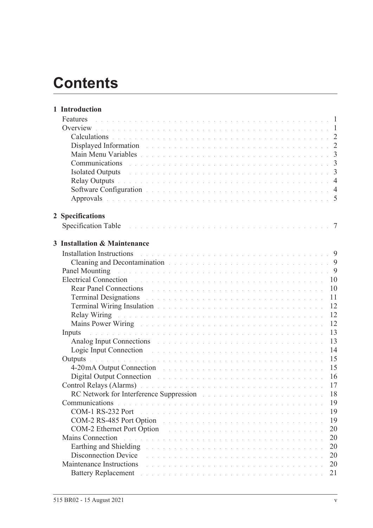# **Contents**

| 1 Introduction                                                                                                                                                                                                                            |  |
|-------------------------------------------------------------------------------------------------------------------------------------------------------------------------------------------------------------------------------------------|--|
| Features                                                                                                                                                                                                                                  |  |
|                                                                                                                                                                                                                                           |  |
|                                                                                                                                                                                                                                           |  |
| Displayed Information and the community of the community of the community of the community of the community of                                                                                                                            |  |
|                                                                                                                                                                                                                                           |  |
| Communications research and contract the contract of the contract of the contract of the 3                                                                                                                                                |  |
| Isolated Outputs and a contract the contract of the contract of the contract of the contract of 3                                                                                                                                         |  |
| Relay Outputs And All and All and All and All and All and All and All and All and All and All and All and All                                                                                                                             |  |
|                                                                                                                                                                                                                                           |  |
| Approvals received a conservation of the conservation of the conservation of 5                                                                                                                                                            |  |
| 2 Specifications                                                                                                                                                                                                                          |  |
|                                                                                                                                                                                                                                           |  |
| 3 Installation & Maintenance                                                                                                                                                                                                              |  |
| <b>Installation Instructions</b>                                                                                                                                                                                                          |  |
| Cleaning and Decontamination and the contract of the contract of the contract of the property of the contract of the contract of the contract of the contract of the contract of the contract of the contract of the contract             |  |
| Panel Mounting received a contract of the contract of the contract of the contract of the 9                                                                                                                                               |  |
| Electrical Connection and the substantial connection of the state of the state of the state of the state of the state of the state of the state of the state of the state of the state of the state of the state of the state             |  |
| Rear Panel Connections and a constant of the contract of the contract of the contract of the contract of the contract of the contract of the contract of the contract of the contract of the contract of the contract of the c            |  |
| 11<br><b>Terminal Designations</b> and the contract of the contract of the contract of the contract of the contract of the contract of the contract of the contract of the contract of the contract of the contract of the contract of th |  |
| 12<br>Terminal Wiring Insulation and a contract the contract of the contract of the contract of the contract of the contract of the contract of the contract of the contract of the contract of the contract of the contract of the       |  |
| 12                                                                                                                                                                                                                                        |  |
| Mains Power Wiring <b>Experience Communication</b> Communication Communication Communication Communication Communication<br>12                                                                                                            |  |
| 13<br>Inputs<br>a de la caractería de la caractería de la caractería de la caractería de la caractería de la caractería de la                                                                                                             |  |
| 13<br>Analog Input Connections and a contract the contract of the contract of the contract of the contract of the contract of the contract of the contract of the contract of the contract of the contract of the contract of the co      |  |
| 14<br>Logic Input Connection and a construction of the contract of the contract of the contract of the contract of the contract of the contract of the contract of the contract of the contract of the contract of the contract of t      |  |
| 15                                                                                                                                                                                                                                        |  |
| 4-20 mA Output Connection and a construction of the contract of the contract of the contract of the contract of the contract of the contract of the contract of the contract of the contract of the contract of the contract o<br>15      |  |
| Digital Output Connection and a construction of the contract of the contract of the 16                                                                                                                                                    |  |
| 17<br>Control Relays (Alarms) and a contract the contract of the contract of the contract of the contract of the contract of the contract of the contract of the contract of the contract of the contract of the contract of the con      |  |
| RC Network for Interference Suppression and a contract to the contract of the set of the set of the set of the<br>18                                                                                                                      |  |
| 19<br>Communications<br>and the contract of the contract of the contract of the contract of the contract of the contract of                                                                                                               |  |
| COM-1 RS-232 Port<br>19                                                                                                                                                                                                                   |  |
| 19<br>COM-2 RS-485 Port Option<br>.<br>The contract of the contract of the contract of the contract of the contract of the contract of the contract of                                                                                    |  |
| COM-2 Ethernet Port Option<br>20<br>.<br>In the company of the company of the company of the company of the company of the company of the company of th                                                                                   |  |
| 20<br>Mains Connection<br>de la caractería de la caractería de la caractería de la caractería de la caractería de la caractería                                                                                                           |  |
| Earthing and Shielding<br>20<br>a de la caractería de la caractería de la caractería de la caractería de la caractería de la caractería de la                                                                                             |  |
| <b>Disconnection Device</b><br>20<br>.<br>In the second contract of the second contract of the second contract of the second contract of the second contr                                                                                 |  |
| Maintenance Instructions<br>20<br>.<br>In the second complete state of the second complete state of the second complete state of the second complete                                                                                      |  |
| <b>Battery Replacement</b><br>21<br>والمتعاون والمتعاون والمتعاون والمتعاون والمتعاون والمتعاونة والمتعاونة والمتعاونة والمتعاونة والمتعاونة                                                                                              |  |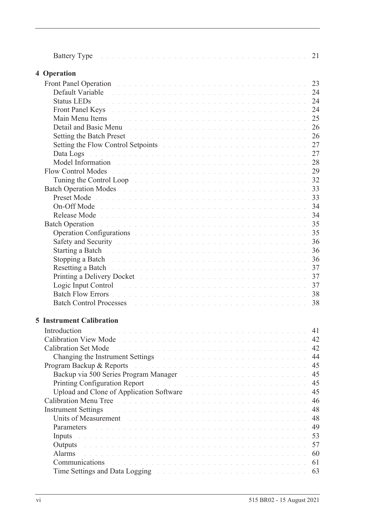| 4 Operation<br>Front Panel Operation and a contract the contract of the contract of the contract of the contract of the contract of the contract of the contract of the contract of the contract of the contract of the contract of the contr<br>Default Variable<br>in de la caractería de la caractería de la caractería de la caractería de la caractería de la caractería<br><b>Status LEDs</b><br>and the second contract of the second contract of the second contract of the second contract of the second con<br>Front Panel Keys<br>in a constitution of the constitution of the constitution of the constitution of the constitution of the constitution of the constitution of the constitution of the constitution of the constitution of the constitution of t<br>Main Menu Items<br>and the second contract of the second contract of the second contract of the second contract of the<br>Detail and Basic Menu Albert and Albert and Albert and Albert and Albert and Albert and Albert and Albert and | 23<br>24<br>24<br>24<br>25<br>26<br>26<br>27<br>27<br>28<br>29 |    |
|------------------------------------------------------------------------------------------------------------------------------------------------------------------------------------------------------------------------------------------------------------------------------------------------------------------------------------------------------------------------------------------------------------------------------------------------------------------------------------------------------------------------------------------------------------------------------------------------------------------------------------------------------------------------------------------------------------------------------------------------------------------------------------------------------------------------------------------------------------------------------------------------------------------------------------------------------------------------------------------------------------------------|----------------------------------------------------------------|----|
|                                                                                                                                                                                                                                                                                                                                                                                                                                                                                                                                                                                                                                                                                                                                                                                                                                                                                                                                                                                                                        |                                                                |    |
|                                                                                                                                                                                                                                                                                                                                                                                                                                                                                                                                                                                                                                                                                                                                                                                                                                                                                                                                                                                                                        |                                                                |    |
|                                                                                                                                                                                                                                                                                                                                                                                                                                                                                                                                                                                                                                                                                                                                                                                                                                                                                                                                                                                                                        |                                                                |    |
|                                                                                                                                                                                                                                                                                                                                                                                                                                                                                                                                                                                                                                                                                                                                                                                                                                                                                                                                                                                                                        |                                                                |    |
|                                                                                                                                                                                                                                                                                                                                                                                                                                                                                                                                                                                                                                                                                                                                                                                                                                                                                                                                                                                                                        |                                                                |    |
|                                                                                                                                                                                                                                                                                                                                                                                                                                                                                                                                                                                                                                                                                                                                                                                                                                                                                                                                                                                                                        |                                                                |    |
|                                                                                                                                                                                                                                                                                                                                                                                                                                                                                                                                                                                                                                                                                                                                                                                                                                                                                                                                                                                                                        |                                                                |    |
| <b>Setting the Batch Preset Contract Contract Contract Contract Contract Contract Contract Contract Contract Contract Contract Contract Contract Contract Contract Contract Contract Contract Contract Contract Contract Contr</b>                                                                                                                                                                                                                                                                                                                                                                                                                                                                                                                                                                                                                                                                                                                                                                                     |                                                                |    |
| <b>Setting the Flow Control Setpoints</b> and a series of the set of the set of the set of the set of the set of the set of the set of the set of the set of the set of the set of the set of the set of the set of the set of the                                                                                                                                                                                                                                                                                                                                                                                                                                                                                                                                                                                                                                                                                                                                                                                     |                                                                |    |
| Data Logs<br>.<br>In the second complete the second complete second complete the second complete second complete second complete                                                                                                                                                                                                                                                                                                                                                                                                                                                                                                                                                                                                                                                                                                                                                                                                                                                                                       |                                                                |    |
| Model Information and a contract the contract of the contract of the contract of the contract of the contract of the contract of the contract of the contract of the contract of the contract of the contract of the contract                                                                                                                                                                                                                                                                                                                                                                                                                                                                                                                                                                                                                                                                                                                                                                                          |                                                                |    |
| Flow Control Modes and a construction of the construction of the construction of the construction of the construction of the construction of the construction of the construction of the construction of the construction of t                                                                                                                                                                                                                                                                                                                                                                                                                                                                                                                                                                                                                                                                                                                                                                                         |                                                                |    |
| <b>Tuning the Control Loop Exet also be a series of the control of the Control Loop</b>                                                                                                                                                                                                                                                                                                                                                                                                                                                                                                                                                                                                                                                                                                                                                                                                                                                                                                                                |                                                                | 32 |
| Batch Operation Modes and a subsequence of the set of the set of the set of the set of the set of the set of the set of the set of the set of the set of the set of the set of the set of the set of the set of the set of the                                                                                                                                                                                                                                                                                                                                                                                                                                                                                                                                                                                                                                                                                                                                                                                         | 33                                                             |    |
| Preset Mode de la comparativa de la comparativa de la comparativa de la comparativa de la comparativa de la co                                                                                                                                                                                                                                                                                                                                                                                                                                                                                                                                                                                                                                                                                                                                                                                                                                                                                                         | 33                                                             |    |
| On-Off Mode                                                                                                                                                                                                                                                                                                                                                                                                                                                                                                                                                                                                                                                                                                                                                                                                                                                                                                                                                                                                            | 34                                                             |    |
| in the second contract of the second contract of the second contract of the second contract of the second contract of the second contract of the second contract of the second contract of the second contract of the second c                                                                                                                                                                                                                                                                                                                                                                                                                                                                                                                                                                                                                                                                                                                                                                                         | 34                                                             |    |
| Release Mode received a conservation of the conservation of the conservation of the conservation of the conservation of the conservation of the conservation of the conservation of the conservation of the conservation of th                                                                                                                                                                                                                                                                                                                                                                                                                                                                                                                                                                                                                                                                                                                                                                                         |                                                                |    |
| Batch Operation and a construction of the construction of the construction of the construction of the construction of the construction of the construction of the construction of the construction of the construction of the                                                                                                                                                                                                                                                                                                                                                                                                                                                                                                                                                                                                                                                                                                                                                                                          | 35                                                             |    |
| <b>Operation Configurations <i>CONSIDERATION CONSIDERATION CONSIDERATION CONSIDERATION</i> <b><i>CONSIDERATION</i></b></b>                                                                                                                                                                                                                                                                                                                                                                                                                                                                                                                                                                                                                                                                                                                                                                                                                                                                                             | 35                                                             |    |
| Safety and Security and the contract of the second contract of the second second second second second second second second second second second second second second second second second second second second second second s                                                                                                                                                                                                                                                                                                                                                                                                                                                                                                                                                                                                                                                                                                                                                                                         | 36                                                             |    |
| Starting a Batch <b>Starting a Batch</b> ( <i>b)</i> and <i>b</i> a contract the contract of the contract of the contract of the contract of the contract of the contract of the contract of the contract of the contract of the contract of t                                                                                                                                                                                                                                                                                                                                                                                                                                                                                                                                                                                                                                                                                                                                                                         | 36                                                             |    |
| Stopping a Batch and a contract the community of the community of the state of the community of the community of                                                                                                                                                                                                                                                                                                                                                                                                                                                                                                                                                                                                                                                                                                                                                                                                                                                                                                       | 36                                                             |    |
| <b>Resetting a Batch expansion of the contract of the contract of the contract of the contract of the contract of the contract of the contract of the contract of the contract of the contract of the contract of the contract</b>                                                                                                                                                                                                                                                                                                                                                                                                                                                                                                                                                                                                                                                                                                                                                                                     | 37                                                             |    |
|                                                                                                                                                                                                                                                                                                                                                                                                                                                                                                                                                                                                                                                                                                                                                                                                                                                                                                                                                                                                                        | 37                                                             |    |
| Logic Input Control to the control of the control of the control of the control of the control of the control of the control of the control of the control of the control of the control of the control of the control of the                                                                                                                                                                                                                                                                                                                                                                                                                                                                                                                                                                                                                                                                                                                                                                                          | 37                                                             |    |
| Batch Flow Errors                                                                                                                                                                                                                                                                                                                                                                                                                                                                                                                                                                                                                                                                                                                                                                                                                                                                                                                                                                                                      | 38                                                             |    |
| Batch Control Processes and a control of the control of the control of the control of the control of the control of the control of the control of the control of the control of the control of the control of the control of t                                                                                                                                                                                                                                                                                                                                                                                                                                                                                                                                                                                                                                                                                                                                                                                         | 38                                                             |    |
| <b>Instrument Calibration</b><br>5.                                                                                                                                                                                                                                                                                                                                                                                                                                                                                                                                                                                                                                                                                                                                                                                                                                                                                                                                                                                    |                                                                |    |
| Introduction                                                                                                                                                                                                                                                                                                                                                                                                                                                                                                                                                                                                                                                                                                                                                                                                                                                                                                                                                                                                           | 41                                                             |    |
| <b>Calibration View Mode</b><br>.<br>The contract of the contract of the contract of the contract of the contract of the contract of the contract of                                                                                                                                                                                                                                                                                                                                                                                                                                                                                                                                                                                                                                                                                                                                                                                                                                                                   | 42                                                             |    |
| <b>Calibration Set Mode</b>                                                                                                                                                                                                                                                                                                                                                                                                                                                                                                                                                                                                                                                                                                                                                                                                                                                                                                                                                                                            | 42                                                             |    |
| Changing the Instrument Settings and a contract of the contract of the contract of the contract of the contract of the contract of the contract of the contract of the contract of the contract of the contract of the contrac                                                                                                                                                                                                                                                                                                                                                                                                                                                                                                                                                                                                                                                                                                                                                                                         | 44                                                             |    |
|                                                                                                                                                                                                                                                                                                                                                                                                                                                                                                                                                                                                                                                                                                                                                                                                                                                                                                                                                                                                                        | 45                                                             |    |
| Program Backup & Reports and the contract of the contract of the contract of the contract of the contract of the contract of the contract of the contract of the contract of the contract of the contract of the contract of t                                                                                                                                                                                                                                                                                                                                                                                                                                                                                                                                                                                                                                                                                                                                                                                         |                                                                |    |
| Backup via 500 Series Program Manager and a construction of the construction of the construction of the construction of the construction of the construction of the construction of the construction of the construction of th                                                                                                                                                                                                                                                                                                                                                                                                                                                                                                                                                                                                                                                                                                                                                                                         | 45                                                             |    |
| Printing Configuration Report<br>.<br>In the company of the company of the company of the company of the company of the company of the company of th                                                                                                                                                                                                                                                                                                                                                                                                                                                                                                                                                                                                                                                                                                                                                                                                                                                                   | 45                                                             |    |
| Upload and Clone of Application Software and a substitution of the state of the state of the state of the state of the state of the state of the state of the state of the state of the state of the state of the state of the                                                                                                                                                                                                                                                                                                                                                                                                                                                                                                                                                                                                                                                                                                                                                                                         | 45                                                             |    |
| Calibration Menu Tree Albert and Albert and Albert and Albert and Albert and Albert and Albert and Albert and                                                                                                                                                                                                                                                                                                                                                                                                                                                                                                                                                                                                                                                                                                                                                                                                                                                                                                          | 46                                                             |    |
| Instrument Settings and a construction of the construction of the construction of the construction of the construction of the construction of the construction of the construction of the construction of the construction of                                                                                                                                                                                                                                                                                                                                                                                                                                                                                                                                                                                                                                                                                                                                                                                          | 48                                                             |    |
| Units of Measurement<br>.<br>In de la casa de la casa de la casa de la casa de la casa de la casa de la casa de la casa de la casa de la ca                                                                                                                                                                                                                                                                                                                                                                                                                                                                                                                                                                                                                                                                                                                                                                                                                                                                            | 48                                                             |    |
| Parameters<br><u>. The second second second second second second second second second second second second second second second</u>                                                                                                                                                                                                                                                                                                                                                                                                                                                                                                                                                                                                                                                                                                                                                                                                                                                                                    | 49                                                             |    |
| Inputs<br>in di serie di serie di serie di serie di serie di serie di serie di serie di serie di serie di serie di serie                                                                                                                                                                                                                                                                                                                                                                                                                                                                                                                                                                                                                                                                                                                                                                                                                                                                                               | 53                                                             |    |
|                                                                                                                                                                                                                                                                                                                                                                                                                                                                                                                                                                                                                                                                                                                                                                                                                                                                                                                                                                                                                        | 57                                                             |    |
| <b>Alarms</b><br>a construction and construction and construction and construction of the construction of the construction of th                                                                                                                                                                                                                                                                                                                                                                                                                                                                                                                                                                                                                                                                                                                                                                                                                                                                                       | 60                                                             |    |
| Communications<br>.<br>In the second company of the second company of the second company of the second company of the second company                                                                                                                                                                                                                                                                                                                                                                                                                                                                                                                                                                                                                                                                                                                                                                                                                                                                                   | 61                                                             |    |
| Time Settings and Data Logging and Library and the contract of the Settings and Data Logging                                                                                                                                                                                                                                                                                                                                                                                                                                                                                                                                                                                                                                                                                                                                                                                                                                                                                                                           | 63                                                             |    |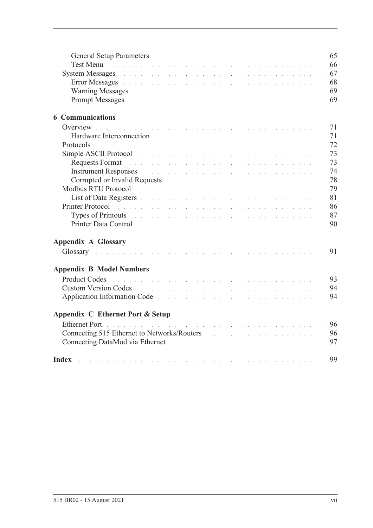| <b>General Setup Parameters <i>CONDITY CONDITERRY ALCOHOLOGY CONDITERRY ARRANGEMENT CONDITION</i></b><br>Test Menu and a construction of the contract of the construction of the construction of the construction of the construction of the construction of the construction of the construction of the construction of the constructi<br>System Messages and a contract of the contract of the contract of the contract of the contract of the contract of the contract of the contract of the contract of the contract of the contract of the contract of the contract<br>Warning Messages and a contract the contract of the contract of the contract of the contract of the contract of | 65<br>66<br>67<br>68<br>69<br>69 |
|----------------------------------------------------------------------------------------------------------------------------------------------------------------------------------------------------------------------------------------------------------------------------------------------------------------------------------------------------------------------------------------------------------------------------------------------------------------------------------------------------------------------------------------------------------------------------------------------------------------------------------------------------------------------------------------------|----------------------------------|
| <b>6</b> Communications                                                                                                                                                                                                                                                                                                                                                                                                                                                                                                                                                                                                                                                                      |                                  |
| Overview response to the contract of the contract of the contract of the contract of the contract of the contract of the contract of the contract of the contract of the contract of the contract of the contract of the contr                                                                                                                                                                                                                                                                                                                                                                                                                                                               | 71                               |
| Hardware Interconnection and the contract of the contract of the contract of the contract of the contract of the contract of the contract of the contract of the contract of the contract of the contract of the contract of t                                                                                                                                                                                                                                                                                                                                                                                                                                                               | 71                               |
| Protocols and an annual memorial contract of the contract of the contract of the contract of the contract of the contract of the contract of the contract of the contract of the contract of the contract of the contract of t                                                                                                                                                                                                                                                                                                                                                                                                                                                               | 72                               |
| Simple ASCII Protocol and the contract of the contract of the contract of the contract of the contract of the contract of the contract of the contract of the contract of the contract of the contract of the contract of the                                                                                                                                                                                                                                                                                                                                                                                                                                                                | 73                               |
| Requests Format enterity and a contract of the contract of the contract of the contract of the contract of the                                                                                                                                                                                                                                                                                                                                                                                                                                                                                                                                                                               | 73                               |
| Instrument Responses and the contract of the contract of the contract of the contract of the contract of the contract of the contract of the contract of the contract of the contract of the contract of the contract of the c                                                                                                                                                                                                                                                                                                                                                                                                                                                               | 74                               |
| Corrupted or Invalid Requests and the contract of the contract of the contract of the contract of the contract of the contract of the contract of the contract of the contract of the contract of the contract of the contract                                                                                                                                                                                                                                                                                                                                                                                                                                                               | 78                               |
| Modbus RTU Protocol<br>a provincia de la caractería de la caractería de la caractería de la caractería de la caractería de la caracterí                                                                                                                                                                                                                                                                                                                                                                                                                                                                                                                                                      | 79                               |
| List of Data Registers and a construction of the construction of the construction of                                                                                                                                                                                                                                                                                                                                                                                                                                                                                                                                                                                                         | 81                               |
| Printer Protocol<br>.<br>In the second complete service of the second complete service in the second complete service in the service of                                                                                                                                                                                                                                                                                                                                                                                                                                                                                                                                                      | 86                               |
| Types of Printouts and the contract of the contract of the contract of the contract of the contract of the contract of the contract of the contract of the contract of the contract of the contract of the contract of the con                                                                                                                                                                                                                                                                                                                                                                                                                                                               | 87                               |
| Printer Data Control and a control of the control of the control of the control of the control of the control of the control of the control of the control of the control of the control of the control of the control of the                                                                                                                                                                                                                                                                                                                                                                                                                                                                | 90                               |
| <b>Appendix A Glossary</b>                                                                                                                                                                                                                                                                                                                                                                                                                                                                                                                                                                                                                                                                   |                                  |
| Glossary and a communication of the communication of the communication of the communication of the communication of the communication of the communication of the communication of the communication of the communication of t                                                                                                                                                                                                                                                                                                                                                                                                                                                               | 91                               |
| <b>Appendix B Model Numbers</b>                                                                                                                                                                                                                                                                                                                                                                                                                                                                                                                                                                                                                                                              |                                  |
| .<br>In the second complete service of the second complete service of the service service of the service of the service<br>Product Codes                                                                                                                                                                                                                                                                                                                                                                                                                                                                                                                                                     | 93                               |
| Custom Version Codes and a contract the contract of the contract of the contract of the contract of the contract of the contract of the contract of the contract of the contract of the contract of the contract of the contra                                                                                                                                                                                                                                                                                                                                                                                                                                                               | 94                               |
|                                                                                                                                                                                                                                                                                                                                                                                                                                                                                                                                                                                                                                                                                              | 94                               |
| Appendix C Ethernet Port & Setup                                                                                                                                                                                                                                                                                                                                                                                                                                                                                                                                                                                                                                                             |                                  |
| Ethernet Port and a communication of the communication of the communication of the communication                                                                                                                                                                                                                                                                                                                                                                                                                                                                                                                                                                                             | 96                               |
| Connecting 515 Ethernet to Networks/Routers and a substitution of the state of the state of the state of the state of the state of the state of the state of the state of the state of the state of the state of the state of                                                                                                                                                                                                                                                                                                                                                                                                                                                                | 96                               |
|                                                                                                                                                                                                                                                                                                                                                                                                                                                                                                                                                                                                                                                                                              | 97                               |
|                                                                                                                                                                                                                                                                                                                                                                                                                                                                                                                                                                                                                                                                                              |                                  |
| <b>Index</b><br>n de la caractería de la caractería de la caractería de la caractería de la caractería de la caractería de la                                                                                                                                                                                                                                                                                                                                                                                                                                                                                                                                                                | 99                               |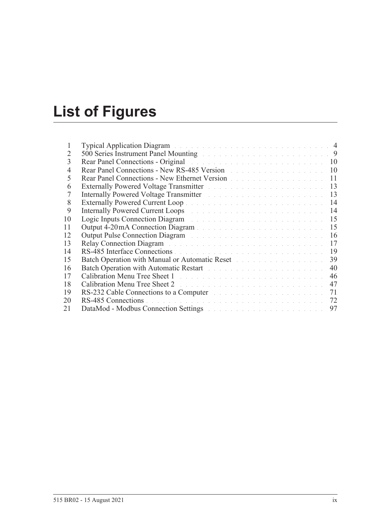# **List of Figures**

|                | Typical Application Diagram                                                                                                                                                                                                    | $\overline{4}$ |
|----------------|--------------------------------------------------------------------------------------------------------------------------------------------------------------------------------------------------------------------------------|----------------|
| 2              | 500 Series Instrument Panel Mounting Material Communication of the Series of the Series of the Series of the S                                                                                                                 |                |
| 3              | Rear Panel Connections - Original and the contract of the contract of the 10                                                                                                                                                   |                |
| $\overline{4}$ | Rear Panel Connections - New RS-485 Version                                                                                                                                                                                    | 10             |
| 5              | Rear Panel Connections - New Ethernet Version and a manufacturer of the 11                                                                                                                                                     |                |
| 6              | Externally Powered Voltage Transmitter Marshall and Alexandre and Alexandre and Alexandre and                                                                                                                                  | 13             |
| 7              | Internally Powered Voltage Transmitter March 2014 and March 2014                                                                                                                                                               | 13             |
| 8              |                                                                                                                                                                                                                                | 14             |
| 9              | Internally Powered Current Loops and a substitution of the state of the state of the state of the state of the                                                                                                                 | 14             |
| 10             | Logic Inputs Connection Diagram and a substitution of the set of the set of the set of the set of the set of the set of the set of the set of the set of the set of the set of the set of the set of the set of the set of the | 15             |
| 11             | Output 4-20mA Connection Diagram                                                                                                                                                                                               | 15             |
| 12             | Output Pulse Connection Diagram                                                                                                                                                                                                | 16             |
| 13             | Relay Connection Diagram and a connection of the connection of the connection of the connection of the connection of the connection of the connection of the connection of the connection of the connection of the connection  | 17             |
| 14             |                                                                                                                                                                                                                                | 19             |
| 15             | Batch Operation with Manual or Automatic Reset Alberta Alberta and Alberta Alberta and Alberta Alberta and Alberta Alberta Alberta and Alberta Alberta Alberta Alberta Alberta Alberta Alberta Alberta Alberta Alberta Alberta | 39             |
| 16             | Batch Operation with Automatic Restart Marshall and Australian Australian Australian                                                                                                                                           | 40             |
| 17             |                                                                                                                                                                                                                                | 46             |
| 18             | Calibration Menu Tree Sheet 2 and the contract of the contract of the contract of the Contract of the Contract of the Contract of the Contract of the Contract of the Contract of the Contract of the Contract of the Contract | 47             |
| 19             | RS-232 Cable Connections to a Computer entertainment of the state of the state of the state of the state of the state of the state of the state of the state of the state of the state of the state of the state of the state  | 71             |
| 20             | RS-485 Connections and the connection of the connection of the connection of the connection of the connection of the connection of the connection of the connection of the connection of the connection of the connection of t |                |
| 21             |                                                                                                                                                                                                                                | 97             |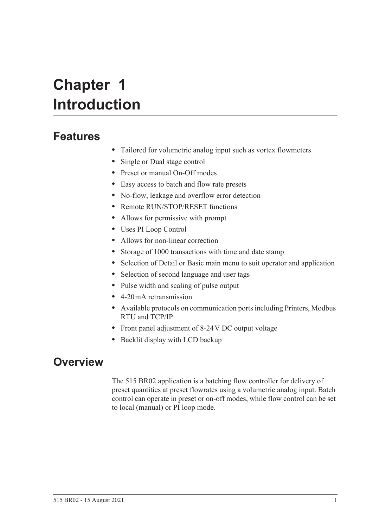# <span id="page-10-0"></span>**Chapter 1 Introduction**

## <span id="page-10-1"></span>**Features**

- **•** Tailored for volumetric analog input such as vortex flowmeters
- **•** Single or Dual stage control
- **•** Preset or manual On-Off modes
- **•** Easy access to batch and flow rate presets
- No-flow, leakage and overflow error detection
- **•** Remote RUN/STOP/RESET functions
- Allows for permissive with prompt
- **•** Uses PI Loop Control
- Allows for non-linear correction
- **•** Storage of 1000 transactions with time and date stamp
- **•** Selection of Detail or Basic main menu to suit operator and application
- **•** Selection of second language and user tags
- **•** Pulse width and scaling of pulse output
- **•** 4-20 mA retransmission
- **•** Available protocols on communication ports including Printers, Modbus RTU and TCP/IP
- **•** Front panel adjustment of 8-24 V DC output voltage
- **•** Backlit display with LCD backup

## <span id="page-10-2"></span>**Overview**

The 515 BR02 application is a batching flow controller for delivery of preset quantities at preset flowrates using a volumetric analog input. Batch control can operate in preset or on-off modes, while flow control can be set to local (manual) or PI loop mode.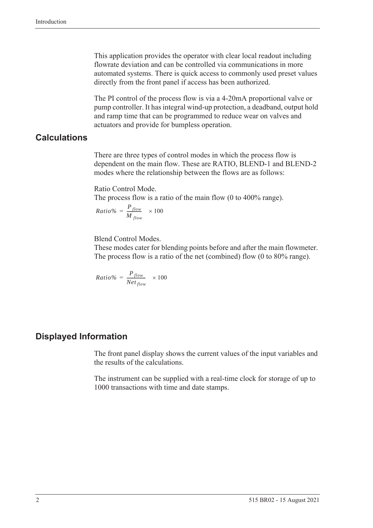This application provides the operator with clear local readout including flowrate deviation and can be controlled via communications in more automated systems. There is quick access to commonly used preset values directly from the front panel if access has been authorized.

The PI control of the process flow is via a 4-20mA proportional valve or pump controller. It has integral wind-up protection, a deadband, output hold and ramp time that can be programmed to reduce wear on valves and actuators and provide for bumpless operation.

#### <span id="page-11-0"></span>**Calculations**

There are three types of control modes in which the process flow is dependent on the main flow. These are RATIO, BLEND-1 and BLEND-2 modes where the relationship between the flows are as follows:

#### Ratio Control Mode.

The process flow is a ratio of the main flow (0 to 400% range).

$$
Ratio\% = \frac{P_{flow}}{M_{flow}} \times 100
$$

Blend Control Modes.

These modes cater for blending points before and after the main flowmeter. The process flow is a ratio of the net (combined) flow (0 to 80% range).

$$
Ratio\% = \frac{P_{flow}}{Net_{flow}} \times 100
$$

#### <span id="page-11-1"></span>**Displayed Information**

The front panel display shows the current values of the input variables and the results of the calculations.

The instrument can be supplied with a real-time clock for storage of up to 1000 transactions with time and date stamps.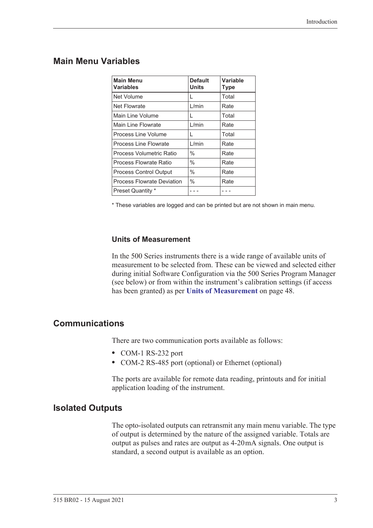### <span id="page-12-0"></span>**Main Menu Variables**

| <b>Main Menu</b><br><b>Variables</b> | <b>Default</b><br><b>Units</b> | <b>Variable</b><br><b>Type</b> |
|--------------------------------------|--------------------------------|--------------------------------|
| Net Volume                           |                                | Total                          |
| Net Flowrate                         | L/min                          | Rate                           |
| Main Line Volume                     | L                              | Total                          |
| Main Line Flowrate                   | L/min                          | Rate                           |
| Process Line Volume                  |                                | Total                          |
| <b>Process Line Flowrate</b>         | L/min                          | Rate                           |
| Process Volumetric Ratio             | %                              | Rate                           |
| Process Flowrate Ratio               | $\%$                           | Rate                           |
| <b>Process Control Output</b>        | $\%$                           | Rate                           |
| <b>Process Flowrate Deviation</b>    | $\%$                           | Rate                           |
| <b>Preset Quantity *</b>             |                                |                                |

\* These variables are logged and can be printed but are not shown in main menu.

#### **Units of Measurement**

In the 500 Series instruments there is a wide range of available units of measurement to be selected from. These can be viewed and selected either during initial Software Configuration via the 500 Series Program Manager (see below) or from within the instrument's calibration settings (if access has been granted) as per **[Units of Measurement](#page-57-2)** on page 48.

#### <span id="page-12-1"></span>**Communications**

There are two communication ports available as follows:

- **•** COM-1 RS-232 port
- **•** COM-2 RS-485 port (optional) or Ethernet (optional)

The ports are available for remote data reading, printouts and for initial application loading of the instrument.

#### <span id="page-12-2"></span>**Isolated Outputs**

The opto-isolated outputs can retransmit any main menu variable. The type of output is determined by the nature of the assigned variable. Totals are output as pulses and rates are output as 4-20 mA signals. One output is standard, a second output is available as an option.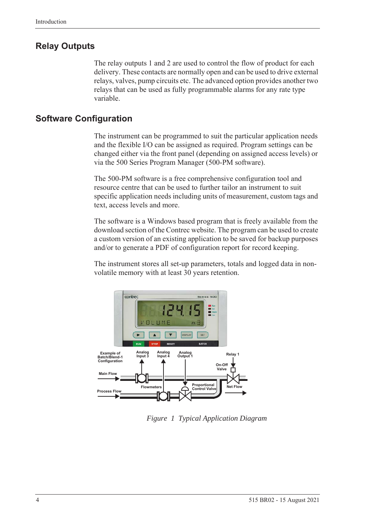## <span id="page-13-0"></span>**Relay Outputs**

The relay outputs 1 and 2 are used to control the flow of product for each delivery. These contacts are normally open and can be used to drive external relays, valves, pump circuits etc. The advanced option provides another two relays that can be used as fully programmable alarms for any rate type variable.

### <span id="page-13-1"></span>**Software Configuration**

The instrument can be programmed to suit the particular application needs and the flexible I/O can be assigned as required. Program settings can be changed either via the front panel (depending on assigned access levels) or via the 500 Series Program Manager (500-PM software).

The 500-PM software is a free comprehensive configuration tool and resource centre that can be used to further tailor an instrument to suit specific application needs including units of measurement, custom tags and text, access levels and more.

The software is a Windows based program that is freely available from the download section of the Contrec website. The program can be used to create a custom version of an existing application to be saved for backup purposes and/or to generate a PDF of configuration report for record keeping.

The instrument stores all set-up parameters, totals and logged data in nonvolatile memory with at least 30 years retention.



<span id="page-13-2"></span>*Figure 1 Typical Application Diagram*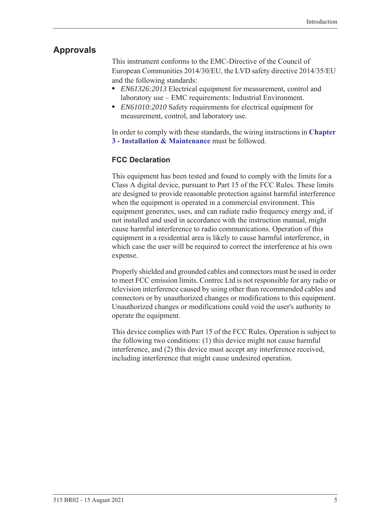### <span id="page-14-0"></span>**Approvals**

This instrument conforms to the EMC-Directive of the Council of European Communities 2014/30/EU, the LVD safety directive 2014/35/EU and the following standards:

- **•** *EN61326:2013* Electrical equipment for measurement, control and laboratory use – EMC requirements: Industrial Environment.
- *EN61010:2010* Safety requirements for electrical equipment for measurement, control, and laboratory use.

In order to comply with these standards, the wiring instructions in **[Chapter](#page-18-5)  [3 - Installation & Maintenance](#page-18-5)** must be followed.

#### **FCC Declaration**

This equipment has been tested and found to comply with the limits for a Class A digital device, pursuant to Part 15 of the FCC Rules. These limits are designed to provide reasonable protection against harmful interference when the equipment is operated in a commercial environment. This equipment generates, uses, and can radiate radio frequency energy and, if not installed and used in accordance with the instruction manual, might cause harmful interference to radio communications. Operation of this equipment in a residential area is likely to cause harmful interference, in which case the user will be required to correct the interference at his own expense.

Properly shielded and grounded cables and connectors must be used in order to meet FCC emission limits. Contrec Ltd is not responsible for any radio or television interference caused by using other than recommended cables and connectors or by unauthorized changes or modifications to this equipment. Unauthorized changes or modifications could void the user's authority to operate the equipment.

This device complies with Part 15 of the FCC Rules. Operation is subject to the following two conditions: (1) this device might not cause harmful interference, and (2) this device must accept any interference received, including interference that might cause undesired operation.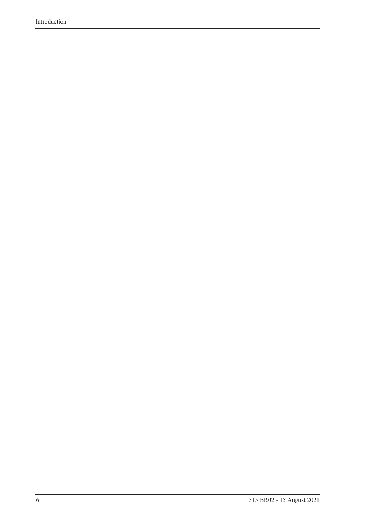Introduction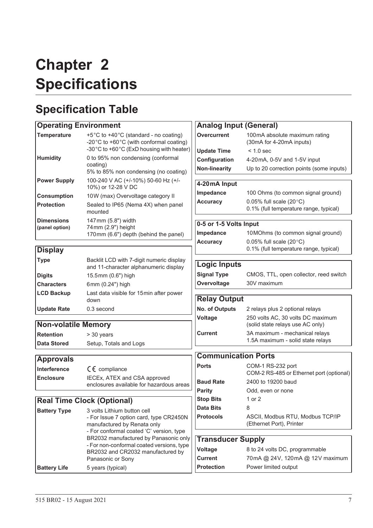# <span id="page-16-0"></span>**Chapter 2 Specifications**

# <span id="page-16-1"></span>**Specification Table**

| <b>Operating Environment</b>     |                                                                                                                              | <b>Analog Input (General)</b> |                                                                        |  |  |
|----------------------------------|------------------------------------------------------------------------------------------------------------------------------|-------------------------------|------------------------------------------------------------------------|--|--|
| <b>Temperature</b>               | +5°C to +40°C (standard - no coating)<br>-20°C to +60°C (with conformal coating)<br>-30°C to +60°C (ExD housing with heater) | <b>Overcurrent</b>            | 100mA absolute maximum rating<br>(30mA for 4-20mA inputs)              |  |  |
| <b>Humidity</b>                  | 0 to 95% non condensing (conformal                                                                                           | <b>Update Time</b>            | $< 1.0$ sec                                                            |  |  |
|                                  | coating)                                                                                                                     | Configuration                 | 4-20mA, 0-5V and 1-5V input                                            |  |  |
|                                  | 5% to 85% non condensing (no coating)                                                                                        | <b>Non-linearity</b>          | Up to 20 correction points (some inputs)                               |  |  |
| <b>Power Supply</b>              | 100-240 V AC (+/-10%) 50-60 Hz (+/-<br>10%) or 12-28 V DC                                                                    | 4-20mA Input                  |                                                                        |  |  |
| <b>Consumption</b>               | 10W (max) Overvoltage category II                                                                                            | Impedance                     | 100 Ohms (to common signal ground)<br>0.05% full scale $(20^{\circ}C)$ |  |  |
| <b>Protection</b>                | Sealed to IP65 (Nema 4X) when panel<br>mounted                                                                               | <b>Accuracy</b>               | 0.1% (full temperature range, typical)                                 |  |  |
| <b>Dimensions</b>                | 147mm (5.8") width                                                                                                           | 0-5 or 1-5 Volts Input        |                                                                        |  |  |
| (panel option)                   | 74mm (2.9") height<br>170mm (6.6") depth (behind the panel)                                                                  | Impedance                     | 10 MOhms (to common signal ground)                                     |  |  |
|                                  |                                                                                                                              | <b>Accuracy</b>               | 0.05% full scale $(20^{\circ}C)$                                       |  |  |
| <b>Display</b>                   |                                                                                                                              |                               | 0.1% (full temperature range, typical)                                 |  |  |
| <b>Type</b>                      | Backlit LCD with 7-digit numeric display<br>and 11-character alphanumeric display                                            | <b>Logic Inputs</b>           |                                                                        |  |  |
| <b>Digits</b>                    | 15.5mm (0.6") high                                                                                                           | <b>Signal Type</b>            | CMOS, TTL, open collector, reed switch                                 |  |  |
| <b>Characters</b>                | 6mm (0.24") high                                                                                                             | Overvoltage                   | 30V maximum                                                            |  |  |
| <b>LCD Backup</b>                | Last data visible for 15 min after power<br>down                                                                             | <b>Relay Output</b>           |                                                                        |  |  |
| <b>Update Rate</b>               | 0.3 second                                                                                                                   | No. of Outputs                | 2 relays plus 2 optional relays                                        |  |  |
| <b>Non-volatile Memory</b>       |                                                                                                                              | Voltage                       | 250 volts AC, 30 volts DC maximum<br>(solid state relays use AC only)  |  |  |
| <b>Retention</b>                 | > 30 years                                                                                                                   | <b>Current</b>                | 3A maximum - mechanical relays                                         |  |  |
| Data Stored                      | Setup, Totals and Logs                                                                                                       |                               | 1.5A maximum - solid state relays                                      |  |  |
|                                  |                                                                                                                              | <b>Communication Ports</b>    |                                                                        |  |  |
| <b>Approvals</b>                 |                                                                                                                              |                               |                                                                        |  |  |
| Interference<br><b>Enclosure</b> | $C \in \mathbb{C}$ compliance<br>IECEx, ATEX and CSA approved                                                                | <b>Ports</b>                  | COM-1 RS-232 port<br>COM-2 RS-485 or Ethernet port (optional)          |  |  |
|                                  | enclosures available for hazardous areas                                                                                     | <b>Baud Rate</b>              | 2400 to 19200 baud                                                     |  |  |
|                                  |                                                                                                                              | <b>Parity</b>                 | Odd, even or none                                                      |  |  |
|                                  | <b>Real Time Clock (Optional)</b>                                                                                            | <b>Stop Bits</b>              | 1 or 2                                                                 |  |  |
| <b>Battery Type</b>              | 3 volts Lithium button cell                                                                                                  | <b>Data Bits</b>              | 8                                                                      |  |  |
|                                  | - For Issue 7 option card, type CR2450N<br>manufactured by Renata only                                                       | <b>Protocols</b>              | ASCII, Modbus RTU, Modbus TCP/IP<br>(Ethernet Port), Printer           |  |  |
|                                  | - For conformal coated 'C' version, type<br>BR2032 manufactured by Panasonic only                                            |                               |                                                                        |  |  |
|                                  | - For non-conformal coated versions, type                                                                                    | <b>Transducer Supply</b>      |                                                                        |  |  |
|                                  | BR2032 and CR2032 manufactured by                                                                                            | Voltage                       | 8 to 24 volts DC, programmable                                         |  |  |
|                                  | Panasonic or Sony                                                                                                            | <b>Current</b>                | 70mA @ 24V, 120mA @ 12V maximum                                        |  |  |
| <b>Battery Life</b>              | 5 years (typical)                                                                                                            | <b>Protection</b>             | Power limited output                                                   |  |  |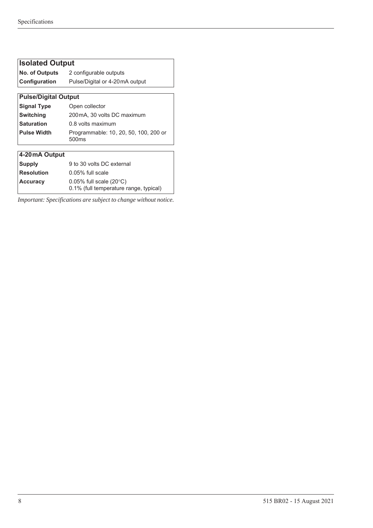| <b>Isolated Output</b>                                                                            |                                                            |  |  |  |
|---------------------------------------------------------------------------------------------------|------------------------------------------------------------|--|--|--|
| <b>No. of Outputs</b><br>2 configurable outputs                                                   |                                                            |  |  |  |
| Configuration                                                                                     | Pulse/Digital or 4-20 mA output                            |  |  |  |
|                                                                                                   |                                                            |  |  |  |
| <b>Pulse/Digital Output</b>                                                                       |                                                            |  |  |  |
| <b>Signal Type</b><br>Open collector                                                              |                                                            |  |  |  |
| <b>Switching</b><br>200mA, 30 volts DC maximum                                                    |                                                            |  |  |  |
| <b>Saturation</b><br>0.8 volts maximum                                                            |                                                            |  |  |  |
| <b>Pulse Width</b>                                                                                | Programmable: 10, 20, 50, 100, 200 or<br>500 <sub>ms</sub> |  |  |  |
|                                                                                                   |                                                            |  |  |  |
| 4-20mA Output                                                                                     |                                                            |  |  |  |
| 9 to 30 volts DC external<br>Supply                                                               |                                                            |  |  |  |
| <b>Resolution</b><br>$0.05\%$ full scale                                                          |                                                            |  |  |  |
| $0.05\%$ full scale (20 $\degree$ C)<br><b>Accuracy</b><br>0.1% (full temperature range, typical) |                                                            |  |  |  |

*Important: Specifications are subject to change without notice.*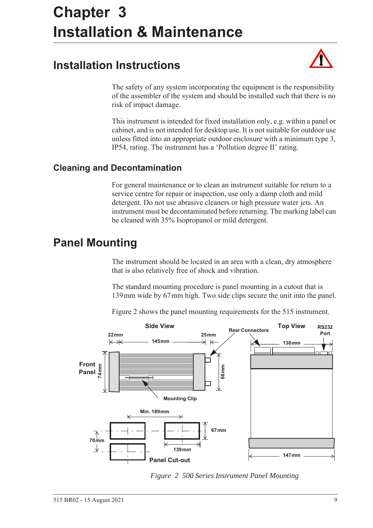# <span id="page-18-5"></span><span id="page-18-0"></span>**Chapter 3 Installation & Maintenance**

# <span id="page-18-1"></span>**Installation Instructions**



The safety of any system incorporating the equipment is the responsibility of the assembler of the system and should be installed such that there is no risk of impact damage.

This instrument is intended for fixed installation only, e.g. within a panel or cabinet, and is not intended for desktop use. It is not suitable for outdoor use unless fitted into an appropriate outdoor enclosure with a minimum type 3, IP54, rating. The instrument has a 'Pollution degree II' rating.

## <span id="page-18-2"></span>**Cleaning and Decontamination**

For general maintenance or to clean an instrument suitable for return to a service centre for repair or inspection, use only a damp cloth and mild detergent. Do not use abrasive cleaners or high pressure water jets. An instrument must be decontaminated before returning. The marking label can be cleaned with 35% Isopropanol or mild detergent.

# <span id="page-18-3"></span>**Panel Mounting**

The instrument should be located in an area with a clean, dry atmosphere that is also relatively free of shock and vibration.

The standard mounting procedure is panel mounting in a cutout that is 139 mm wide by 67 mm high. Two side clips secure the unit into the panel.



[Figure 2](#page-18-4) shows the panel mounting requirements for the 515 instrument.

<span id="page-18-4"></span>*Figure 2 500 Series Instrument Panel Mounting*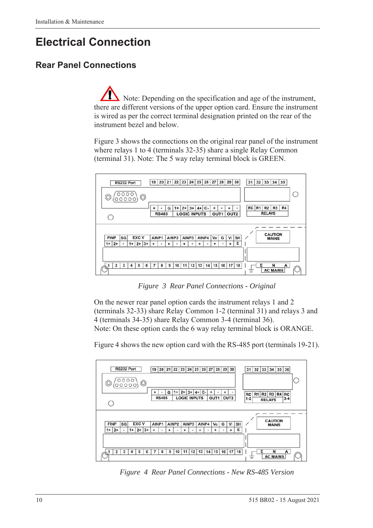# <span id="page-19-0"></span>**Electrical Connection**

## <span id="page-19-1"></span>**Rear Panel Connections**

Note: Depending on the specification and age of the instrument, there are different versions of the upper option card. Ensure the instrument is wired as per the correct terminal designation printed on the rear of the instrument bezel and below.

[Figure 3](#page-19-2) shows the connections on the original rear panel of the instrument where relays 1 to 4 (terminals 32-35) share a single Relay Common (terminal 31). Note: The 5 way relay terminal block is GREEN.



*Figure 3 Rear Panel Connections - Original*

<span id="page-19-2"></span>On the newer rear panel option cards the instrument relays 1 and 2 (terminals 32-33) share Relay Common 1-2 (terminal 31) and relays 3 and 4 (terminals 34-35) share Relay Common 3-4 (terminal 36). Note: On these option cards the 6 way relay terminal block is ORANGE.

[Figure 4](#page-19-3) shows the new option card with the RS-485 port (terminals 19-21).



<span id="page-19-3"></span>*Figure 4 Rear Panel Connections - New RS-485 Version*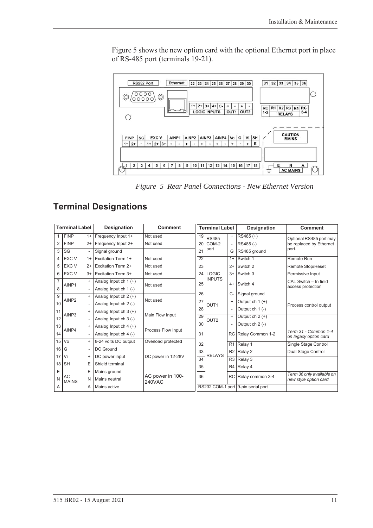[Figure 5](#page-20-1) shows the new option card with the optional Ethernet port in place of RS-485 port (terminals 19-21).



<span id="page-20-1"></span>*Figure 5 Rear Panel Connections - New Ethernet Version*

## <span id="page-20-0"></span>**Terminal Designations**

|    | <b>Terminal Label</b>  |                          | Designation               | <b>Comment</b>     | <b>Terminal Label</b> |                  |                | <b>Designation</b>                 | <b>Comment</b>                                |
|----|------------------------|--------------------------|---------------------------|--------------------|-----------------------|------------------|----------------|------------------------------------|-----------------------------------------------|
|    | <b>FINP</b>            | $1+$                     | Frequency Input 1+        | Not used           | 19                    | <b>RS485</b>     | $\ddot{}$      | $RS485 (+)$                        | Optional RS485 port may                       |
| 2  | <b>FINP</b>            | $2+$                     | Frequency Input 2+        | Not used           | 20                    | COM-2            |                | RS485 (-)                          | be replaced by Ethernet                       |
| 3  | $\overline{\text{SG}}$ | $\overline{\phantom{a}}$ | Signal ground             |                    | 21                    | port             | G              | RS485 ground                       | port.                                         |
| 4  | EXC V                  | $1+$                     | Excitation Term 1+        | Not used           | 22                    |                  | $1+$           | Switch 1                           | Remote Run                                    |
| 5  | EXC V                  | $2+$                     | <b>Excitation Term 2+</b> | Not used           | 23                    |                  | $2+$           | Switch 2                           | Remote Stop/Reset                             |
| 6  | <b>EXC V</b>           | $3+$                     | Excitation Term 3+        | Not used           | 24                    | <b>LOGIC</b>     | $3+$           | Switch 3                           | Permissive Input                              |
| 7  | AINP1                  | $\ddot{}$                | Analog Input ch $1 (+)$   | Not used           | 25                    | <b>INPUTS</b>    | $4+$           | Switch 4                           | CAL Switch - In field                         |
| 8  |                        |                          | Analog Input ch 1 (-)     |                    |                       |                  |                |                                    | access protection                             |
| 9  | AINP <sub>2</sub>      | $\ddot{}$                | Analog Input ch $2 (+)$   | Not used           | 26                    |                  | $C-$           | Signal ground                      |                                               |
| 10 |                        |                          | Analog Input ch 2 (-)     |                    | 27                    | OUT <sub>1</sub> | $\ddot{}$      | Output ch $1 (+)$                  | Process control output                        |
| 11 |                        | $\ddot{}$                | Analog Input ch $3 (+)$   |                    | 28                    |                  |                | Output ch 1 (-)                    |                                               |
| 12 | AINP3                  | $\overline{\phantom{a}}$ | Analog Input ch 3 (-)     | Main Flow Input    | 29                    | OUT <sub>2</sub> | $\ddot{}$      | Output $ch 2 (+)$                  |                                               |
| 13 |                        | $\ddot{}$                | Analog Input ch 4 (+)     |                    | 30                    |                  |                | Output $ch 2$ (-)                  |                                               |
| 14 | AINP4                  | $\overline{\phantom{a}}$ | Analog Input ch 4 (-)     | Process Flow Input | 31                    |                  | <b>RC</b>      | Relay Common 1-2                   | Term 31 - Common 1-4<br>on legacy option card |
| 15 | Vo                     | $\ddot{}$                | 8-24 volts DC output      | Overload protected | 32                    |                  | R1             | Relay 1                            | Single Stage Control                          |
| 16 | G                      | $\overline{\phantom{a}}$ | DC Ground                 |                    | 33                    |                  | R <sub>2</sub> | Relay 2                            | Dual Stage Control                            |
| 17 | Vi                     | $\ddot{}$                | DC power input            | DC power in 12-28V | $\overline{34}$       | <b>RELAYS</b>    | R <sub>3</sub> | Relay 3                            |                                               |
| 18 | <b>SH</b>              | Ε                        | Shield terminal           |                    | 35                    |                  | R4             | Relay 4                            |                                               |
| E  |                        | E                        | Mains ground              | AC power in 100-   |                       |                  |                |                                    | Term 36 only available on                     |
| N  | AC<br><b>MAINS</b>     | N                        | Mains neutral             | <b>240VAC</b>      | 36                    |                  | <b>RC</b>      | Relay common 3-4                   | new style option card                         |
| A  |                        | Α                        | Mains active              |                    |                       |                  |                | RS232 COM-1 port 9-pin serial port |                                               |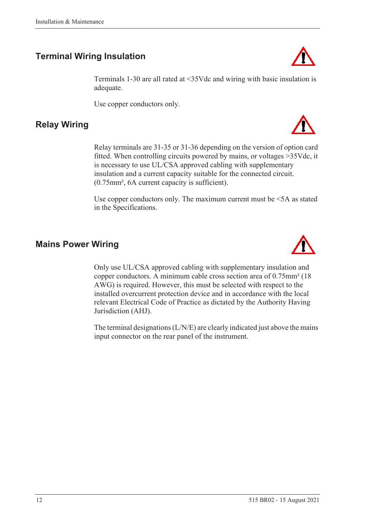Installation & Maintenance

## <span id="page-21-0"></span>**Terminal Wiring Insulation**

Terminals 1-30 are all rated at <35Vdc and wiring with basic insulation is adequate.

Use copper conductors only.

## <span id="page-21-1"></span>**Relay Wiring**

Relay terminals are 31-35 or 31-36 depending on the version of option card fitted. When controlling circuits powered by mains, or voltages >35Vdc, it is necessary to use UL/CSA approved cabling with supplementary insulation and a current capacity suitable for the connected circuit. (0.75mm², 6A current capacity is sufficient).

Use copper conductors only. The maximum current must be  $\leq 5A$  as stated in the Specifications.

## <span id="page-21-2"></span>**Mains Power Wiring**

Only use UL/CSA approved cabling with supplementary insulation and copper conductors. A minimum cable cross section area of 0.75mm² (18 AWG) is required. However, this must be selected with respect to the installed overcurrent protection device and in accordance with the local relevant Electrical Code of Practice as dictated by the Authority Having Jurisdiction (AHJ).

The terminal designations (L/N/E) are clearly indicated just above the mains input connector on the rear panel of the instrument.



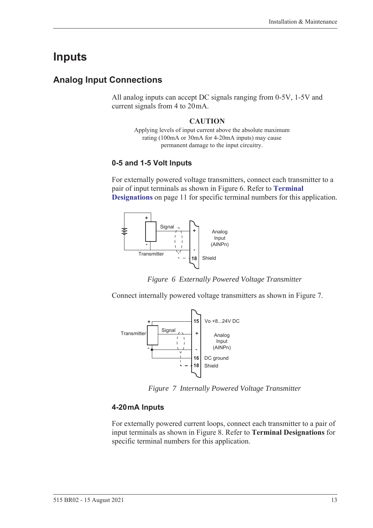## <span id="page-22-0"></span>**Inputs**

## <span id="page-22-1"></span>**Analog Input Connections**

All analog inputs can accept DC signals ranging from 0-5V, 1-5V and current signals from 4 to 20 mA.

#### **CAUTION**

Applying levels of input current above the absolute maximum rating (100mA or 30mA for 4-20mA inputs) may cause permanent damage to the input circuitry.

#### **0-5 and 1-5 Volt Inputs**

For externally powered voltage transmitters, connect each transmitter to a pair of input terminals as shown in [Figure 6.](#page-22-2) Refer to **[Terminal](#page-20-0)  [Designations](#page-20-0)** on page 11 for specific terminal numbers for this application.



*Figure 6 Externally Powered Voltage Transmitter*

<span id="page-22-2"></span>Connect internally powered voltage transmitters as shown in [Figure 7.](#page-22-3)



*Figure 7 Internally Powered Voltage Transmitter*

#### <span id="page-22-3"></span>**4-20 mA Inputs**

For externally powered current loops, connect each transmitter to a pair of input terminals as shown in [Figure 8.](#page-23-1) Refer to **Terminal Designations** for specific terminal numbers for this application.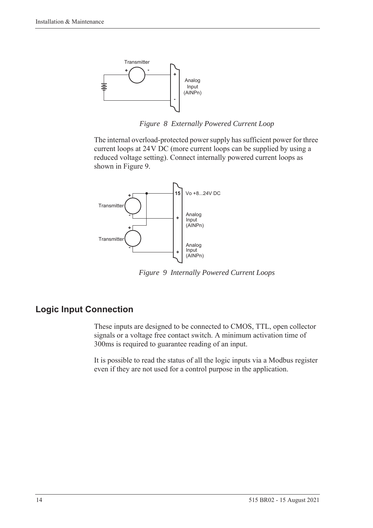

*Figure 8 Externally Powered Current Loop*

<span id="page-23-1"></span>The internal overload-protected power supply has sufficient power for three current loops at 24 V DC (more current loops can be supplied by using a reduced voltage setting). Connect internally powered current loops as shown in [Figure 9](#page-23-2).



<span id="page-23-2"></span>*Figure 9 Internally Powered Current Loops*

## <span id="page-23-0"></span>**Logic Input Connection**

These inputs are designed to be connected to CMOS, TTL, open collector signals or a voltage free contact switch. A minimum activation time of 300ms is required to guarantee reading of an input.

It is possible to read the status of all the logic inputs via a Modbus register even if they are not used for a control purpose in the application.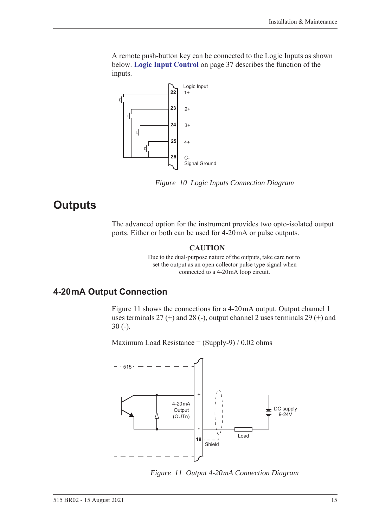A remote push-button key can be connected to the Logic Inputs as shown below. **[Logic Input Control](#page-46-3)** on page 37 describes the function of the inputs.



*Figure 10 Logic Inputs Connection Diagram*

## <span id="page-24-0"></span>**Outputs**

<span id="page-24-2"></span>The advanced option for the instrument provides two opto-isolated output ports. Either or both can be used for 4-20 mA or pulse outputs.

#### **CAUTION**

Due to the dual-purpose nature of the outputs, take care not to set the output as an open collector pulse type signal when connected to a 4-20mA loop circuit.

#### <span id="page-24-1"></span>**4-20 mA Output Connection**

[Figure 11](#page-24-3) shows the connections for a 4-20 mA output. Output channel 1 uses terminals  $27 (+)$  and  $28 (-)$ , output channel 2 uses terminals  $29 (+)$  and 30 (-).

Maximum Load Resistance =  $(Supply-9)/0.02$  ohms



<span id="page-24-3"></span>*Figure 11 Output 4-20 mA Connection Diagram*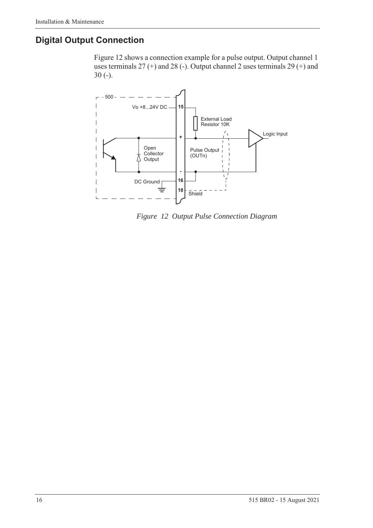## <span id="page-25-0"></span>**Digital Output Connection**

[Figure 12](#page-25-1) shows a connection example for a pulse output. Output channel 1 uses terminals 27 (+) and 28 (-). Output channel 2 uses terminals 29 (+) and 30 (-).



<span id="page-25-1"></span>*Figure 12 Output Pulse Connection Diagram*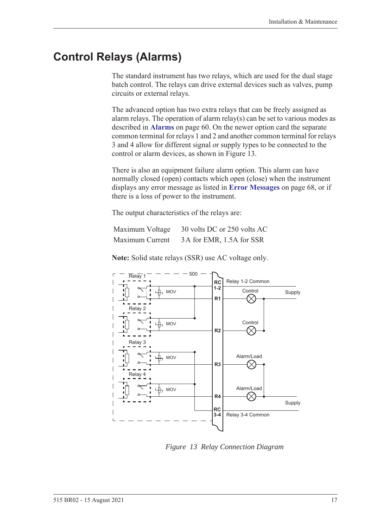## <span id="page-26-0"></span>**Control Relays (Alarms)**

The standard instrument has two relays, which are used for the dual stage batch control. The relays can drive external devices such as valves, pump circuits or external relays.

The advanced option has two extra relays that can be freely assigned as alarm relays. The operation of alarm relay(s) can be set to various modes as described in **Alarms** [on page 60.](#page-69-1) On the newer option card the separate common terminal for relays 1 and 2 and another common terminal for relays 3 and 4 allow for different signal or supply types to be connected to the control or alarm devices, as shown in [Figure 13.](#page-26-1)

There is also an equipment failure alarm option. This alarm can have normally closed (open) contacts which open (close) when the instrument displays any error message as listed in **[Error Messages](#page-77-1)** on page 68, or if there is a loss of power to the instrument.

The output characteristics of the relays are:

| Maximum Voltage | 30 volts DC or 250 volts AC |
|-----------------|-----------------------------|
| Maximum Current | 3A for EMR, 1.5A for SSR    |



**Note:** Solid state relays (SSR) use AC voltage only.

<span id="page-26-1"></span>*Figure 13 Relay Connection Diagram*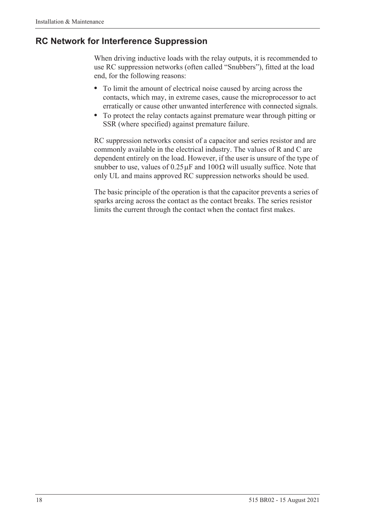### <span id="page-27-0"></span>**RC Network for Interference Suppression**

When driving inductive loads with the relay outputs, it is recommended to use RC suppression networks (often called "Snubbers"), fitted at the load end, for the following reasons:

- **•** To limit the amount of electrical noise caused by arcing across the contacts, which may, in extreme cases, cause the microprocessor to act erratically or cause other unwanted interference with connected signals.
- **•** To protect the relay contacts against premature wear through pitting or SSR (where specified) against premature failure.

RC suppression networks consist of a capacitor and series resistor and are commonly available in the electrical industry. The values of R and C are dependent entirely on the load. However, if the user is unsure of the type of snubber to use, values of  $0.25 \mu$ F and  $100 \Omega$  will usually suffice. Note that only UL and mains approved RC suppression networks should be used.

The basic principle of the operation is that the capacitor prevents a series of sparks arcing across the contact as the contact breaks. The series resistor limits the current through the contact when the contact first makes.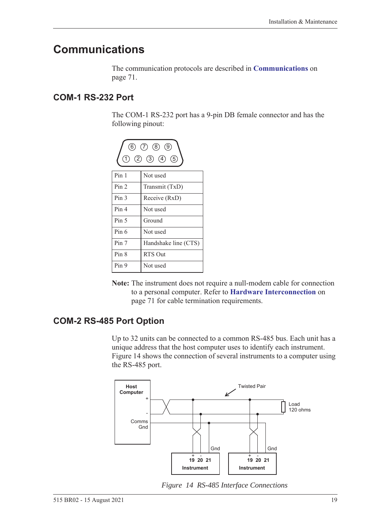## <span id="page-28-0"></span>**Communications**

The communication protocols are described in **[Communications](#page-80-4)** on [page 71](#page-80-4).

## <span id="page-28-1"></span>**COM-1 RS-232 Port**

The COM-1 RS-232 port has a 9-pin DB female connector and has the following pinout:

| $(6)$ (7) (8) (9)<br>$(2)$ $(3)$ $(4)$ $(5)$ |                      |  |  |  |
|----------------------------------------------|----------------------|--|--|--|
| Pin 1                                        | Not used             |  |  |  |
| Pin <sub>2</sub>                             | Transmit (TxD)       |  |  |  |
| Pin 3                                        | Receive (RxD)        |  |  |  |
| Pin 4                                        | Not used             |  |  |  |
| Pin 5                                        | Ground               |  |  |  |
| Pin 6                                        | Not used             |  |  |  |
| Pin 7                                        | Handshake line (CTS) |  |  |  |
| Pin 8                                        | RTS Out              |  |  |  |
| Pin 9                                        | Not used             |  |  |  |

**Note:** The instrument does not require a null-modem cable for connection to a personal computer. Refer to **[Hardware Interconnection](#page-80-5)** on [page 71](#page-80-5) for cable termination requirements.

## <span id="page-28-2"></span>**COM-2 RS-485 Port Option**

Up to 32 units can be connected to a common RS-485 bus. Each unit has a unique address that the host computer uses to identify each instrument. [Figure 14](#page-28-3) shows the connection of several instruments to a computer using the RS-485 port.



<span id="page-28-3"></span>*Figure 14 RS-485 Interface Connections*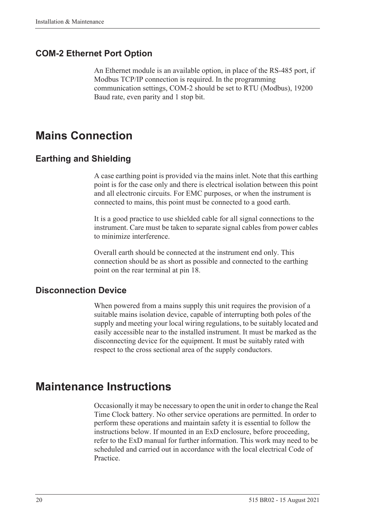## <span id="page-29-0"></span>**COM-2 Ethernet Port Option**

An Ethernet module is an available option, in place of the RS-485 port, if Modbus TCP/IP connection is required. In the programming communication settings, COM-2 should be set to RTU (Modbus), 19200 Baud rate, even parity and 1 stop bit.

## <span id="page-29-1"></span>**Mains Connection**

## <span id="page-29-2"></span>**Earthing and Shielding**

A case earthing point is provided via the mains inlet. Note that this earthing point is for the case only and there is electrical isolation between this point and all electronic circuits. For EMC purposes, or when the instrument is connected to mains, this point must be connected to a good earth.

It is a good practice to use shielded cable for all signal connections to the instrument. Care must be taken to separate signal cables from power cables to minimize interference.

Overall earth should be connected at the instrument end only. This connection should be as short as possible and connected to the earthing point on the rear terminal at pin 18.

## <span id="page-29-3"></span>**Disconnection Device**

When powered from a mains supply this unit requires the provision of a suitable mains isolation device, capable of interrupting both poles of the supply and meeting your local wiring regulations, to be suitably located and easily accessible near to the installed instrument. It must be marked as the disconnecting device for the equipment. It must be suitably rated with respect to the cross sectional area of the supply conductors.

## <span id="page-29-4"></span>**Maintenance Instructions**

Occasionally it may be necessary to open the unit in order to change the Real Time Clock battery. No other service operations are permitted. In order to perform these operations and maintain safety it is essential to follow the instructions below. If mounted in an ExD enclosure, before proceeding, refer to the ExD manual for further information. This work may need to be scheduled and carried out in accordance with the local electrical Code of **Practice**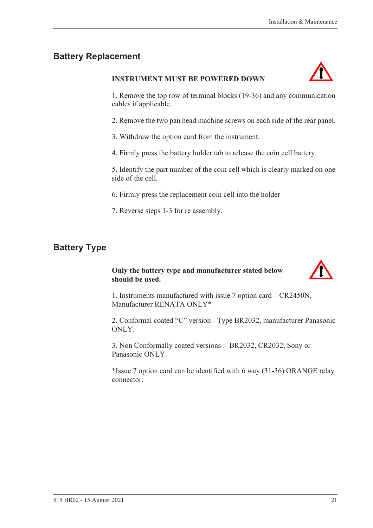### <span id="page-30-0"></span>**Battery Replacement**

#### **INSTRUMENT MUST BE POWERED DOWN**



1. Remove the top row of terminal blocks (19-36) and any communication cables if applicable.

2. Remove the two pan head machine screws on each side of the rear panel.

3. Withdraw the option card from the instrument.

4. Firmly press the battery holder tab to release the coin cell battery.

5. Identify the part number of the coin cell which is clearly marked on one side of the cell.

6. Firmly press the replacement coin cell into the holder

7. Reverse steps 1-3 for re assembly.

## <span id="page-30-1"></span>**Battery Type**

**Only the battery type and manufacturer stated below should be used.** 



1. Instruments manufactured with issue 7 option card – CR2450N, Manufacturer RENATA ONLY\*

2. Conformal coated "C" version - Type BR2032, manufacturer Panasonic ONLY.

3. Non Conformally coated versions :- BR2032, CR2032, Sony or Panasonic ONLY.

\*Issue 7 option card can be identified with 6 way (31-36) ORANGE relay connector.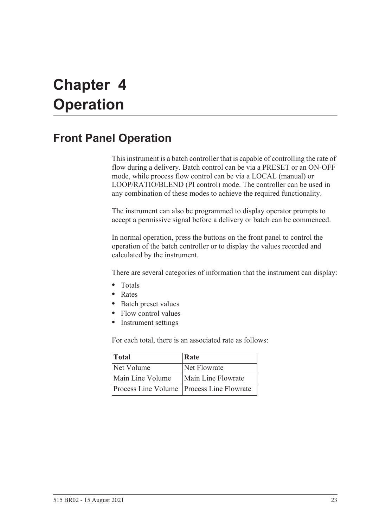# <span id="page-32-0"></span>**Chapter 4 Operation**

# <span id="page-32-1"></span>**Front Panel Operation**

This instrument is a batch controller that is capable of controlling the rate of flow during a delivery. Batch control can be via a PRESET or an ON-OFF mode, while process flow control can be via a LOCAL (manual) or LOOP/RATIO/BLEND (PI control) mode. The controller can be used in any combination of these modes to achieve the required functionality.

The instrument can also be programmed to display operator prompts to accept a permissive signal before a delivery or batch can be commenced.

In normal operation, press the buttons on the front panel to control the operation of the batch controller or to display the values recorded and calculated by the instrument.

There are several categories of information that the instrument can display:

- **•** Totals
- **•** Rates
- **•** Batch preset values
- **•** Flow control values
- **•** Instrument settings

For each total, there is an associated rate as follows:

| Total                                            | Rate               |
|--------------------------------------------------|--------------------|
| Net Volume                                       | Net Flowrate       |
| Main Line Volume                                 | Main Line Flowrate |
| <b>Process Line Volume Process Line Flowrate</b> |                    |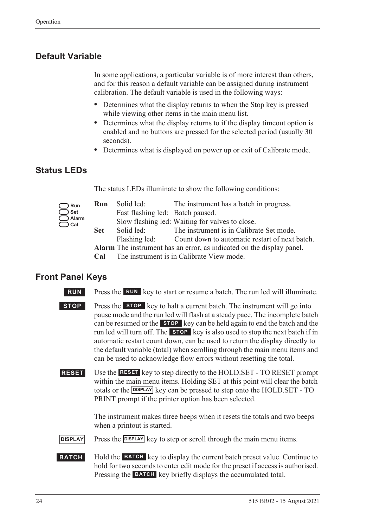## <span id="page-33-0"></span>**Default Variable**

In some applications, a particular variable is of more interest than others, and for this reason a default variable can be assigned during instrument calibration. The default variable is used in the following ways:

- **•** Determines what the display returns to when the Stop key is pressed while viewing other items in the main menu list.
- **•** Determines what the display returns to if the display timeout option is enabled and no buttons are pressed for the selected period (usually 30 seconds).
- **•** Determines what is displayed on power up or exit of Calibrate mode.

## <span id="page-33-1"></span>**Status LEDs**

The status LEDs illuminate to show the following conditions:

| Run          |
|--------------|
| Set          |
| <b>Alarm</b> |
| Cal          |

|            | <b>Run</b> Solid led:                                                 | The instrument has a batch in progress.                      |  |
|------------|-----------------------------------------------------------------------|--------------------------------------------------------------|--|
|            | Fast flashing led: Batch paused.                                      |                                                              |  |
|            | Slow flashing led: Waiting for valves to close.                       |                                                              |  |
| <b>Set</b> | Solid led:                                                            | The instrument is in Calibrate Set mode.                     |  |
|            |                                                                       | Flashing led: Count down to automatic restart of next batch. |  |
|            | Alarm The instrument has an error, as indicated on the display panel. |                                                              |  |
|            | <b>Cal</b> The instrument is in Calibrate View mode.                  |                                                              |  |
|            |                                                                       |                                                              |  |

## <span id="page-33-2"></span>**Front Panel Keys**

**RUN** Press the **RUN** key to start or resume a batch. The run led will illuminate.

- **STOP** Press the **STOP** key to halt a current batch. The instrument will go into pause mode and the run led will flash at a steady pace. The incomplete batch can be resumed or the **STOP** key can be held again to end the batch and the run led will turn off. The **STOP** key is also used to stop the next batch if in automatic restart count down, can be used to return the display directly to the default variable (total) when scrolling through the main menu items and can be used to acknowledge flow errors without resetting the total.
- **RESET** Use the **RESET** key to step directly to the HOLD.SET TO RESET prompt within the main menu items. Holding SET at this point will clear the batch totals or the **DISPLAY** key can be pressed to step onto the HOLD.SET - TO PRINT prompt if the printer option has been selected.

The instrument makes three beeps when it resets the totals and two beeps when a printout is started.

- **DISPLAY** Press the **DISPLAY** key to step or scroll through the main menu items.
- **BATCH** Hold the **BATCH** key to display the current batch preset value. Continue to hold for two seconds to enter edit mode for the preset if access is authorised. Pressing the **BATCH** key briefly displays the accumulated total.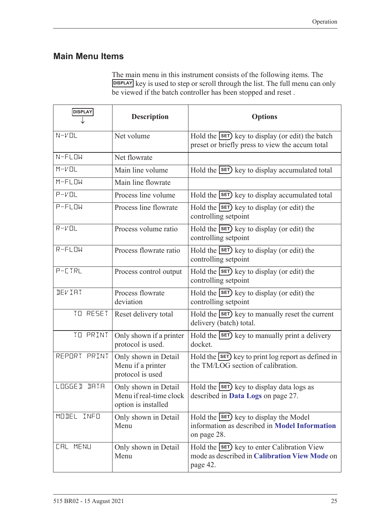## <span id="page-34-0"></span>**Main Menu Items**

The main menu in this instrument consists of the following items. The key is used to step or scroll through the list. The full menu can only be viewed if the batch controller has been stopped and reset . **DISPLAY**

| <b>DISPLAY</b>  | <b>Description</b>                                                     | <b>Options</b>                                                                                                 |
|-----------------|------------------------------------------------------------------------|----------------------------------------------------------------------------------------------------------------|
| $N-V$ $OL$      | Net volume                                                             | Hold the SET) key to display (or edit) the batch<br>preset or briefly press to view the accum total            |
| N-FLOW          | Net flowrate                                                           |                                                                                                                |
| $M-V$ $DL$      | Main line volume                                                       | Hold the <b>SET</b> key to display accumulated total                                                           |
| $M-FLUM$        | Main line flowrate                                                     |                                                                                                                |
| $P-VDL$         | Process line volume                                                    | Hold the SET key to display accumulated total                                                                  |
| P-FLOW          | Process line flowrate                                                  | Hold the SET) key to display (or edit) the<br>controlling setpoint                                             |
| $R-VDL$         | Process volume ratio                                                   | Hold the SET) key to display (or edit) the<br>controlling setpoint                                             |
| $R-FLDW$        | Process flowrate ratio                                                 | Hold the SET) key to display (or edit) the<br>controlling setpoint                                             |
| P-ETRL          | Process control output                                                 | Hold the $\overline{\text{set}}$ key to display (or edit) the<br>controlling setpoint                          |
| <b>JEVIAT</b>   | Process flowrate<br>deviation                                          | Hold the SET key to display (or edit) the<br>controlling setpoint                                              |
| TO RESET        | Reset delivery total                                                   | Hold the SET) key to manually reset the current<br>delivery (batch) total.                                     |
| TO PRINT        | Only shown if a printer<br>protocol is used.                           | Hold the $\left[$ set $\right)$ key to manually print a delivery<br>docket.                                    |
| REPORT PRINT    | Only shown in Detail<br>Menu if a printer<br>protocol is used          | Hold the <b>SET</b> key to print log report as defined in<br>the TM/LOG section of calibration.                |
| LOGGED DATA     | Only shown in Detail<br>Menu if real-time clock<br>option is installed | Hold the SET key to display data logs as<br>described in Data Logs on page 27.                                 |
| MODEL INFO      | Only shown in Detail<br>Menu                                           | Hold the <b>SET</b> ) key to display the Model<br>information as described in Model Information<br>on page 28. |
| <b>CAL MENU</b> | Only shown in Detail<br>Menu                                           | Hold the SET key to enter Calibration View<br>mode as described in Calibration View Mode on<br>page 42.        |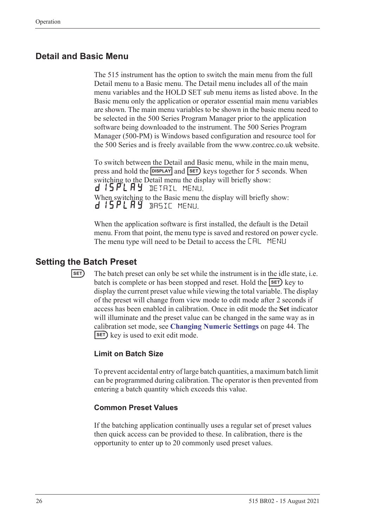## <span id="page-35-0"></span>**Detail and Basic Menu**

The 515 instrument has the option to switch the main menu from the full Detail menu to a Basic menu. The Detail menu includes all of the main menu variables and the HOLD SET sub menu items as listed above. In the Basic menu only the application or operator essential main menu variables are shown. The main menu variables to be shown in the basic menu need to be selected in the 500 Series Program Manager prior to the application software being downloaded to the instrument. The 500 Series Program Manager (500-PM) is Windows based configuration and resource tool for the 500 Series and is freely available from the www.contrec.co.uk website.

To switch between the Detail and Basic menu, while in the main menu, press and hold the **DISPLAY** and **SET**) keys together for 5 seconds. When switching to the Detail menu the display will briefly show: d 15 PL A Y DETAIL MENU. When switching to the Basic menu the display will briefly show: d ISPLAY BASIC MENU

When the application software is first installed, the default is the Detail menu. From that point, the menu type is saved and restored on power cycle. The menu type will need to be Detail to access the CAL MENU

## <span id="page-35-1"></span>**Setting the Batch Preset**

**SET**

The batch preset can only be set while the instrument is in the idle state, i.e. batch is complete or has been stopped and reset. Hold the **SET** key to display the current preset value while viewing the total variable. The display of the preset will change from view mode to edit mode after 2 seconds if access has been enabled in calibration. Once in edit mode the **Set** indicator will illuminate and the preset value can be changed in the same way as in calibration set mode, see **[Changing Numeric Settings](#page-53-1)** on page 44. The key is used to exit edit mode. **SET**

#### **Limit on Batch Size**

To prevent accidental entry of large batch quantities, a maximum batch limit can be programmed during calibration. The operator is then prevented from entering a batch quantity which exceeds this value.

#### **Common Preset Values**

If the batching application continually uses a regular set of preset values then quick access can be provided to these. In calibration, there is the opportunity to enter up to 20 commonly used preset values.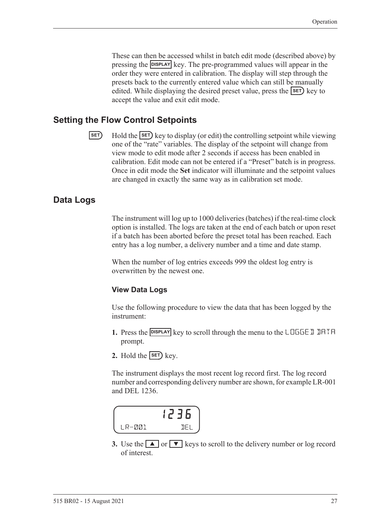These can then be accessed whilst in batch edit mode (described above) by pressing the **DISPLAY** key. The pre-programmed values will appear in the order they were entered in calibration. The display will step through the presets back to the currently entered value which can still be manually edited. While displaying the desired preset value, press the **SET** key to accept the value and exit edit mode.

#### **Setting the Flow Control Setpoints**

**EXECUTE:** Hold the **SET** key to display (or edit) the controlling setpoint while viewing one of the "rate" variables. The display of the setpoint will change from view mode to edit mode after 2 seconds if access has been enabled in calibration. Edit mode can not be entered if a "Preset" batch is in progress. Once in edit mode the **Set** indicator will illuminate and the setpoint values are changed in exactly the same way as in calibration set mode.

### **Data Logs**

The instrument will log up to 1000 deliveries (batches) if the real-time clock option is installed. The logs are taken at the end of each batch or upon reset if a batch has been aborted before the preset total has been reached. Each entry has a log number, a delivery number and a time and date stamp.

When the number of log entries exceeds 999 the oldest log entry is overwritten by the newest one.

#### **View Data Logs**

Use the following procedure to view the data that has been logged by the instrument:

- **1.** Press the **DISPLAY** key to scroll through the menu to the LOGGE D DATA prompt.
- **2.** Hold the  $\overline{\text{SET}}$  key.

The instrument displays the most recent log record first. The log record number and corresponding delivery number are shown, for example LR-001 and DEL 1236.



**3.** Use the  $\Box$  or  $\Box$  keys to scroll to the delivery number or log record of interest.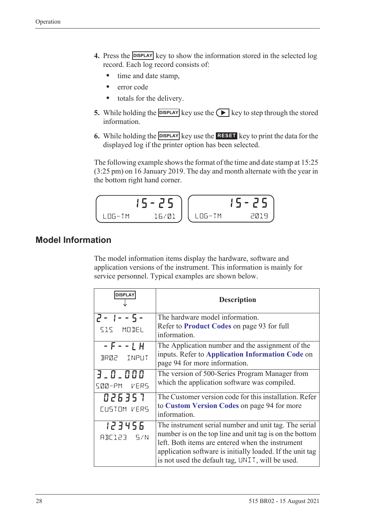- 4. Press the **DISPLAY** key to show the information stored in the selected log record. Each log record consists of:
	- time and date stamp,
	- **•** error code
	- **•** totals for the delivery.
- **5.** While holding the  $\boxed{\text{DISPLAN}}$  key use the  $\boxed{\blacktriangleright}$  key to step through the stored information.
- **6.** While holding the **DISPLAY** key use the **RESET** key to print the data for the displayed log if the printer option has been selected.

The following example shows the format of the time and date stamp at 15:25 (3:25 pm) on 16 January 2019. The day and month alternate with the year in the bottom right hand corner.

$$
\begin{array}{|c|c|c|c|}\n\hline\n & 15-25 \\
 & 15-25 \\
\hline\n & 16-21 \\
\hline\n\end{array}\n\quad\n\begin{array}{|c|c|}\n\hline\n & 15-25 \\
 & 15-25 \\
\hline\n & 2019\n\end{array}
$$

## <span id="page-37-0"></span>**Model Information**

The model information items display the hardware, software and application versions of the instrument. This information is mainly for service personnel. Typical examples are shown below.

| <b>DISPLAY</b>             | <b>Description</b>                                                                                                                                                                                                                                                                    |
|----------------------------|---------------------------------------------------------------------------------------------------------------------------------------------------------------------------------------------------------------------------------------------------------------------------------------|
| $7 - 1 - 5 -$<br>515 MODEL | The hardware model information.<br>Refer to <b>Product Codes</b> on page 93 for full<br>information.                                                                                                                                                                                  |
| $-F--LH$<br>BR02 INPUT     | The Application number and the assignment of the<br>inputs. Refer to Application Information Code on<br>page 94 for more information.                                                                                                                                                 |
| 3.0.000<br>SØ0-PM VERS     | The version of 500-Series Program Manager from<br>which the application software was compiled.                                                                                                                                                                                        |
| 026357<br>CUSTOM VERS      | The Customer version code for this installation. Refer<br>to Custom Version Codes on page 94 for more<br>information.                                                                                                                                                                 |
| 123456<br>RBE123 5/N       | The instrument serial number and unit tag. The serial<br>number is on the top line and unit tag is on the bottom<br>left. Both items are entered when the instrument<br>application software is initially loaded. If the unit tag<br>is not used the default tag, UNIT, will be used. |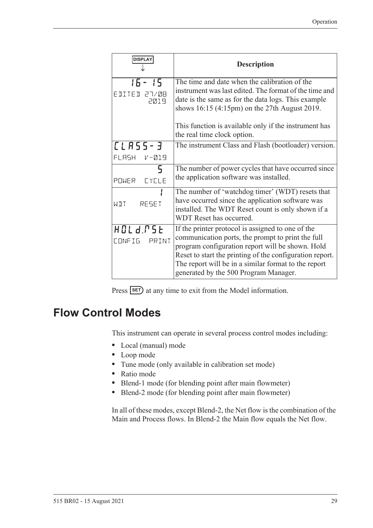| <b>DISPLAY</b>                    | <b>Description</b>                                                                                                                                                                                                                                                                                                      |  |
|-----------------------------------|-------------------------------------------------------------------------------------------------------------------------------------------------------------------------------------------------------------------------------------------------------------------------------------------------------------------------|--|
| $15 - 15$<br>EDITED 27/08<br>2019 | The time and date when the calibration of the<br>instrument was last edited. The format of the time and<br>date is the same as for the data logs. This example<br>shows $16:15$ (4:15pm) on the 27th August 2019.<br>This function is available only if the instrument has<br>the real time clock option.               |  |
| [LA55-3<br>FLASH<br>$V - 219$     | The instrument Class and Flash (bootloader) version.                                                                                                                                                                                                                                                                    |  |
| ς<br>POWER EYELE                  | The number of power cycles that have occurred since<br>the application software was installed.                                                                                                                                                                                                                          |  |
| WIT<br>RESET                      | The number of 'watchdog timer' (WDT) resets that<br>have occurred since the application software was<br>installed. The WDT Reset count is only shown if a<br>WDT Reset has occurred.                                                                                                                                    |  |
| H 0 L d .P 5 E<br>CONFIG<br>PRINT | If the printer protocol is assigned to one of the<br>communication ports, the prompt to print the full<br>program configuration report will be shown. Hold<br>Reset to start the printing of the configuration report.<br>The report will be in a similar format to the report<br>generated by the 500 Program Manager. |  |

Press **SET**) at any time to exit from the Model information.

# **Flow Control Modes**

This instrument can operate in several process control modes including:

- **•** Local (manual) mode
- **•** Loop mode
- **•** Tune mode (only available in calibration set mode)
- **•** Ratio mode
- **•** Blend-1 mode (for blending point after main flowmeter)
- **•** Blend-2 mode (for blending point after main flowmeter)

In all of these modes, except Blend-2, the Net flow is the combination of the Main and Process flows. In Blend-2 the Main flow equals the Net flow.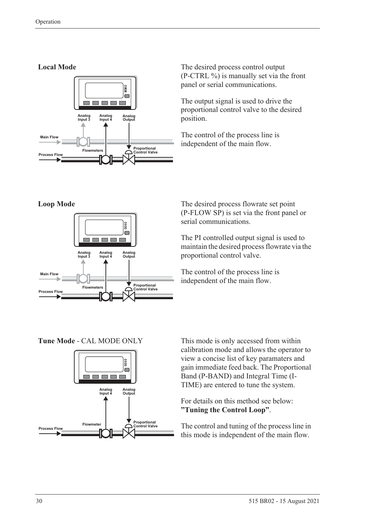

**Local Mode** The desired process control output (P-CTRL %) is manually set via the front panel or serial communications.

> The output signal is used to drive the proportional control valve to the desired position.

The control of the process line is independent of the main flow.



**Loop Mode** The desired process flowrate set point (P-FLOW SP) is set via the front panel or serial communications.

> The PI controlled output signal is used to maintain the desired process flowrate via the proportional control valve.

The control of the process line is independent of the main flow.



**Tune Mode** - CAL MODE ONLY This mode is only accessed from within calibration mode and allows the operator to view a concise list of key paramaters and gain immediate feed back. The Proportional Band (P-BAND) and Integral Time (I-TIME) are entered to tune the system.

> For details on this method see below: **"Tuning the Control Loop"**.

The control and tuning of the process line in this mode is independent of the main flow.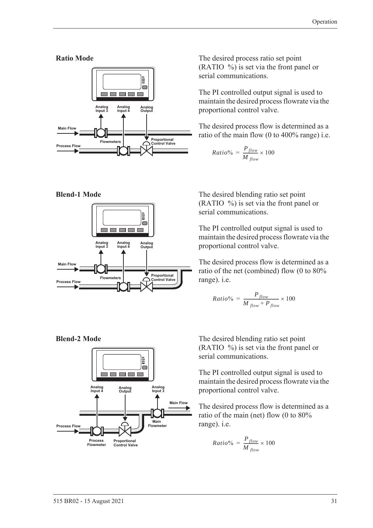





The PI controlled output signal is used to maintain the desired process flowrate via the proportional control valve.

The desired process flow is determined as a ratio of the main flow (0 to 400% range) i.e.

$$
Ratio\% = \frac{P_{flow}}{M_{flow}} \times 100
$$

**Blend-1 Mode** The desired blending ratio set point (RATIO %) is set via the front panel or serial communications.

> The PI controlled output signal is used to maintain the desired process flowrate via the proportional control valve.

> The desired process flow is determined as a ratio of the net (combined) flow (0 to 80% range). i.e.

$$
Ratio\% = \frac{P_{flow}}{M_{flow} + P_{flow}} \times 100
$$

**Blend-2 Mode** The desired blending ratio set point (RATIO %) is set via the front panel or serial communications.

> The PI controlled output signal is used to maintain the desired process flowrate via the proportional control valve.

> The desired process flow is determined as a ratio of the main (net) flow (0 to 80% range). i.e.

$$
Ratio\% = \frac{P_{flow}}{M_{flow}} \times 100
$$

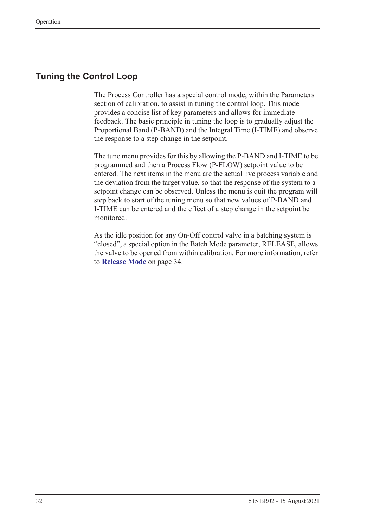# <span id="page-41-0"></span>**Tuning the Control Loop**

The Process Controller has a special control mode, within the Parameters section of calibration, to assist in tuning the control loop. This mode provides a concise list of key parameters and allows for immediate feedback. The basic principle in tuning the loop is to gradually adjust the Proportional Band (P-BAND) and the Integral Time (I-TIME) and observe the response to a step change in the setpoint.

The tune menu provides for this by allowing the P-BAND and I-TIME to be programmed and then a Process Flow (P-FLOW) setpoint value to be entered. The next items in the menu are the actual live process variable and the deviation from the target value, so that the response of the system to a setpoint change can be observed. Unless the menu is quit the program will step back to start of the tuning menu so that new values of P-BAND and I-TIME can be entered and the effect of a step change in the setpoint be monitored.

As the idle position for any On-Off control valve in a batching system is "closed", a special option in the Batch Mode parameter, RELEASE, allows the valve to be opened from within calibration. For more information, refer to **[Release Mode](#page-43-0)** on page 34.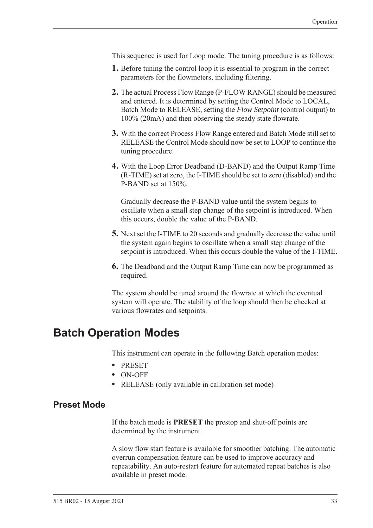This sequence is used for Loop mode. The tuning procedure is as follows:

- **1.** Before tuning the control loop it is essential to program in the correct parameters for the flowmeters, including filtering.
- **2.** The actual Process Flow Range (P-FLOW RANGE) should be measured and entered. It is determined by setting the Control Mode to LOCAL, Batch Mode to RELEASE, setting the *Flow Setpoint* (control output) to 100% (20mA) and then observing the steady state flowrate.
- **3.** With the correct Process Flow Range entered and Batch Mode still set to RELEASE the Control Mode should now be set to LOOP to continue the tuning procedure.
- **4.** With the Loop Error Deadband (D-BAND) and the Output Ramp Time (R-TIME) set at zero, the I-TIME should be set to zero (disabled) and the P-BAND set at 150%.

Gradually decrease the P-BAND value until the system begins to oscillate when a small step change of the setpoint is introduced. When this occurs, double the value of the P-BAND.

- **5.** Next set the I-TIME to 20 seconds and gradually decrease the value until the system again begins to oscillate when a small step change of the setpoint is introduced. When this occurs double the value of the I-TIME.
- **6.** The Deadband and the Output Ramp Time can now be programmed as required.

The system should be tuned around the flowrate at which the eventual system will operate. The stability of the loop should then be checked at various flowrates and setpoints.

# **Batch Operation Modes**

This instrument can operate in the following Batch operation modes:

- **•** PRESET
- **•** ON-OFF
- **•** RELEASE (only available in calibration set mode)

#### **Preset Mode**

If the batch mode is **PRESET** the prestop and shut-off points are determined by the instrument.

A slow flow start feature is available for smoother batching. The automatic overrun compensation feature can be used to improve accuracy and repeatability. An auto-restart feature for automated repeat batches is also available in preset mode.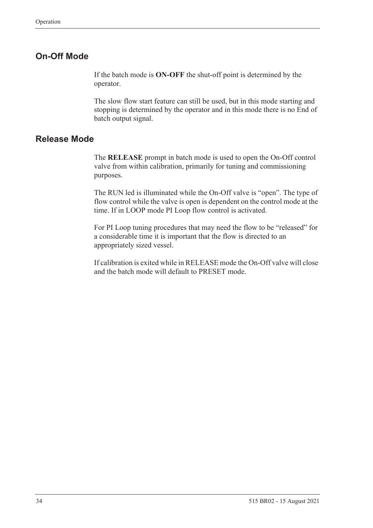## **On-Off Mode**

If the batch mode is **ON-OFF** the shut-off point is determined by the operator.

The slow flow start feature can still be used, but in this mode starting and stopping is determined by the operator and in this mode there is no End of batch output signal.

### <span id="page-43-0"></span>**Release Mode**

The **RELEASE** prompt in batch mode is used to open the On-Off control valve from within calibration, primarily for tuning and commissioning purposes.

The RUN led is illuminated while the On-Off valve is "open". The type of flow control while the valve is open is dependent on the control mode at the time. If in LOOP mode PI Loop flow control is activated.

For PI Loop tuning procedures that may need the flow to be "released" for a considerable time it is important that the flow is directed to an appropriately sized vessel.

If calibration is exited while in RELEASE mode the On-Off valve will close and the batch mode will default to PRESET mode.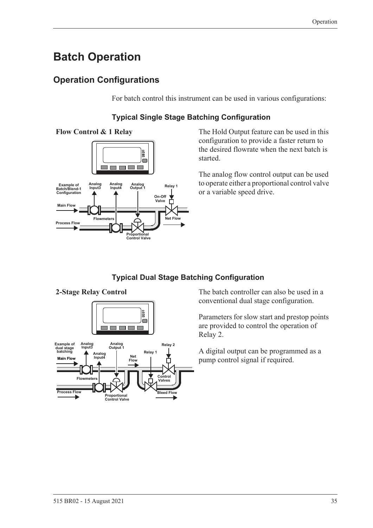# **Batch Operation**

# **Operation Configurations**

For batch control this instrument can be used in various configurations:

### **Typical Single Stage Batching Configuration**

**Flow Control & 1 Relay** The Hold Output feature can be used in this configuration to provide a faster return to the desired flowrate when the next batch is started.

> The analog flow control output can be used to operate either a proportional control valve or a variable speed drive.

## **Typical Dual Stage Batching Configuration**



**Proportional Control Valve**

**Analog Output 1**

1 m m m

**DOOD**  $\blacksquare$ 

**Relay 1**

**Net Flow**

**On-Off Valve**

**2-Stage Relay Control** The batch controller can also be used in a conventional dual stage configuration.

> Parameters for slow start and prestop points are provided to control the operation of Relay 2.

A digital output can be programmed as a

**Analog Input3**

**IDEXAMPLE OF ANALOG**<br> **Batch/Blend-1 Input4**<br> **Configuration** 

**Flowmeters** 

**Analog** 

**Main Flow**

**Process Flow**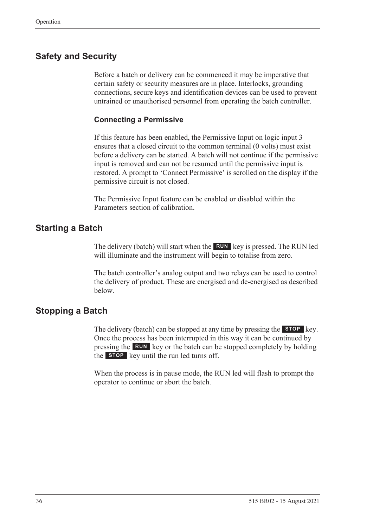# **Safety and Security**

Before a batch or delivery can be commenced it may be imperative that certain safety or security measures are in place. Interlocks, grounding connections, secure keys and identification devices can be used to prevent untrained or unauthorised personnel from operating the batch controller.

#### **Connecting a Permissive**

If this feature has been enabled, the Permissive Input on logic input 3 ensures that a closed circuit to the common terminal (0 volts) must exist before a delivery can be started. A batch will not continue if the permissive input is removed and can not be resumed until the permissive input is restored. A prompt to 'Connect Permissive' is scrolled on the display if the permissive circuit is not closed.

The Permissive Input feature can be enabled or disabled within the Parameters section of calibration.

# **Starting a Batch**

The delivery (batch) will start when the **RUN** key is pressed. The RUN led will illuminate and the instrument will begin to totalise from zero.

The batch controller's analog output and two relays can be used to control the delivery of product. These are energised and de-energised as described below.

## **Stopping a Batch**

The delivery (batch) can be stopped at any time by pressing the **STOP** key. Once the process has been interrupted in this way it can be continued by pressing the **RUN** key or the batch can be stopped completely by holding the **STOP** key until the run led turns off.

When the process is in pause mode, the RUN led will flash to prompt the operator to continue or abort the batch.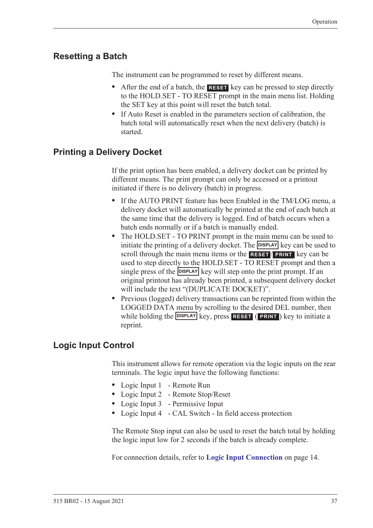## **Resetting a Batch**

The instrument can be programmed to reset by different means.

- After the end of a batch, the **RESET** key can be pressed to step directly to the HOLD.SET - TO RESET prompt in the main menu list. Holding the SET key at this point will reset the batch total.
- **•** If Auto Reset is enabled in the parameters section of calibration, the batch total will automatically reset when the next delivery (batch) is started.

## **Printing a Delivery Docket**

If the print option has been enabled, a delivery docket can be printed by different means. The print prompt can only be accessed or a printout initiated if there is no delivery (batch) in progress.

- **•** If the AUTO PRINT feature has been Enabled in the TM/LOG menu, a delivery docket will automatically be printed at the end of each batch at the same time that the delivery is logged. End of batch occurs when a batch ends normally or if a batch is manually ended.
- **•** The HOLD.SET TO PRINT prompt in the main menu can be used to initiate the printing of a delivery docket. The **DISPLAY** key can be used to scroll through the main menu items or the **RESET PRINT** key can be used to step directly to the HOLD.SET - TO RESET prompt and then a single press of the **DISPLAY** key will step onto the print prompt. If an original printout has already been printed, a subsequent delivery docket will include the text "(DUPLICATE DOCKET)".
- **•** Previous (logged) delivery transactions can be reprinted from within the LOGGED DATA menu by scrolling to the desired DEL number, then while holding the **DISPLAY** key, press **RESET** ( **PRINT** ) key to initiate a reprint.

# <span id="page-46-0"></span>**Logic Input Control**

This instrument allows for remote operation via the logic inputs on the rear terminals. The logic input have the following functions:

- **•** Logic Input 1 Remote Run
- **•** Logic Input 2 Remote Stop/Reset
- Logic Input 3 Permissive Input
- **•** Logic Input 4 CAL Switch In field access protection

The Remote Stop input can also be used to reset the batch total by holding the logic input low for 2 seconds if the batch is already complete.

For connection details, refer to **[Logic Input Connection](#page-23-0)** on page 14.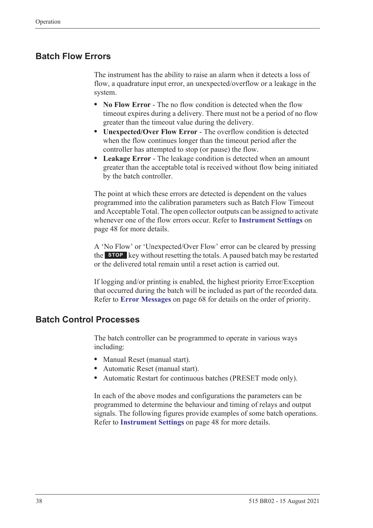## **Batch Flow Errors**

The instrument has the ability to raise an alarm when it detects a loss of flow, a quadrature input error, an unexpected/overflow or a leakage in the system.

- **No Flow Error** The no flow condition is detected when the flow timeout expires during a delivery. There must not be a period of no flow greater than the timeout value during the delivery.
- **• Unexpected/Over Flow Error** The overflow condition is detected when the flow continues longer than the timeout period after the controller has attempted to stop (or pause) the flow.
- **• Leakage Error** The leakage condition is detected when an amount greater than the acceptable total is received without flow being initiated by the batch controller.

The point at which these errors are detected is dependent on the values programmed into the calibration parameters such as Batch Flow Timeout and Acceptable Total. The open collector outputs can be assigned to activate whenever one of the flow errors occur. Refer to **[Instrument Settings](#page-57-0)** on [page 48](#page-57-0) for more details.

A 'No Flow' or 'Unexpected/Over Flow' error can be cleared by pressing the **STOP** key without resetting the totals. A paused batch may be restarted or the delivered total remain until a reset action is carried out.

If logging and/or printing is enabled, the highest priority Error/Exception that occurred during the batch will be included as part of the recorded data. Refer to **[Error Messages](#page-77-0)** on page 68 for details on the order of priority.

## **Batch Control Processes**

The batch controller can be programmed to operate in various ways including:

- **•** Manual Reset (manual start).
- **•** Automatic Reset (manual start).
- **•** Automatic Restart for continuous batches (PRESET mode only).

In each of the above modes and configurations the parameters can be programmed to determine the behaviour and timing of relays and output signals. The following figures provide examples of some batch operations. Refer to **[Instrument Settings](#page-57-0)** on page 48 for more details.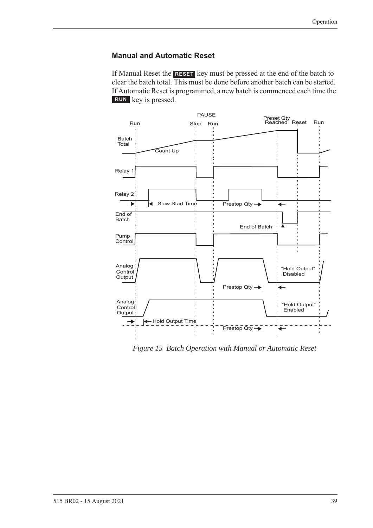#### **Manual and Automatic Reset**

If Manual Reset the **RESET** key must be pressed at the end of the batch to clear the batch total. This must be done before another batch can be started. If Automatic Reset is programmed, a new batch is commenced each time the **RUN** key is pressed.



*Figure 15 Batch Operation with Manual or Automatic Reset*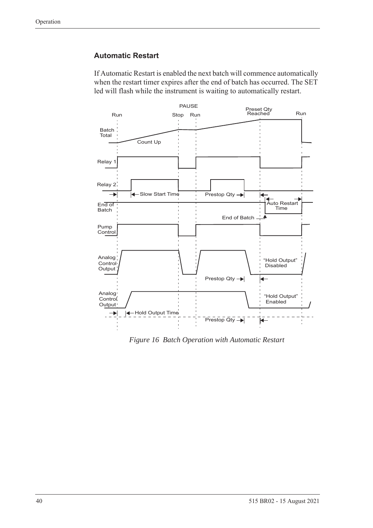#### **Automatic Restart**

If Automatic Restart is enabled the next batch will commence automatically when the restart timer expires after the end of batch has occurred. The SET led will flash while the instrument is waiting to automatically restart.



*Figure 16 Batch Operation with Automatic Restart*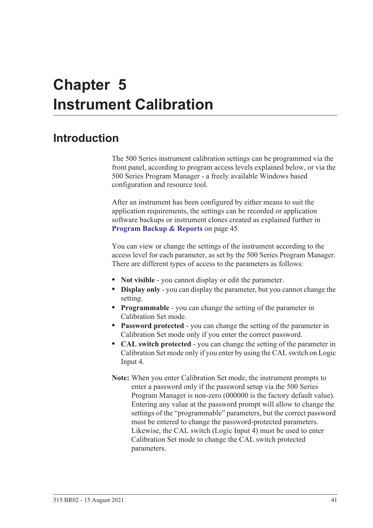# **Chapter 5 Instrument Calibration**

# **Introduction**

The 500 Series instrument calibration settings can be programmed via the front panel, according to program access levels explained below, or via the 500 Series Program Manager - a freely available Windows based configuration and resource tool.

After an instrument has been configured by either means to suit the application requirements, the settings can be recorded or application software backups or instrument clones created as explained further in **[Program Backup & Reports](#page-54-0)** on page 45.

You can view or change the settings of the instrument according to the access level for each parameter, as set by the 500 Series Program Manager. There are different types of access to the parameters as follows:

- **• Not visible** you cannot display or edit the parameter.
- **• Display only** you can display the parameter, but you cannot change the setting.
- **• Programmable** you can change the setting of the parameter in Calibration Set mode.
- **• Password protected** you can change the setting of the parameter in Calibration Set mode only if you enter the correct password.
- **• CAL switch protected**  you can change the setting of the parameter in Calibration Set mode only if you enter by using the CAL switch on Logic Input 4.
- **Note:** When you enter Calibration Set mode, the instrument prompts to enter a password only if the password setup via the 500 Series Program Manager is non-zero (000000 is the factory default value). Entering any value at the password prompt will allow to change the settings of the "programmable" parameters, but the correct password must be entered to change the password-protected parameters. Likewise, the CAL switch (Logic Input 4) must be used to enter Calibration Set mode to change the CAL switch protected parameters.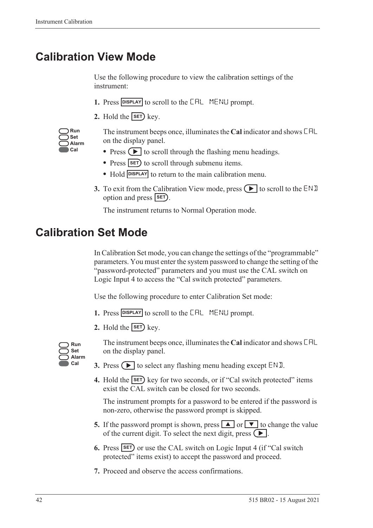# **Calibration View Mode**

Use the following procedure to view the calibration settings of the instrument:

- 1. Press **DISPLAY** to scroll to the **CAL** MENLI prompt.
- **2.** Hold the  $\overline{\text{SET}}$  key.



The instrument beeps once, illuminates the **Cal** indicator and shows CAL on the display panel.

- Press  $\left( \blacktriangleright \right)$  to scroll through the flashing menu headings.
- Press **SET** to scroll through submenu items.
- Hold **DISPLAY** to return to the main calibration menu.
- **3.** To exit from the Calibration View mode, press  $\Box$  to scroll to the END option and press **SET**).

The instrument returns to Normal Operation mode.

# **Calibration Set Mode**

In Calibration Set mode, you can change the settings of the "programmable" parameters. You must enter the system password to change the setting of the "password-protected" parameters and you must use the CAL switch on Logic Input 4 to access the "Cal switch protected" parameters.

Use the following procedure to enter Calibration Set mode:

- **1.** Press **DISPLAY** to scroll to the **CAL** MENLI prompt.
- **2.** Hold the  $\overline{\text{SET}}$  key.



The instrument beeps once, illuminates the **Cal** indicator and shows CAL on the display panel.

- **3.** Press  $\left( \blacktriangleright \right)$  to select any flashing menu heading except END.
- **4.** Hold the **SET** key for two seconds, or if "Cal switch protected" items exist the CAL switch can be closed for two seconds.

The instrument prompts for a password to be entered if the password is non-zero, otherwise the password prompt is skipped.

- **5.** If the password prompt is shown, press  $\boxed{\blacktriangle}$  or  $\boxed{\blacktriangledown}$  to change the value of the current digit. To select the next digit, press  $\Box$ .
- **6.** Press **SET** or use the CAL switch on Logic Input 4 (if "Cal switch protected" items exist) to accept the password and proceed.
- **7.** Proceed and observe the access confirmations.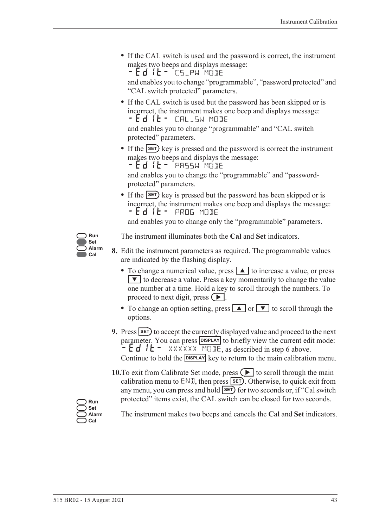**•** If the CAL switch is used and the password is correct, the instrument makes two beeps and displays message:  $-Ed$  it -  $TS$  pw mode

and enables you to change "programmable", "password protected" and "CAL switch protected" parameters.

• If the CAL switch is used but the password has been skipped or is incorrect, the instrument makes one beep and displays message: -EDIT- CAL\_SW MODE

and enables you to change "programmable" and "CAL switch protected" parameters.

- If the **SET**) key is pressed and the password is correct the instrument makes two beeps and displays the message:
	- -EDIT- PASSW MODE and enables you to change the "programmable" and "passwordprotected" parameters.
- If the **SET**) key is pressed but the password has been skipped or is incorrect, the instrument makes one beep and displays the message: -EDIT- PROG MODE

and enables you to change only the "programmable" parameters.



The instrument illuminates both the **Cal** and **Set** indicators.

- **8.** Edit the instrument parameters as required. The programmable values are indicated by the flashing display.
	- To change a numerical value, press **A** to increase a value, or press  $\triangledown$  to decrease a value. Press a key momentarily to change the value one number at a time. Hold a key to scroll through the numbers. To proceed to next digit, press  $(\blacktriangleright)$ .
	- To change an option setting, press  $\Box$  or  $\nabla$  to scroll through the options.
- **9.** Press **SET** to accept the currently displayed value and proceed to the next parameter. You can press **DISPLAY** to briefly view the current edit mode:  $-Ed$   $E - \frac{2}{x}$  XXXXXX MODE, as described in step 6 above. Continue to hold the **DISPLAY** key to return to the main calibration menu.
- **10.**To exit from Calibrate Set mode, press  $\Box$  to scroll through the main calibration menu to  $ENI$ , then press  $SET$ . Otherwise, to quick exit from any menu, you can press and hold **SET** for two seconds or, if "Cal switch protected" items exist, the CAL switch can be closed for two seconds.

**Run Set Alarm Cal**

The instrument makes two beeps and cancels the **Cal** and **Set** indicators.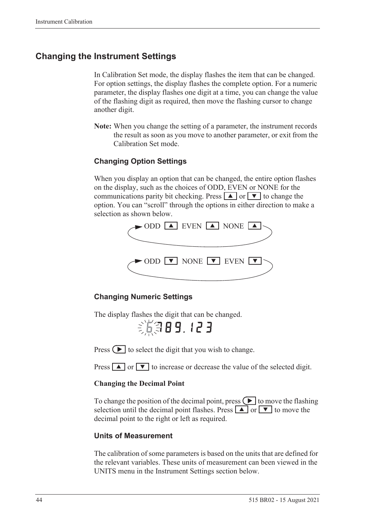# **Changing the Instrument Settings**

In Calibration Set mode, the display flashes the item that can be changed. For option settings, the display flashes the complete option. For a numeric parameter, the display flashes one digit at a time, you can change the value of the flashing digit as required, then move the flashing cursor to change another digit.

**Note:** When you change the setting of a parameter, the instrument records the result as soon as you move to another parameter, or exit from the Calibration Set mode.

### **Changing Option Settings**

When you display an option that can be changed, the entire option flashes on the display, such as the choices of ODD, EVEN or NONE for the communications parity bit checking. Press  $\boxed{\blacktriangle}$  or  $\boxed{\blacktriangledown}$  to change the option. You can "scroll" through the options in either direction to make a selection as shown below.



#### **Changing Numeric Settings**

The display flashes the digit that can be changed.

第第89.123

Press  $\left( \blacktriangleright \right)$  to select the digit that you wish to change.

Press  $\boxed{\blacktriangle}$  or  $\boxed{\blacktriangledown}$  to increase or decrease the value of the selected digit.

#### **Changing the Decimal Point**

To change the position of the decimal point, press  $\Box$  to move the flashing selection until the decimal point flashes. Press  $\boxed{\blacktriangle}$  or  $\boxed{\blacktriangledown}$  to move the decimal point to the right or left as required.

#### **Units of Measurement**

The calibration of some parameters is based on the units that are defined for the relevant variables. These units of measurement can been viewed in the UNITS menu in the Instrument Settings section below.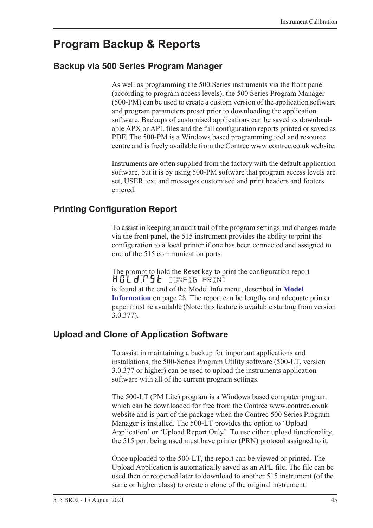# <span id="page-54-0"></span>**Program Backup & Reports**

## **Backup via 500 Series Program Manager**

As well as programming the 500 Series instruments via the front panel (according to program access levels), the 500 Series Program Manager (500-PM) can be used to create a custom version of the application software and program parameters preset prior to downloading the application software. Backups of customised applications can be saved as downloadable APX or APL files and the full configuration reports printed or saved as PDF. The 500-PM is a Windows based programming tool and resource centre and is freely available from the Contrec www.contrec.co.uk website.

Instruments are often supplied from the factory with the default application software, but it is by using 500-PM software that program access levels are set, USER text and messages customised and print headers and footers entered.

## **Printing Configuration Report**

To assist in keeping an audit trail of the program settings and changes made via the front panel, the 515 instrument provides the ability to print the configuration to a local printer if one has been connected and assigned to one of the 515 communication ports.

The prompt to hold the Reset key to print the configuration report HOLd.PSE CONFIG PRINT is found at the end of the Model Info menu, described in **[Model](#page-37-0)  [Information](#page-37-0)** on page 28. The report can be lengthy and adequate printer paper must be available (Note: this feature is available starting from version 3.0.377).

### **Upload and Clone of Application Software**

To assist in maintaining a backup for important applications and installations, the 500-Series Program Utility software (500-LT, version 3.0.377 or higher) can be used to upload the instruments application software with all of the current program settings.

The 500-LT (PM Lite) program is a Windows based computer program which can be downloaded for free from the Contrec www.contrec.co.uk website and is part of the package when the Contrec 500 Series Program Manager is installed. The 500-LT provides the option to 'Upload Application' or 'Upload Report Only'. To use either upload functionality, the 515 port being used must have printer (PRN) protocol assigned to it.

Once uploaded to the 500-LT, the report can be viewed or printed. The Upload Application is automatically saved as an APL file. The file can be used then or reopened later to download to another 515 instrument (of the same or higher class) to create a clone of the original instrument.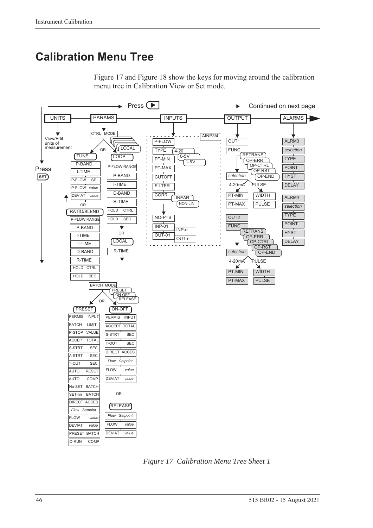# **Calibration Menu Tree**



[Figure 17](#page-55-0) and [Figure 18](#page-56-0) show the keys for moving around the calibration menu tree in Calibration View or Set mode.

<span id="page-55-0"></span>*Figure 17 Calibration Menu Tree Sheet 1*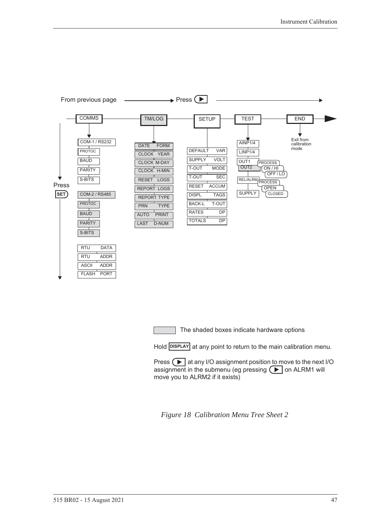

The shaded boxes indicate hardware options

Hold **DISPLAY** at any point to return to the main calibration menu.

Press  $\Box$  at any I/O assignment position to move to the next I/O assignment in the submenu (eg pressing  $\left( \blacktriangleright \right)$  on ALRM1 will move you to ALRM2 if it exists)

<span id="page-56-0"></span>*Figure 18 Calibration Menu Tree Sheet 2*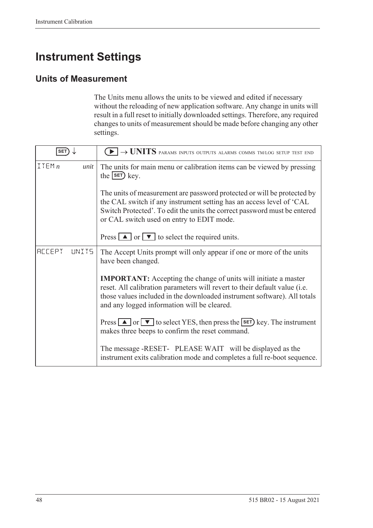# <span id="page-57-0"></span>**Instrument Settings**

## **Units of Measurement**

The Units menu allows the units to be viewed and edited if necessary without the reloading of new application software. Any change in units will result in a full reset to initially downloaded settings. Therefore, any required changes to units of measurement should be made before changing any other settings.

| <b>SET</b>              | $\blacktriangleright$ $\rightarrow$ UNITS params inputs outputs alarms comms tm/log setup test end                                                                                                                                                                              |  |
|-------------------------|---------------------------------------------------------------------------------------------------------------------------------------------------------------------------------------------------------------------------------------------------------------------------------|--|
| ITEMn<br>unit           | The units for main menu or calibration items can be viewed by pressing<br>the $\left  \text{set} \right $ key.                                                                                                                                                                  |  |
|                         | The units of measurement are password protected or will be protected by<br>the CAL switch if any instrument setting has an access level of 'CAL<br>Switch Protected'. To edit the units the correct password must be entered<br>or CAL switch used on entry to EDIT mode.       |  |
|                         | Press $\boxed{\blacktriangle}$ or $\boxed{\blacktriangledown}$ to select the required units.                                                                                                                                                                                    |  |
| <b>ACCEPT</b><br>LINIT5 | The Accept Units prompt will only appear if one or more of the units<br>have been changed.                                                                                                                                                                                      |  |
|                         | <b>IMPORTANT:</b> Accepting the change of units will initiate a master<br>reset. All calibration parameters will revert to their default value (i.e.<br>those values included in the downloaded instrument software). All totals<br>and any logged information will be cleared. |  |
|                         | Press $\Box$ or $\nabla$ to select YES, then press the SET key. The instrument<br>makes three beeps to confirm the reset command.                                                                                                                                               |  |
|                         | The message -RESET- PLEASE WAIT will be displayed as the<br>instrument exits calibration mode and completes a full re-boot sequence.                                                                                                                                            |  |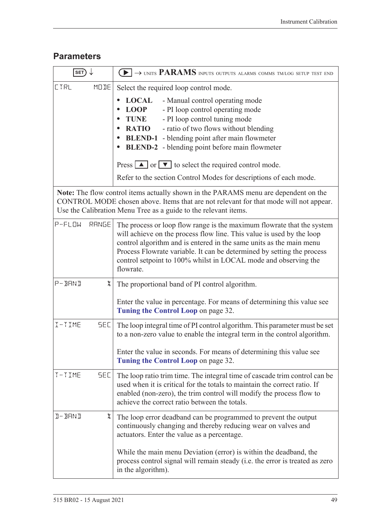# **Parameters**

| SET)                         | $\blacktriangleright$ $\rightarrow$ units PARAMS inputs outputs alarms comms tm/log setup test end                                                                                                                                                                                                                                                                                                                                                                                                                 |
|------------------------------|--------------------------------------------------------------------------------------------------------------------------------------------------------------------------------------------------------------------------------------------------------------------------------------------------------------------------------------------------------------------------------------------------------------------------------------------------------------------------------------------------------------------|
| <b>ETRL</b><br><b>MODE</b>   | Select the required loop control mode.<br><b>LOCAL</b><br>- Manual control operating mode<br><b>LOOP</b><br>- PI loop control operating mode<br>- PI loop control tuning mode<br><b>TUNE</b><br>- ratio of two flows without blending<br><b>RATIO</b><br><b>BLEND-1</b> - blending point after main flowmeter<br>BLEND-2 - blending point before main flowmeter<br>$\bullet$<br>Press $\Box$ or $\nabla$ to select the required control mode.<br>Refer to the section Control Modes for descriptions of each mode. |
|                              | Note: The flow control items actually shown in the PARAMS menu are dependent on the<br>CONTROL MODE chosen above. Items that are not relevant for that mode will not appear.<br>Use the Calibration Menu Tree as a guide to the relevant items.                                                                                                                                                                                                                                                                    |
| P-FLOW<br><b>RANGE</b>       | The process or loop flow range is the maximum flowrate that the system<br>will achieve on the process flow line. This value is used by the loop<br>control algorithm and is entered in the same units as the main menu<br>Process Flowrate variable. It can be determined by setting the process<br>control setpoint to 100% whilst in LOCAL mode and observing the<br>flowrate.                                                                                                                                   |
| P-BAND<br>$\chi$             | The proportional band of PI control algorithm.<br>Enter the value in percentage. For means of determining this value see<br>Tuning the Control Loop on page 32.                                                                                                                                                                                                                                                                                                                                                    |
| $I-TIME$<br>SEC <sub>1</sub> | The loop integral time of PI control algorithm. This parameter must be set<br>to a non-zero value to enable the integral term in the control algorithm.<br>Enter the value in seconds. For means of determining this value see<br>Tuning the Control Loop on page 32.                                                                                                                                                                                                                                              |
| $T-TIME$<br>SEC <sub>1</sub> | The loop ratio trim time. The integral time of cascade trim control can be<br>used when it is critical for the totals to maintain the correct ratio. If<br>enabled (non-zero), the trim control will modify the process flow to<br>achieve the correct ratio between the totals.                                                                                                                                                                                                                                   |
| $1 - 3$ AN $1$<br>$\chi$     | The loop error deadband can be programmed to prevent the output<br>continuously changing and thereby reducing wear on valves and<br>actuators. Enter the value as a percentage.<br>While the main menu Deviation (error) is within the deadband, the<br>process control signal will remain steady (i.e. the error is treated as zero<br>in the algorithm).                                                                                                                                                         |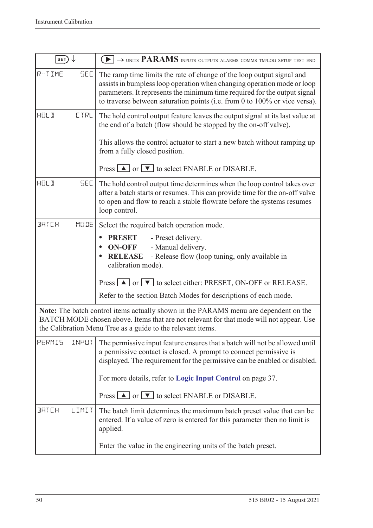| SET)                       | $\blacktriangleright$ $\rightarrow$ units PARAMS inputs outputs alarms comms tm/log setup test end                                                                                                                                                                                                          |
|----------------------------|-------------------------------------------------------------------------------------------------------------------------------------------------------------------------------------------------------------------------------------------------------------------------------------------------------------|
| R-TIME<br>SEC              | The ramp time limits the rate of change of the loop output signal and<br>assists in bumpless loop operation when changing operation mode or loop<br>parameters. It represents the minimum time required for the output signal<br>to traverse between saturation points (i.e. from 0 to 100% or vice versa). |
| <b>HOLD</b><br><b>ETRL</b> | The hold control output feature leaves the output signal at its last value at<br>the end of a batch (flow should be stopped by the on-off valve).                                                                                                                                                           |
|                            | This allows the control actuator to start a new batch without ramping up<br>from a fully closed position.                                                                                                                                                                                                   |
|                            | Press $\Box$ or $\nabla$ to select ENABLE or DISABLE.                                                                                                                                                                                                                                                       |
| <b>HOLD</b><br><b>SEC</b>  | The hold control output time determines when the loop control takes over<br>after a batch starts or resumes. This can provide time for the on-off valve<br>to open and flow to reach a stable flowrate before the systems resumes<br>loop control.                                                          |
| MODE<br><b>BATCH</b>       | Select the required batch operation mode.<br><b>PRESET</b><br>- Preset delivery.<br><b>ON-OFF</b><br>- Manual delivery.<br><b>RELEASE</b><br>- Release flow (loop tuning, only available in<br>calibration mode).<br>Press $\Box$ or $\nabla$ to select either: PRESET, ON-OFF or RELEASE.                  |
|                            | Refer to the section Batch Modes for descriptions of each mode.                                                                                                                                                                                                                                             |
|                            | Note: The batch control items actually shown in the PARAMS menu are dependent on the<br>BATCH MODE chosen above. Items that are not relevant for that mode will not appear. Use<br>the Calibration Menu Tree as a guide to the relevant items.                                                              |
| PERMIS<br>INPUT            | The permissive input feature ensures that a batch will not be allowed until<br>a permissive contact is closed. A prompt to connect permissive is<br>displayed. The requirement for the permissive can be enabled or disabled.                                                                               |
|                            | For more details, refer to Logic Input Control on page 37.                                                                                                                                                                                                                                                  |
|                            | Press $\Box$ or $\nabla$ to select ENABLE or DISABLE.                                                                                                                                                                                                                                                       |
| <b>BATCH</b><br>LIMIT      | The batch limit determines the maximum batch preset value that can be<br>entered. If a value of zero is entered for this parameter then no limit is<br>applied.                                                                                                                                             |
|                            | Enter the value in the engineering units of the batch preset.                                                                                                                                                                                                                                               |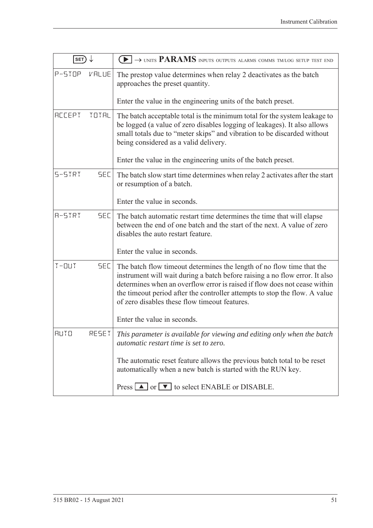| SET           |       | $\blacktriangleright$ $\rightarrow$ units PARAMS inputs outputs alarms comms tm/log setup test end                                                                                                                                                                                                                                                               |  |
|---------------|-------|------------------------------------------------------------------------------------------------------------------------------------------------------------------------------------------------------------------------------------------------------------------------------------------------------------------------------------------------------------------|--|
| <b>P-510P</b> | VALUE | The prestop value determines when relay 2 deactivates as the batch<br>approaches the preset quantity.                                                                                                                                                                                                                                                            |  |
|               |       | Enter the value in the engineering units of the batch preset.                                                                                                                                                                                                                                                                                                    |  |
| <b>ACCEPT</b> | TOTAL | The batch acceptable total is the minimum total for the system leakage to<br>be logged (a value of zero disables logging of leakages). It also allows<br>small totals due to "meter skips" and vibration to be discarded without<br>being considered as a valid delivery.                                                                                        |  |
|               |       | Enter the value in the engineering units of the batch preset.                                                                                                                                                                                                                                                                                                    |  |
| <b>5-5TRT</b> | SEC.  | The batch slow start time determines when relay 2 activates after the start<br>or resumption of a batch.                                                                                                                                                                                                                                                         |  |
|               |       | Enter the value in seconds.                                                                                                                                                                                                                                                                                                                                      |  |
| A-STRT        | SEC.  | The batch automatic restart time determines the time that will elapse<br>between the end of one batch and the start of the next. A value of zero<br>disables the auto restart feature.                                                                                                                                                                           |  |
|               |       | Enter the value in seconds.                                                                                                                                                                                                                                                                                                                                      |  |
| $T - 11T$     | SEC   | The batch flow timeout determines the length of no flow time that the<br>instrument will wait during a batch before raising a no flow error. It also<br>determines when an overflow error is raised if flow does not cease within<br>the timeout period after the controller attempts to stop the flow. A value<br>of zero disables these flow timeout features. |  |
|               |       | Enter the value in seconds.                                                                                                                                                                                                                                                                                                                                      |  |
| <b>RUTO</b>   | RESET | This parameter is available for viewing and editing only when the batch<br><i>automatic restart time is set to zero.</i>                                                                                                                                                                                                                                         |  |
|               |       | The automatic reset feature allows the previous batch total to be reset<br>automatically when a new batch is started with the RUN key.                                                                                                                                                                                                                           |  |
|               |       | Press $\Box$ or $\nabla$ to select ENABLE or DISABLE.                                                                                                                                                                                                                                                                                                            |  |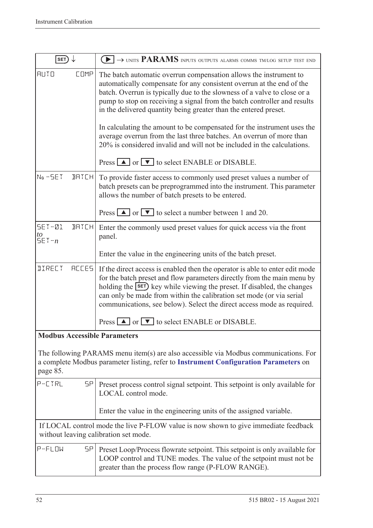| SET)                                             | $\blacktriangleright$ $\rightarrow$ units PARAMS inputs outputs alarms comms tm/log setup test end                                                                                                                                                                                                                                                                                         |
|--------------------------------------------------|--------------------------------------------------------------------------------------------------------------------------------------------------------------------------------------------------------------------------------------------------------------------------------------------------------------------------------------------------------------------------------------------|
| <b>RUTO</b><br><b>COMP</b>                       | The batch automatic overrun compensation allows the instrument to<br>automatically compensate for any consistent overrun at the end of the<br>batch. Overrun is typically due to the slowness of a valve to close or a<br>pump to stop on receiving a signal from the batch controller and results<br>in the delivered quantity being greater than the entered preset.                     |
|                                                  | In calculating the amount to be compensated for the instrument uses the<br>average overrun from the last three batches. An overrun of more than<br>20% is considered invalid and will not be included in the calculations.                                                                                                                                                                 |
|                                                  | Press $\Box$ or $\nabla$ to select ENABLE or DISABLE.                                                                                                                                                                                                                                                                                                                                      |
| $No - SET$<br><b>BRTCH</b>                       | To provide faster access to commonly used preset values a number of<br>batch presets can be preprogrammed into the instrument. This parameter<br>allows the number of batch presets to be entered.                                                                                                                                                                                         |
|                                                  | Press $\Box$ or $\Box$ to select a number between 1 and 20.                                                                                                                                                                                                                                                                                                                                |
| <b>SET-01</b><br><b>BRTCH</b><br>to<br>$5ET - n$ | Enter the commonly used preset values for quick access via the front<br>panel.                                                                                                                                                                                                                                                                                                             |
|                                                  | Enter the value in the engineering units of the batch preset.                                                                                                                                                                                                                                                                                                                              |
| <b>IIRECT</b><br><b>ACCES</b>                    | If the direct access is enabled then the operator is able to enter edit mode<br>for the batch preset and flow parameters directly from the main menu by<br>holding the <b>SET</b> key while viewing the preset. If disabled, the changes<br>can only be made from within the calibration set mode (or via serial<br>communications, see below). Select the direct access mode as required. |
|                                                  | Press $\Box$ or $\nabla$ to select ENABLE or DISABLE.                                                                                                                                                                                                                                                                                                                                      |
| <b>Modbus Accessible Parameters</b>              |                                                                                                                                                                                                                                                                                                                                                                                            |
| page 85.                                         | The following PARAMS menu item(s) are also accessible via Modbus communications. For<br>a complete Modbus parameter listing, refer to Instrument Configuration Parameters on                                                                                                                                                                                                               |
| P-ETRL<br>5P I                                   | Preset process control signal setpoint. This setpoint is only available for<br>LOCAL control mode.                                                                                                                                                                                                                                                                                         |
|                                                  | Enter the value in the engineering units of the assigned variable.                                                                                                                                                                                                                                                                                                                         |
| without leaving calibration set mode.            | If LOCAL control mode the live P-FLOW value is now shown to give immediate feedback                                                                                                                                                                                                                                                                                                        |
| P-FLOW<br>5P                                     | Preset Loop/Process flowrate setpoint. This setpoint is only available for<br>LOOP control and TUNE modes. The value of the setpoint must not be<br>greater than the process flow range (P-FLOW RANGE).                                                                                                                                                                                    |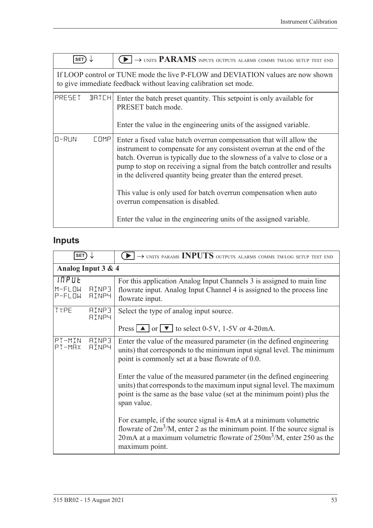| <b>SET</b>                                                                                                                                          | $\blacktriangleright$ $ \rightarrow$ units PARAMS inputs outputs alarms comms tm/log setup test end                                                                                                                                                                                                                                                                                                                                                                                                                                                    |  |  |
|-----------------------------------------------------------------------------------------------------------------------------------------------------|--------------------------------------------------------------------------------------------------------------------------------------------------------------------------------------------------------------------------------------------------------------------------------------------------------------------------------------------------------------------------------------------------------------------------------------------------------------------------------------------------------------------------------------------------------|--|--|
| If LOOP control or TUNE mode the live P-FLOW and DEVIATION values are now shown<br>to give immediate feedback without leaving calibration set mode. |                                                                                                                                                                                                                                                                                                                                                                                                                                                                                                                                                        |  |  |
| PRESET<br><b>BRTCH</b>                                                                                                                              | Enter the batch preset quantity. This setpoint is only available for<br>PRESET batch mode.<br>Enter the value in the engineering units of the assigned variable.                                                                                                                                                                                                                                                                                                                                                                                       |  |  |
| $D - RUN$<br>COMP                                                                                                                                   | Enter a fixed value batch overrun compensation that will allow the<br>instrument to compensate for any consistent overrun at the end of the<br>batch. Overrun is typically due to the slowness of a valve to close or a<br>pump to stop on receiving a signal from the batch controller and results<br>in the delivered quantity being greater than the entered preset.<br>This value is only used for batch overrun compensation when auto<br>overrun compensation is disabled.<br>Enter the value in the engineering units of the assigned variable. |  |  |

# **Inputs**

| <b>SET</b>                                           |                              | $\rightarrow$ units params INPUTS outputs alarms comms tm/log setup test end                                                                                                                                                                   |  |
|------------------------------------------------------|------------------------------|------------------------------------------------------------------------------------------------------------------------------------------------------------------------------------------------------------------------------------------------|--|
| Analog Input 3 & 4                                   |                              |                                                                                                                                                                                                                                                |  |
| INPUE<br>$M-FLOW$<br>RINP3<br>P-FLOW<br><b>AINP4</b> |                              | For this application Analog Input Channels 3 is assigned to main line<br>flowrate input. Analog Input Channel 4 is assigned to the process line<br>flowrate input.                                                                             |  |
| TYPE                                                 | RINP3<br><b>AINP4</b>        | Select the type of analog input source.<br>Press $\Box$ or $\nabla$ to select 0-5V, 1-5V or 4-20 mA.                                                                                                                                           |  |
| PT-MIN<br>PT-MAX                                     | <b>RINP3</b><br><b>AINP4</b> | Enter the value of the measured parameter (in the defined engineering<br>units) that corresponds to the minimum input signal level. The minimum<br>point is commonly set at a base flowrate of 0.0.                                            |  |
|                                                      |                              | Enter the value of the measured parameter (in the defined engineering<br>units) that corresponds to the maximum input signal level. The maximum<br>point is the same as the base value (set at the minimum point) plus the<br>span value.      |  |
|                                                      |                              | For example, if the source signal is 4mA at a minimum volumetric<br>flowrate of $2m3/M$ , enter 2 as the minimum point. If the source signal is<br>20 mA at a maximum volumetric flowrate of $250m^3/M$ , enter $250$ as the<br>maximum point. |  |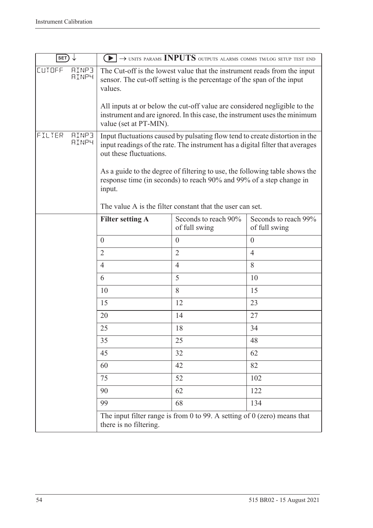| SET           |                              |                         | $\blacktriangleright$ $\rightarrow$ units params INPUTS outputs alarms comms tm/log setup test end                                                                                                                              |                                       |
|---------------|------------------------------|-------------------------|---------------------------------------------------------------------------------------------------------------------------------------------------------------------------------------------------------------------------------|---------------------------------------|
| <b>CUTOFF</b> | <b>AINP3</b><br><b>AINP4</b> | values.                 | The Cut-off is the lowest value that the instrument reads from the input<br>sensor. The cut-off setting is the percentage of the span of the input<br>All inputs at or below the cut-off value are considered negligible to the |                                       |
|               |                              | value (set at PT-MIN).  | instrument and are ignored. In this case, the instrument uses the minimum                                                                                                                                                       |                                       |
| FILTER        | <b>AINP3</b><br><b>AINP4</b> | out these fluctuations. | Input fluctuations caused by pulsating flow tend to create distortion in the<br>input readings of the rate. The instrument has a digital filter that averages                                                                   |                                       |
|               |                              | input.                  | As a guide to the degree of filtering to use, the following table shows the<br>response time (in seconds) to reach 90% and 99% of a step change in                                                                              |                                       |
|               |                              |                         | The value A is the filter constant that the user can set.                                                                                                                                                                       |                                       |
|               |                              | <b>Filter setting A</b> | Seconds to reach 90%<br>of full swing                                                                                                                                                                                           | Seconds to reach 99%<br>of full swing |
|               |                              | $\overline{0}$          | $\theta$                                                                                                                                                                                                                        | $\overline{0}$                        |
|               |                              | $\overline{2}$          | $\overline{2}$                                                                                                                                                                                                                  | $\overline{4}$                        |
|               |                              | $\overline{4}$          | $\overline{4}$                                                                                                                                                                                                                  | 8                                     |
|               |                              | 6                       | 5                                                                                                                                                                                                                               | 10                                    |
|               |                              | 10                      | 8                                                                                                                                                                                                                               | 15                                    |
|               |                              | 15                      | 12                                                                                                                                                                                                                              | 23                                    |
|               |                              | 20                      | 14                                                                                                                                                                                                                              | 27                                    |
|               |                              | 25                      | 18                                                                                                                                                                                                                              | 34                                    |
|               |                              | 35                      | 25                                                                                                                                                                                                                              | 48                                    |
|               |                              | 45                      | 32                                                                                                                                                                                                                              | 62                                    |
|               |                              | 60                      | 42                                                                                                                                                                                                                              | 82                                    |
|               |                              | 75                      | 52                                                                                                                                                                                                                              | 102                                   |
|               |                              | 90                      | 62                                                                                                                                                                                                                              | 122                                   |
|               |                              | 99                      | 68                                                                                                                                                                                                                              | 134                                   |
|               |                              | there is no filtering.  | The input filter range is from 0 to 99. A setting of $0$ (zero) means that                                                                                                                                                      |                                       |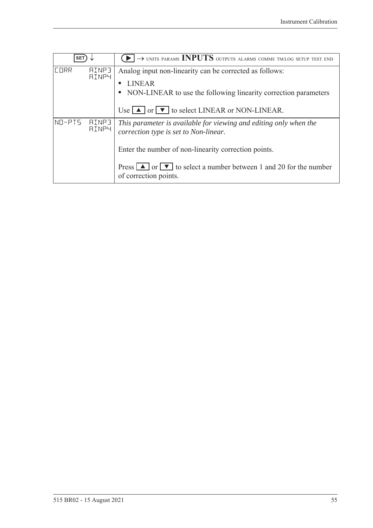| SE <sub>1</sub> |                       | $\blacktriangleright$ $\rightarrow$ units params <b>INPUTS</b> outputs alarms comms tm/log setup test end  |
|-----------------|-----------------------|------------------------------------------------------------------------------------------------------------|
| <b>CORR</b>     | RINP3<br><b>AINP4</b> | Analog input non-linearity can be corrected as follows:                                                    |
|                 |                       | <b>LINEAR</b><br>$\bullet$                                                                                 |
|                 |                       | • NON-LINEAR to use the following linearity correction parameters                                          |
|                 |                       | Use $\Box$ or $\nabla$ to select LINEAR or NON-LINEAR.                                                     |
| NO-PIS          | RINP3<br><b>AINP4</b> | This parameter is available for viewing and editing only when the<br>correction type is set to Non-linear. |
|                 |                       | Enter the number of non-linearity correction points.                                                       |
|                 |                       | Press $\Box$ or $\nabla$ to select a number between 1 and 20 for the number<br>of correction points.       |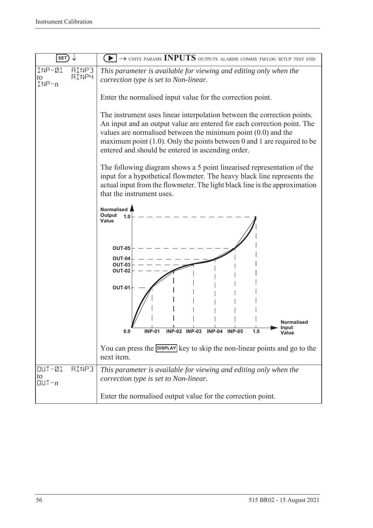| <b>SET</b>                                                    | $\rightarrow$ units params INPUTS outputs alarms comms tm/log setup test end                                                                                                                                                                                                                                                                             |  |  |
|---------------------------------------------------------------|----------------------------------------------------------------------------------------------------------------------------------------------------------------------------------------------------------------------------------------------------------------------------------------------------------------------------------------------------------|--|--|
| $INP - Q1$<br><b>AINP3</b><br><b>AINP4</b><br>to<br>$INP - n$ | This parameter is available for viewing and editing only when the<br>correction type is set to Non-linear.                                                                                                                                                                                                                                               |  |  |
|                                                               | Enter the normalised input value for the correction point.                                                                                                                                                                                                                                                                                               |  |  |
|                                                               | The instrument uses linear interpolation between the correction points.<br>An input and an output value are entered for each correction point. The<br>values are normalised between the minimum point $(0.0)$ and the<br>maximum point $(1.0)$ . Only the points between 0 and 1 are required to be<br>entered and should be entered in ascending order. |  |  |
|                                                               | The following diagram shows a 5 point linearised representation of the<br>input for a hypothetical flowmeter. The heavy black line represents the<br>actual input from the flowmeter. The light black line is the approximation<br>that the instrument uses.                                                                                             |  |  |
|                                                               | <b>Normalised</b><br>Output<br>1.0<br>Value                                                                                                                                                                                                                                                                                                              |  |  |
|                                                               | <b>OUT-05</b><br>OUT-04<br><b>OUT-03</b><br><b>OUT-02</b>                                                                                                                                                                                                                                                                                                |  |  |
|                                                               | <b>OUT-01</b>                                                                                                                                                                                                                                                                                                                                            |  |  |
|                                                               | <b>Normalised</b><br>Input<br><b>INP-01</b><br>INP-02 INP-03 INP-04 INP-05<br>0.0<br>1.0<br>value                                                                                                                                                                                                                                                        |  |  |
|                                                               | You can press the DISPLAY key to skip the non-linear points and go to the<br>next item.                                                                                                                                                                                                                                                                  |  |  |
| $OUT-21$<br><b>AINP3</b><br>to<br>$[[] \cup T - n]$           | This parameter is available for viewing and editing only when the<br>correction type is set to Non-linear.                                                                                                                                                                                                                                               |  |  |
|                                                               | Enter the normalised output value for the correction point.                                                                                                                                                                                                                                                                                              |  |  |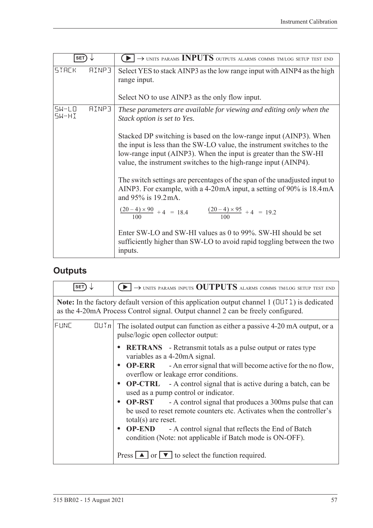| <b>SET</b>                     |              | $\rightarrow$ UNITS PARAMS INPUTS OUTPUTS ALARMS COMMS TM/LOG SETUP TEST END                                                                                                                                                                                                         |
|--------------------------------|--------------|--------------------------------------------------------------------------------------------------------------------------------------------------------------------------------------------------------------------------------------------------------------------------------------|
| <b>STACK</b>                   | <b>AINP3</b> | Select YES to stack AINP3 as the low range input with AINP4 as the high<br>range input.<br>Select NO to use AINP3 as the only flow input.                                                                                                                                            |
|                                |              |                                                                                                                                                                                                                                                                                      |
| $5W - L$ <sup>O</sup><br>SW-HI | <b>RINP3</b> | These parameters are available for viewing and editing only when the<br>Stack option is set to Yes.                                                                                                                                                                                  |
|                                |              | Stacked DP switching is based on the low-range input (AINP3). When<br>the input is less than the SW-LO value, the instrument switches to the<br>low-range input (AINP3). When the input is greater than the SW-HI<br>value, the instrument switches to the high-range input (AINP4). |
|                                |              | The switch settings are percentages of the span of the unadjusted input to<br>AINP3. For example, with a 4-20mA input, a setting of 90% is 18.4mA<br>and 95% is 19.2 mA.                                                                                                             |
|                                |              | $\frac{(20-4)\times 90}{100} + 4 = 18.4$ $\frac{(20-4)\times 95}{100} + 4 = 19.2$                                                                                                                                                                                                    |
|                                |              | Enter SW-LO and SW-HI values as 0 to 99%. SW-HI should be set<br>sufficiently higher than SW-LO to avoid rapid toggling between the two<br>inputs.                                                                                                                                   |

# **Outputs**

| <b>SET</b>                    | $\rightarrow$ units params inputs OUTPUTS alarms comms tm/log setup test end                                                                                                                                                                                                                                                                                                                                                                                                                                                                                                                                                                                                                                                                                                                                 |
|-------------------------------|--------------------------------------------------------------------------------------------------------------------------------------------------------------------------------------------------------------------------------------------------------------------------------------------------------------------------------------------------------------------------------------------------------------------------------------------------------------------------------------------------------------------------------------------------------------------------------------------------------------------------------------------------------------------------------------------------------------------------------------------------------------------------------------------------------------|
|                               | <b>Note:</b> In the factory default version of this application output channel 1 ( $\Box$ $\Box$ ) is dedicated<br>as the 4-20mA Process Control signal. Output channel 2 can be freely configured.                                                                                                                                                                                                                                                                                                                                                                                                                                                                                                                                                                                                          |
| <b>FUNE</b><br>$[[] \cup [n]$ | The isolated output can function as either a passive 4-20 mA output, or a<br>pulse/logic open collector output:<br><b>RETRANS</b> - Retransmit totals as a pulse output or rates type<br>variables as a 4-20mA signal.<br><b>OP-ERR</b> - An error signal that will become active for the no flow,<br>$\bullet$<br>overflow or leakage error conditions.<br><b>OP-CTRL</b> - A control signal that is active during a batch, can be<br>$\bullet$<br>used as a pump control or indicator.<br>OP-RST<br>- A control signal that produces a 300ms pulse that can<br>be used to reset remote counters etc. Activates when the controller's<br>$total(s)$ are reset.<br><b>OP-END</b> - A control signal that reflects the End of Batch<br>$\bullet$<br>condition (Note: not applicable if Batch mode is ON-OFF). |
|                               | Press $\boxed{\blacktriangle}$ or $\boxed{\blacktriangledown}$ to select the function required.                                                                                                                                                                                                                                                                                                                                                                                                                                                                                                                                                                                                                                                                                                              |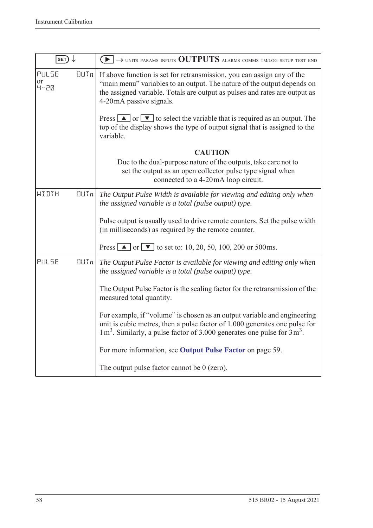| SET) $\downarrow$   |                          | $\textcolor{blue}{\blacktriangleright} \rightarrow$ units params inputs $\textcolor{blue}{\text{OUTPUTS}}$ alarms comms tm/log setup test end                                                                                                               |
|---------------------|--------------------------|-------------------------------------------------------------------------------------------------------------------------------------------------------------------------------------------------------------------------------------------------------------|
| PULSE<br>or<br>4-20 | UUTn                     | If above function is set for retransmission, you can assign any of the<br>"main menu" variables to an output. The nature of the output depends on<br>the assigned variable. Totals are output as pulses and rates are output as<br>4-20 mA passive signals. |
|                     |                          | Press $\Box$ or $\nabla$ to select the variable that is required as an output. The<br>top of the display shows the type of output signal that is assigned to the<br>variable.                                                                               |
|                     |                          | <b>CAUTION</b>                                                                                                                                                                                                                                              |
|                     |                          | Due to the dual-purpose nature of the outputs, take care not to<br>set the output as an open collector pulse type signal when<br>connected to a 4-20mA loop circuit.                                                                                        |
| WIDTH               | $Q$ $U$ $T$ $n$          | The Output Pulse Width is available for viewing and editing only when<br>the assigned variable is a total (pulse output) type.                                                                                                                              |
|                     |                          | Pulse output is usually used to drive remote counters. Set the pulse width<br>(in milliseconds) as required by the remote counter.                                                                                                                          |
|                     |                          | Press $\Box$ or $\Box$ to set to: 10, 20, 50, 100, 200 or 500 ms.                                                                                                                                                                                           |
| PULSE               | $\Box$ $\Box$ $\Box$ $n$ | The Output Pulse Factor is available for viewing and editing only when<br>the assigned variable is a total (pulse output) type.                                                                                                                             |
|                     |                          | The Output Pulse Factor is the scaling factor for the retransmission of the<br>measured total quantity.                                                                                                                                                     |
|                     |                          | For example, if "volume" is chosen as an output variable and engineering<br>unit is cubic metres, then a pulse factor of 1.000 generates one pulse for<br>$1 \text{ m}^3$ . Similarly, a pulse factor of 3.000 generates one pulse for $3 \text{ m}^3$ .    |
|                     |                          | For more information, see Output Pulse Factor on page 59.                                                                                                                                                                                                   |
|                     |                          | The output pulse factor cannot be $0$ (zero).                                                                                                                                                                                                               |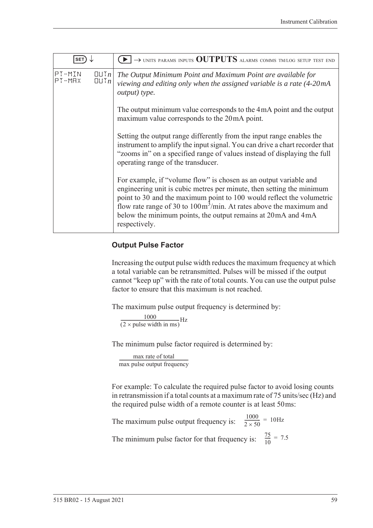| <b>SET</b>                                                        | $\rightarrow$ units params inputs OUTPUTS alarms comms tm/log setup test end                                                                                                                                                                                                                                                                                                                  |
|-------------------------------------------------------------------|-----------------------------------------------------------------------------------------------------------------------------------------------------------------------------------------------------------------------------------------------------------------------------------------------------------------------------------------------------------------------------------------------|
| PT-MIN<br>$\Box$ $\Box$ $n$<br>$\Box$ $\Box$ $\Box$ $n$<br>PT-MAX | The Output Minimum Point and Maximum Point are available for<br>viewing and editing only when the assigned variable is a rate (4-20mA<br>output) type.                                                                                                                                                                                                                                        |
|                                                                   | The output minimum value corresponds to the 4mA point and the output<br>maximum value corresponds to the 20mA point.                                                                                                                                                                                                                                                                          |
|                                                                   | Setting the output range differently from the input range enables the<br>instrument to amplify the input signal. You can drive a chart recorder that<br>"zooms in" on a specified range of values instead of displaying the full<br>operating range of the transducer.                                                                                                                        |
|                                                                   | For example, if "volume flow" is chosen as an output variable and<br>engineering unit is cubic metres per minute, then setting the minimum<br>point to 30 and the maximum point to 100 would reflect the volumetric<br>flow rate range of 30 to $100 \text{m}^3/\text{min}$ . At rates above the maximum and<br>below the minimum points, the output remains at 20mA and 4mA<br>respectively. |

#### <span id="page-68-0"></span>**Output Pulse Factor**

Increasing the output pulse width reduces the maximum frequency at which a total variable can be retransmitted. Pulses will be missed if the output cannot "keep up" with the rate of total counts. You can use the output pulse factor to ensure that this maximum is not reached.

The maximum pulse output frequency is determined by:

 $\frac{1000}{(2 \times \text{pulse width in ms)}}$ Hz

The minimum pulse factor required is determined by:

max rate of total max pulse output frequency ------------------------------------------------------------------

For example: To calculate the required pulse factor to avoid losing counts in retransmission if a total counts at a maximum rate of 75 units/sec (Hz) and the required pulse width of a remote counter is at least 50 ms:

The maximum pulse output frequency is:  $\frac{1000}{2 \times 50}$  = 10Hz The minimum pulse factor for that frequency is:  $\frac{75}{10}$  $\frac{75}{10}$  = 7.5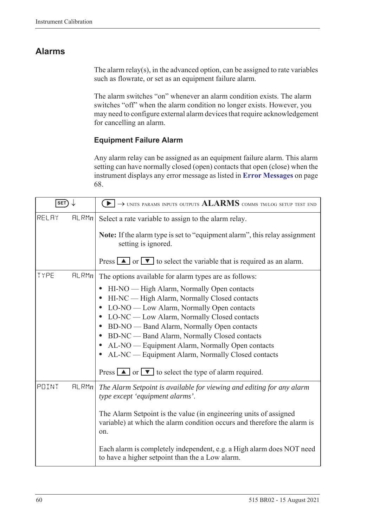# **Alarms**

The alarm relay(s), in the advanced option, can be assigned to rate variables such as flowrate, or set as an equipment failure alarm.

The alarm switches "on" whenever an alarm condition exists. The alarm switches "off" when the alarm condition no longer exists. However, you may need to configure external alarm devices that require acknowledgement for cancelling an alarm.

### **Equipment Failure Alarm**

Any alarm relay can be assigned as an equipment failure alarm. This alarm setting can have normally closed (open) contacts that open (close) when the instrument displays any error message as listed in **[Error Messages](#page-77-1)** on page [68](#page-77-1).

| SET)  |       | $\rightarrow$ units params inputs outputs $ALARNING$ comms tm/log setup test end                                                                                                                                                                                                                                                                                                                                                                                                                                                                                      |
|-------|-------|-----------------------------------------------------------------------------------------------------------------------------------------------------------------------------------------------------------------------------------------------------------------------------------------------------------------------------------------------------------------------------------------------------------------------------------------------------------------------------------------------------------------------------------------------------------------------|
| RELAY | HLRMn | Select a rate variable to assign to the alarm relay.<br><b>Note:</b> If the alarm type is set to "equipment alarm", this relay assignment<br>setting is ignored.<br>Press $\boxed{\blacktriangle}$ or $\boxed{\blacktriangledown}$ to select the variable that is required as an alarm.                                                                                                                                                                                                                                                                               |
| TYPE  | HLRMn | The options available for alarm types are as follows:<br>HI-NO — High Alarm, Normally Open contacts<br>HI-NC — High Alarm, Normally Closed contacts<br>• LO-NO — Low Alarm, Normally Open contacts<br>• LO-NC — Low Alarm, Normally Closed contacts<br>• BD-NO - Band Alarm, Normally Open contacts<br>• BD-NC — Band Alarm, Normally Closed contacts<br>AL-NO — Equipment Alarm, Normally Open contacts<br>AL-NC — Equipment Alarm, Normally Closed contacts<br>Press $\boxed{\blacktriangle}$ or $\boxed{\blacktriangledown}$ to select the type of alarm required. |
| POINT | HLRMn | The Alarm Setpoint is available for viewing and editing for any alarm<br>type except 'equipment alarms'.<br>The Alarm Setpoint is the value (in engineering units of assigned<br>variable) at which the alarm condition occurs and therefore the alarm is<br>on.<br>Each alarm is completely independent, e.g. a High alarm does NOT need<br>to have a higher setpoint than the a Low alarm.                                                                                                                                                                          |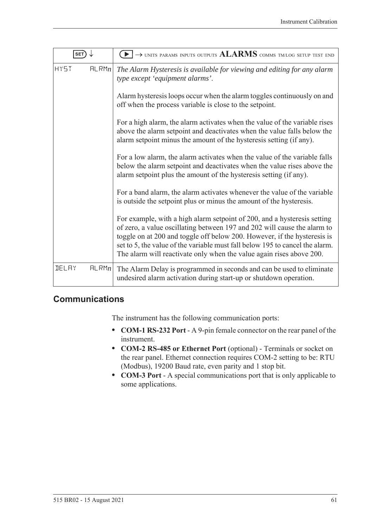| <b>SET</b>           | $\rightarrow$ units params inputs outputs $ALARNING$ comms tm/log setup test end                                                                                                                                                                                                                                                                                                         |
|----------------------|------------------------------------------------------------------------------------------------------------------------------------------------------------------------------------------------------------------------------------------------------------------------------------------------------------------------------------------------------------------------------------------|
| <b>HY5T</b><br>HLRMn | The Alarm Hysteresis is available for viewing and editing for any alarm<br>type except 'equipment alarms'.                                                                                                                                                                                                                                                                               |
|                      | Alarm hysteresis loops occur when the alarm toggles continuously on and<br>off when the process variable is close to the setpoint.                                                                                                                                                                                                                                                       |
|                      | For a high alarm, the alarm activates when the value of the variable rises<br>above the alarm setpoint and deactivates when the value falls below the<br>alarm setpoint minus the amount of the hysteresis setting (if any).                                                                                                                                                             |
|                      | For a low alarm, the alarm activates when the value of the variable falls<br>below the alarm setpoint and deactivates when the value rises above the<br>alarm setpoint plus the amount of the hysteresis setting (if any).                                                                                                                                                               |
|                      | For a band alarm, the alarm activates whenever the value of the variable<br>is outside the setpoint plus or minus the amount of the hysteresis.                                                                                                                                                                                                                                          |
|                      | For example, with a high alarm setpoint of 200, and a hysteresis setting<br>of zero, a value oscillating between 197 and 202 will cause the alarm to<br>toggle on at 200 and toggle off below 200. However, if the hysteresis is<br>set to 5, the value of the variable must fall below 195 to cancel the alarm.<br>The alarm will reactivate only when the value again rises above 200. |
| DELAY<br>HLRMn       | The Alarm Delay is programmed in seconds and can be used to eliminate<br>undesired alarm activation during start-up or shutdown operation.                                                                                                                                                                                                                                               |

# **Communications**

The instrument has the following communication ports:

- **• COM-1 RS-232 Port** A 9-pin female connector on the rear panel of the instrument.
- **• COM-2 RS-485 or Ethernet Port** (optional) Terminals or socket on the rear panel. Ethernet connection requires COM-2 setting to be: RTU (Modbus), 19200 Baud rate, even parity and 1 stop bit.
- **• COM-3 Port** A special communications port that is only applicable to some applications.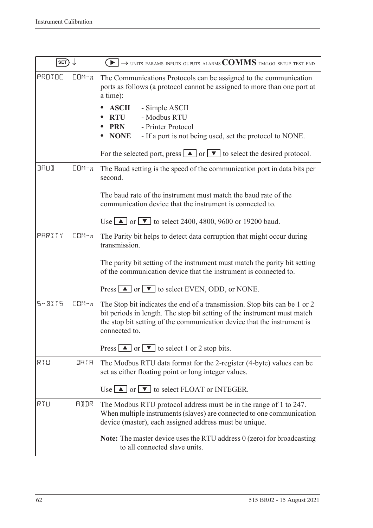| SET)                    | $\rightarrow$ units params inputs ouputs alarms $COMMS$ tm/log setup test end                                                                                                                                                                     |
|-------------------------|---------------------------------------------------------------------------------------------------------------------------------------------------------------------------------------------------------------------------------------------------|
| PROTOC<br>$CDM - n$     | The Communications Protocols can be assigned to the communication<br>ports as follows (a protocol cannot be assigned to more than one port at<br>a time):                                                                                         |
|                         | <b>ASCII</b><br>- Simple ASCII<br>- Modbus RTU<br><b>RTU</b>                                                                                                                                                                                      |
|                         | - Printer Protocol<br><b>PRN</b><br><b>NONE</b><br>- If a port is not being used, set the protocol to NONE.                                                                                                                                       |
|                         | For the selected port, press $\boxed{\blacktriangle}$ or $\boxed{\blacktriangledown}$ to select the desired protocol.                                                                                                                             |
| BAUD<br>$CDM - n$       | The Baud setting is the speed of the communication port in data bits per<br>second.                                                                                                                                                               |
|                         | The baud rate of the instrument must match the baud rate of the<br>communication device that the instrument is connected to.                                                                                                                      |
|                         | Use $\boxed{\blacktriangle}$ or $\boxed{\blacktriangledown}$ to select 2400, 4800, 9600 or 19200 baud.                                                                                                                                            |
| PARITY<br>$CDM - n$     | The Parity bit helps to detect data corruption that might occur during<br>transmission.                                                                                                                                                           |
|                         | The parity bit setting of the instrument must match the parity bit setting<br>of the communication device that the instrument is connected to.                                                                                                    |
|                         | Press $\boxed{\blacktriangle}$ or $\boxed{\blacktriangledown}$ to select EVEN, ODD, or NONE.                                                                                                                                                      |
| $5 - B175$<br>$CDM - n$ | The Stop bit indicates the end of a transmission. Stop bits can be 1 or 2<br>bit periods in length. The stop bit setting of the instrument must match<br>the stop bit setting of the communication device that the instrument is<br>connected to. |
|                         | Press $\boxed{\blacktriangle}$ or $\boxed{\blacktriangledown}$ to select 1 or 2 stop bits.                                                                                                                                                        |
| RTU                     | <b>IRTR</b><br>The Modbus RTU data format for the 2-register (4-byte) values can be<br>set as either floating point or long integer values.                                                                                                       |
|                         | Use $\boxed{\blacktriangle}$ or $\boxed{\blacktriangledown}$ to select FLOAT or INTEGER.                                                                                                                                                          |
| RTU                     | ALLR<br>The Modbus RTU protocol address must be in the range of 1 to 247.<br>When multiple instruments (slaves) are connected to one communication<br>device (master), each assigned address must be unique.                                      |
|                         | Note: The master device uses the RTU address $0$ (zero) for broadcasting<br>to all connected slave units.                                                                                                                                         |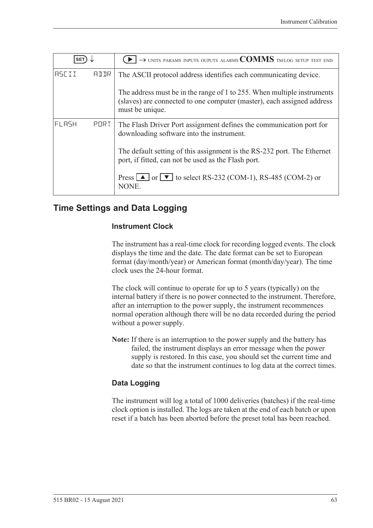| <b>SET</b>   |             | $\rightarrow$ units params inputs ouputs alarms $COMMS$ tm/log setup test end                                                                                        |  |  |  |  |  |  |
|--------------|-------------|----------------------------------------------------------------------------------------------------------------------------------------------------------------------|--|--|--|--|--|--|
| <b>ASCII</b> | <b>ATTR</b> | The ASCII protocol address identifies each communicating device.                                                                                                     |  |  |  |  |  |  |
|              |             | The address must be in the range of 1 to 255. When multiple instruments<br>(slaves) are connected to one computer (master), each assigned address<br>must be unique. |  |  |  |  |  |  |
| <b>FLASH</b> | PORT        | The Flash Driver Port assignment defines the communication port for<br>downloading software into the instrument.                                                     |  |  |  |  |  |  |
|              |             | The default setting of this assignment is the RS-232 port. The Ethernet<br>port, if fitted, can not be used as the Flash port.                                       |  |  |  |  |  |  |
|              |             | Press $\blacksquare$ or $\blacksquare$ to select RS-232 (COM-1), RS-485 (COM-2) or<br>NONE.                                                                          |  |  |  |  |  |  |

#### <span id="page-72-0"></span>**Time Settings and Data Logging**

#### **Instrument Clock**

The instrument has a real-time clock for recording logged events. The clock displays the time and the date. The date format can be set to European format (day/month/year) or American format (month/day/year). The time clock uses the 24-hour format.

The clock will continue to operate for up to 5 years (typically) on the internal battery if there is no power connected to the instrument. Therefore, after an interruption to the power supply, the instrument recommences normal operation although there will be no data recorded during the period without a power supply.

**Note:** If there is an interruption to the power supply and the battery has failed, the instrument displays an error message when the power supply is restored. In this case, you should set the current time and date so that the instrument continues to log data at the correct times.

#### **Data Logging**

The instrument will log a total of 1000 deliveries (batches) if the real-time clock option is installed. The logs are taken at the end of each batch or upon reset if a batch has been aborted before the preset total has been reached.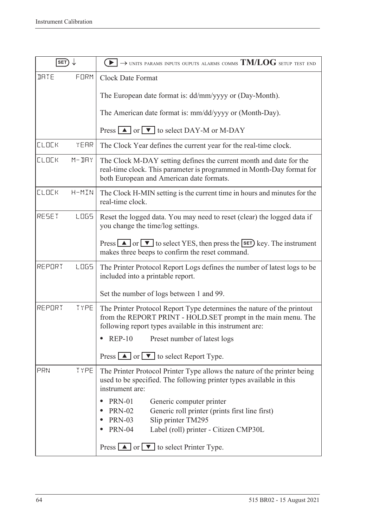| SET)         |             | $\rightarrow$ units params inputs ouputs alarms comms $\mathbf{TM} / \mathbf{LOG}$ setup test end                                                                                                                                    |  |  |  |  |  |  |  |  |  |
|--------------|-------------|--------------------------------------------------------------------------------------------------------------------------------------------------------------------------------------------------------------------------------------|--|--|--|--|--|--|--|--|--|
| <b>JATE</b>  | FORM        | <b>Clock Date Format</b>                                                                                                                                                                                                             |  |  |  |  |  |  |  |  |  |
|              |             | The European date format is: dd/mm/yyyy or (Day-Month).                                                                                                                                                                              |  |  |  |  |  |  |  |  |  |
|              |             | The American date format is: mm/dd/yyyy or (Month-Day).                                                                                                                                                                              |  |  |  |  |  |  |  |  |  |
|              |             | Press $\boxed{\blacktriangle}$ or $\boxed{\blacktriangledown}$ to select DAY-M or M-DAY                                                                                                                                              |  |  |  |  |  |  |  |  |  |
| <b>CLOCK</b> | YEAR        | The Clock Year defines the current year for the real-time clock.                                                                                                                                                                     |  |  |  |  |  |  |  |  |  |
| <b>CLOCK</b> | $M - JHY$   | The Clock M-DAY setting defines the current month and date for the<br>real-time clock. This parameter is programmed in Month-Day format for<br>both European and American date formats.                                              |  |  |  |  |  |  |  |  |  |
| ELOEK        | H-MIN       | The Clock H-MIN setting is the current time in hours and minutes for the<br>real-time clock.                                                                                                                                         |  |  |  |  |  |  |  |  |  |
| RESET        | <b>LOGS</b> | Reset the logged data. You may need to reset (clear) the logged data if<br>you change the time/log settings.<br>Press $\boxed{\blacktriangle}$ or $\boxed{\blacktriangledown}$ to select YES, then press the SET key. The instrument |  |  |  |  |  |  |  |  |  |
|              |             | makes three beeps to confirm the reset command.                                                                                                                                                                                      |  |  |  |  |  |  |  |  |  |
| REPORT       | LO65        | The Printer Protocol Report Logs defines the number of latest logs to be<br>included into a printable report.                                                                                                                        |  |  |  |  |  |  |  |  |  |
|              |             | Set the number of logs between 1 and 99.                                                                                                                                                                                             |  |  |  |  |  |  |  |  |  |
| REPORT       | TYPE        | The Printer Protocol Report Type determines the nature of the printout<br>from the REPORT PRINT - HOLD.SET prompt in the main menu. The<br>following report types available in this instrument are:                                  |  |  |  |  |  |  |  |  |  |
|              |             | <b>REP-10</b><br>Preset number of latest logs                                                                                                                                                                                        |  |  |  |  |  |  |  |  |  |
|              |             | Press $\boxed{\blacktriangle}$ or $\boxed{\blacktriangledown}$ to select Report Type.                                                                                                                                                |  |  |  |  |  |  |  |  |  |
| PRN          | <b>TYPE</b> | The Printer Protocol Printer Type allows the nature of the printer being<br>used to be specified. The following printer types available in this<br>instrument are:                                                                   |  |  |  |  |  |  |  |  |  |
|              |             | <b>PRN-01</b><br>Generic computer printer<br>$\bullet$<br><b>PRN-02</b><br>Generic roll printer (prints first line first)<br><b>PRN-03</b><br>Slip printer TM295                                                                     |  |  |  |  |  |  |  |  |  |
|              |             | <b>PRN-04</b><br>Label (roll) printer - Citizen CMP30L<br>Press $\boxed{\blacktriangle}$ or $\boxed{\blacktriangledown}$ to select Printer Type.                                                                                     |  |  |  |  |  |  |  |  |  |
|              |             |                                                                                                                                                                                                                                      |  |  |  |  |  |  |  |  |  |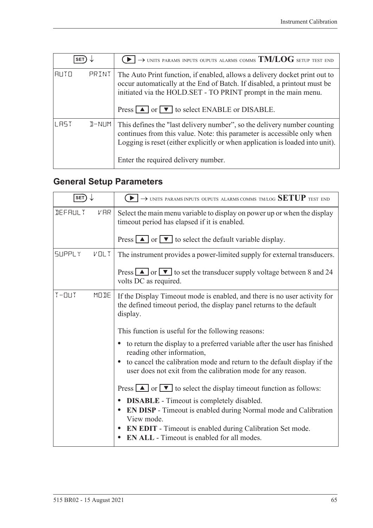|             |            | $\rightarrow$ units params inputs ouputs alarms comms $\mathrm{TM}/\mathrm{LOG}$ setup test end                                                                                                                                                                                   |
|-------------|------------|-----------------------------------------------------------------------------------------------------------------------------------------------------------------------------------------------------------------------------------------------------------------------------------|
| <b>RUTO</b> | PRINT      | The Auto Print function, if enabled, allows a delivery docket print out to<br>occur automatically at the End of Batch. If disabled, a printout must be<br>initiated via the HOLD.SET - TO PRINT prompt in the main menu.<br>Press $\Box$ or $\nabla$ to select ENABLE or DISABLE. |
| LAST        | $J - N LM$ | This defines the "last delivery number", so the delivery number counting<br>continues from this value. Note: this parameter is accessible only when<br>Logging is reset (either explicitly or when application is loaded into unit).<br>Enter the required delivery number.       |

### <span id="page-74-0"></span>**General Setup Parameters**

| SET)           |                 | $\rightarrow$ units params inputs ouputs alarms comms tm/log SETUP test end                                                                                   |
|----------------|-----------------|---------------------------------------------------------------------------------------------------------------------------------------------------------------|
| <b>DEFAULT</b> | <b>VRR</b>      | Select the main menu variable to display on power up or when the display<br>timeout period has elapsed if it is enabled.                                      |
|                |                 | Press $\Box$ or $\nabla$ to select the default variable display.                                                                                              |
| <b>SUPPLY</b>  | $V \square L$ T | The instrument provides a power-limited supply for external transducers.                                                                                      |
|                |                 | Press $\boxed{\blacktriangle}$ or $\boxed{\blacktriangledown}$ to set the transducer supply voltage between 8 and 24<br>volts DC as required.                 |
| $T - 11T$      | MODE            | If the Display Timeout mode is enabled, and there is no user activity for<br>the defined timeout period, the display panel returns to the default<br>display. |
|                |                 | This function is useful for the following reasons:                                                                                                            |
|                |                 | to return the display to a preferred variable after the user has finished<br>$\bullet$<br>reading other information,                                          |
|                |                 | to cancel the calibration mode and return to the default display if the<br>user does not exit from the calibration mode for any reason.                       |
|                |                 | Press $\boxed{\blacktriangle}$ or $\boxed{\blacktriangledown}$ to select the display timeout function as follows:                                             |
|                |                 | <b>DISABLE</b> - Timeout is completely disabled.                                                                                                              |
|                |                 | EN DISP - Timeout is enabled during Normal mode and Calibration<br>View mode.                                                                                 |
|                |                 | <b>EN EDIT</b> - Timeout is enabled during Calibration Set mode.<br><b>EN ALL</b> - Timeout is enabled for all modes.                                         |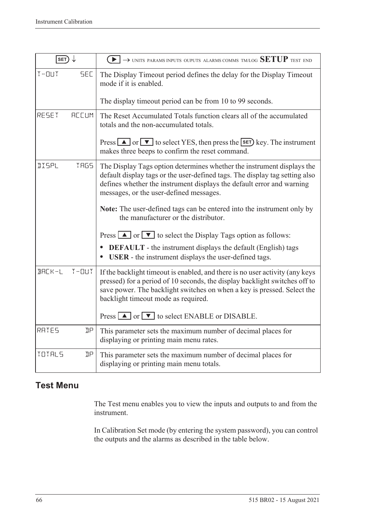| SET)          |              | $\blacktriangleright$ $\rightarrow$ units params inputs ouputs alarms comms tm/log $\operatorname{SETUP}$ test end                                                                                                                                                           |
|---------------|--------------|------------------------------------------------------------------------------------------------------------------------------------------------------------------------------------------------------------------------------------------------------------------------------|
| $T - 111T$    | <b>SEC</b>   | The Display Timeout period defines the delay for the Display Timeout<br>mode if it is enabled.                                                                                                                                                                               |
|               |              | The display timeout period can be from 10 to 99 seconds.                                                                                                                                                                                                                     |
| RESET         | <b>REEUM</b> | The Reset Accumulated Totals function clears all of the accumulated<br>totals and the non-accumulated totals.                                                                                                                                                                |
|               |              | Press $\Box$ or $\nabla$ to select YES, then press the <b>SET</b> ) key. The instrument<br>makes three beeps to confirm the reset command.                                                                                                                                   |
| <b>IISPL</b>  | <b>TRGS</b>  | The Display Tags option determines whether the instrument displays the<br>default display tags or the user-defined tags. The display tag setting also<br>defines whether the instrument displays the default error and warning<br>messages, or the user-defined messages.    |
|               |              | Note: The user-defined tags can be entered into the instrument only by<br>the manufacturer or the distributor.                                                                                                                                                               |
|               |              | Press $\Box$ or $\Box$ to select the Display Tags option as follows:                                                                                                                                                                                                         |
|               |              | <b>DEFAULT</b> - the instrument displays the default (English) tags<br>$\bullet$<br><b>USER</b> - the instrument displays the user-defined tags.                                                                                                                             |
| $B H L K - L$ | $T - 11T$    | If the backlight timeout is enabled, and there is no user activity (any keys<br>pressed) for a period of 10 seconds, the display backlight switches off to<br>save power. The backlight switches on when a key is pressed. Select the<br>backlight timeout mode as required. |
|               |              | Press $\Box$ or $\nabla$ to select ENABLE or DISABLE.                                                                                                                                                                                                                        |
| <b>RATES</b>  | IJΡ          | This parameter sets the maximum number of decimal places for<br>displaying or printing main menu rates.                                                                                                                                                                      |
| TOTALS        | ηp           | This parameter sets the maximum number of decimal places for<br>displaying or printing main menu totals.                                                                                                                                                                     |

### **Test Menu**

The Test menu enables you to view the inputs and outputs to and from the instrument.

In Calibration Set mode (by entering the system password), you can control the outputs and the alarms as described in the table below.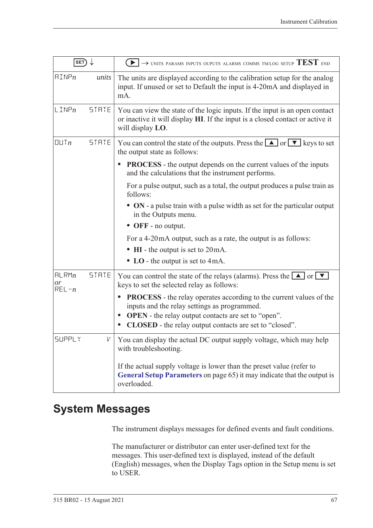| $ $ SET                  |              | $\rightarrow$ units params inputs ouputs alarms comms tm/log setup $\text{TEST}$ end                                                                                                                                                                             |  |  |  |  |  |  |  |  |
|--------------------------|--------------|------------------------------------------------------------------------------------------------------------------------------------------------------------------------------------------------------------------------------------------------------------------|--|--|--|--|--|--|--|--|
| $\text{HIMP}_n$          | units        | The units are displayed according to the calibration setup for the analog<br>input. If unused or set to Default the input is 4-20mA and displayed in<br>mA.                                                                                                      |  |  |  |  |  |  |  |  |
| $L$ INP $n$              | <b>STRTE</b> | You can view the state of the logic inputs. If the input is an open contact<br>or inactive it will display HI. If the input is a closed contact or active it<br>will display LO.                                                                                 |  |  |  |  |  |  |  |  |
| UUTn                     | STATE        | You can control the state of the outputs. Press the $\Box$ or $\nabla$ keys to set<br>the output state as follows:                                                                                                                                               |  |  |  |  |  |  |  |  |
|                          |              | <b>PROCESS</b> - the output depends on the current values of the inputs<br>and the calculations that the instrument performs.                                                                                                                                    |  |  |  |  |  |  |  |  |
|                          |              | For a pulse output, such as a total, the output produces a pulse train as<br>follows:                                                                                                                                                                            |  |  |  |  |  |  |  |  |
|                          |              | • ON - a pulse train with a pulse width as set for the particular output<br>in the Outputs menu.                                                                                                                                                                 |  |  |  |  |  |  |  |  |
|                          |              | • OFF - no output.                                                                                                                                                                                                                                               |  |  |  |  |  |  |  |  |
|                          |              | For a 4-20 mA output, such as a rate, the output is as follows:                                                                                                                                                                                                  |  |  |  |  |  |  |  |  |
|                          |              | • HI - the output is set to 20 mA.                                                                                                                                                                                                                               |  |  |  |  |  |  |  |  |
|                          |              | • LO - the output is set to 4mA.                                                                                                                                                                                                                                 |  |  |  |  |  |  |  |  |
| HLRMn<br>or<br>$REL - n$ | STRTE        | You can control the state of the relays (alarms). Press the $\Delta$ or $\nabla$<br>keys to set the selected relay as follows:                                                                                                                                   |  |  |  |  |  |  |  |  |
|                          |              | <b>PROCESS</b> - the relay operates according to the current values of the<br>$\bullet$<br>inputs and the relay settings as programmed.<br><b>OPEN</b> - the relay output contacts are set to "open".<br>CLOSED - the relay output contacts are set to "closed". |  |  |  |  |  |  |  |  |
| <b>SUPPLY</b>            | V            | You can display the actual DC output supply voltage, which may help<br>with troubleshooting.                                                                                                                                                                     |  |  |  |  |  |  |  |  |
|                          |              | If the actual supply voltage is lower than the preset value (refer to<br>General Setup Parameters on page 65) it may indicate that the output is<br>overloaded.                                                                                                  |  |  |  |  |  |  |  |  |

## **System Messages**

The instrument displays messages for defined events and fault conditions.

The manufacturer or distributor can enter user-defined text for the messages. This user-defined text is displayed, instead of the default (English) messages, when the Display Tags option in the Setup menu is set to USER.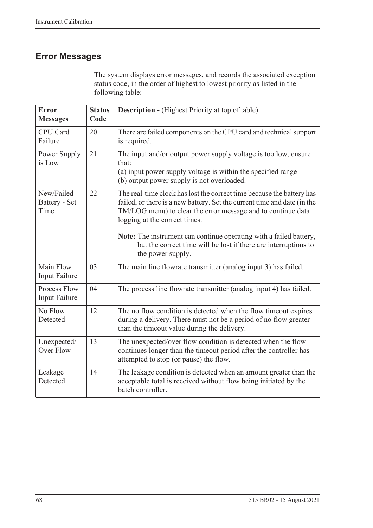### **Error Messages**

The system displays error messages, and records the associated exception status code, in the order of highest to lowest priority as listed in the following table:

| <b>Error</b><br><b>Messages</b>      | <b>Status</b><br>Code | <b>Description -</b> (Highest Priority at top of table).                                                                                                                                                                                           |
|--------------------------------------|-----------------------|----------------------------------------------------------------------------------------------------------------------------------------------------------------------------------------------------------------------------------------------------|
| CPU Card<br>Failure                  | 20                    | There are failed components on the CPU card and technical support<br>is required.                                                                                                                                                                  |
| Power Supply<br>is Low               | 21                    | The input and/or output power supply voltage is too low, ensure<br>that:<br>(a) input power supply voltage is within the specified range<br>(b) output power supply is not overloaded.                                                             |
| New/Failed<br>Battery - Set<br>Time  | 22                    | The real-time clock has lost the correct time because the battery has<br>failed, or there is a new battery. Set the current time and date (in the<br>TM/LOG menu) to clear the error message and to continue data<br>logging at the correct times. |
|                                      |                       | Note: The instrument can continue operating with a failed battery,<br>but the correct time will be lost if there are interruptions to<br>the power supply.                                                                                         |
| Main Flow<br>Input Failure           | 03                    | The main line flowrate transmitter (analog input 3) has failed.                                                                                                                                                                                    |
| Process Flow<br><b>Input Failure</b> | 04                    | The process line flowrate transmitter (analog input 4) has failed.                                                                                                                                                                                 |
| No Flow<br>Detected                  | 12                    | The no flow condition is detected when the flow timeout expires<br>during a delivery. There must not be a period of no flow greater<br>than the timeout value during the delivery.                                                                 |
| Unexpected/<br><b>Over Flow</b>      | 13                    | The unexpected/over flow condition is detected when the flow<br>continues longer than the timeout period after the controller has<br>attempted to stop (or pause) the flow.                                                                        |
| Leakage<br>Detected                  | 14                    | The leakage condition is detected when an amount greater than the<br>acceptable total is received without flow being initiated by the<br>batch controller.                                                                                         |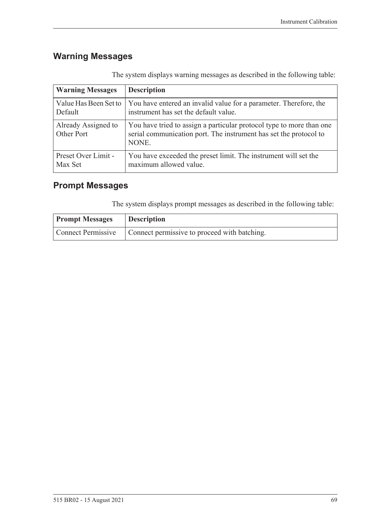### **Warning Messages**

| <b>Warning Messages</b>           | <b>Description</b>                                                                                                                                 |
|-----------------------------------|----------------------------------------------------------------------------------------------------------------------------------------------------|
| Value Has Been Set to             | You have entered an invalid value for a parameter. Therefore, the                                                                                  |
| Default                           | instrument has set the default value.                                                                                                              |
| Already Assigned to<br>Other Port | You have tried to assign a particular protocol type to more than one<br>serial communication port. The instrument has set the protocol to<br>NONE. |
| Preset Over Limit -               | You have exceeded the preset limit. The instrument will set the                                                                                    |
| Max Set                           | maximum allowed value.                                                                                                                             |

The system displays warning messages as described in the following table:

### **Prompt Messages**

The system displays prompt messages as described in the following table:

| <b>Prompt Messages</b> | <b>Description</b>                           |
|------------------------|----------------------------------------------|
| Connect Permissive     | Connect permissive to proceed with batching. |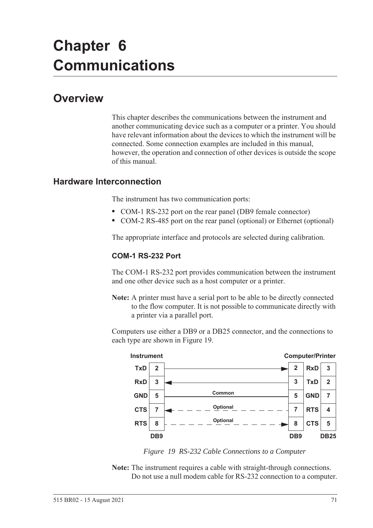# **Chapter 6 Communications**

## **Overview**

This chapter describes the communications between the instrument and another communicating device such as a computer or a printer. You should have relevant information about the devices to which the instrument will be connected. Some connection examples are included in this manual, however, the operation and connection of other devices is outside the scope of this manual.

#### **Hardware Interconnection**

The instrument has two communication ports:

- **•** COM-1 RS-232 port on the rear panel (DB9 female connector)
- **•** COM-2 RS-485 port on the rear panel (optional) or Ethernet (optional)

The appropriate interface and protocols are selected during calibration.

#### **COM-1 RS-232 Port**

The COM-1 RS-232 port provides communication between the instrument and one other device such as a host computer or a printer.

**Note:** A printer must have a serial port to be able to be directly connected to the flow computer. It is not possible to communicate directly with a printer via a parallel port.

Computers use either a DB9 or a DB25 connector, and the connections to each type are shown in [Figure 19.](#page-80-0)



*Figure 19 RS-232 Cable Connections to a Computer*

<span id="page-80-0"></span>**Note:** The instrument requires a cable with straight-through connections. Do not use a null modem cable for RS-232 connection to a computer.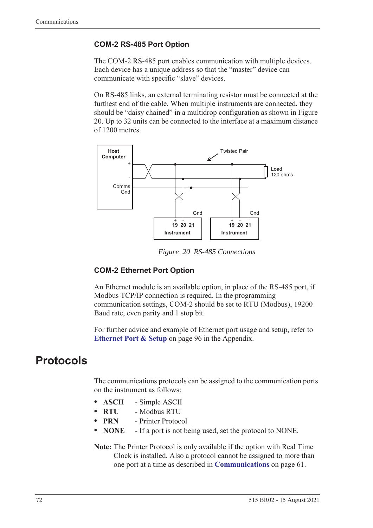#### **COM-2 RS-485 Port Option**

The COM-2 RS-485 port enables communication with multiple devices. Each device has a unique address so that the "master" device can communicate with specific "slave" devices.

On RS-485 links, an external terminating resistor must be connected at the furthest end of the cable. When multiple instruments are connected, they should be "daisy chained" in a multidrop configuration as shown in Figure [20](#page-81-0). Up to 32 units can be connected to the interface at a maximum distance of 1200 metres.



*Figure 20 RS-485 Connections*

#### <span id="page-81-0"></span>**COM-2 Ethernet Port Option**

An Ethernet module is an available option, in place of the RS-485 port, if Modbus TCP/IP connection is required. In the programming communication settings, COM-2 should be set to RTU (Modbus), 19200 Baud rate, even parity and 1 stop bit.

For further advice and example of Ethernet port usage and setup, refer to **[Ethernet Port & Setup](#page-105-0)** on page 96 in the Appendix.

### **Protocols**

The communications protocols can be assigned to the communication ports on the instrument as follows:

- **• ASCII** Simple ASCII
- **• RTU** Modbus RTU
- **• PRN** Printer Protocol
- **NONE** If a port is not being used, set the protocol to NONE.

**Note:** The Printer Protocol is only available if the option with Real Time Clock is installed. Also a protocol cannot be assigned to more than one port at a time as described in **[Communications](#page-70-0)** on page 61.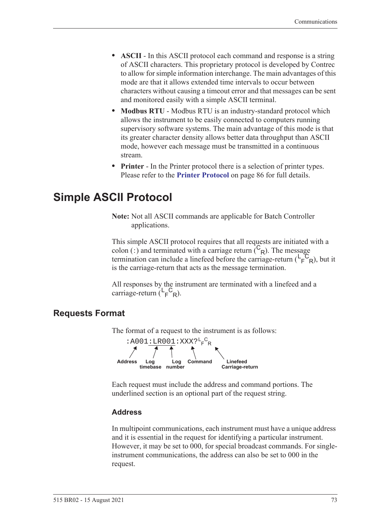- **• ASCII** In this ASCII protocol each command and response is a string of ASCII characters. This proprietary protocol is developed by Contrec to allow for simple information interchange. The main advantages of this mode are that it allows extended time intervals to occur between characters without causing a timeout error and that messages can be sent and monitored easily with a simple ASCII terminal.
- **• Modbus RTU** Modbus RTU is an industry-standard protocol which allows the instrument to be easily connected to computers running supervisory software systems. The main advantage of this mode is that its greater character density allows better data throughput than ASCII mode, however each message must be transmitted in a continuous stream.
- **• Printer** In the Printer protocol there is a selection of printer types. Please refer to the **[Printer Protocol](#page-95-0)** on page 86 for full details.

### **Simple ASCII Protocol**

**Note:** Not all ASCII commands are applicable for Batch Controller applications.

This simple ASCII protocol requires that all requests are initiated with a colon (:) and terminated with a carriage return  $\binom{C_R}{R}$ . The message termination can include a linefeed before the carriage-return  $(\mathsf{L}_\mathsf{F}^\mathsf{C}_{\mathsf{R}})$ , but it is the carriage-return that acts as the message termination.

All responses by the instrument are terminated with a linefeed and a carriage-return  $\begin{pmatrix} L & C \\ F & R \end{pmatrix}$ .

#### **Requests Format**

The format of a request to the instrument is as follows:



Each request must include the address and command portions. The underlined section is an optional part of the request string.

#### **Address**

In multipoint communications, each instrument must have a unique address and it is essential in the request for identifying a particular instrument. However, it may be set to 000, for special broadcast commands. For singleinstrument communications, the address can also be set to 000 in the request.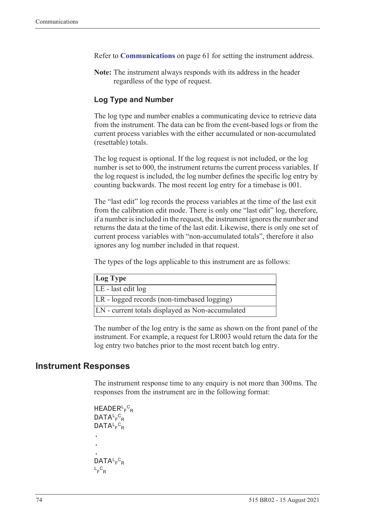Refer to **[Communications](#page-70-0)** on page 61 for setting the instrument address.

**Note:** The instrument always responds with its address in the header regardless of the type of request.

#### **Log Type and Number**

The log type and number enables a communicating device to retrieve data from the instrument. The data can be from the event-based logs or from the current process variables with the either accumulated or non-accumulated (resettable) totals.

The log request is optional. If the log request is not included, or the log number is set to 000, the instrument returns the current process variables. If the log request is included, the log number defines the specific log entry by counting backwards. The most recent log entry for a timebase is 001.

The "last edit" log records the process variables at the time of the last exit from the calibration edit mode. There is only one "last edit" log, therefore, if a number is included in the request, the instrument ignores the number and returns the data at the time of the last edit. Likewise, there is only one set of current process variables with "non-accumulated totals", therefore it also ignores any log number included in that request.

The types of the logs applicable to this instrument are as follows:

| Log Type                                         |
|--------------------------------------------------|
| LE - last edit log                               |
| LR - logged records (non-timebased logging)      |
| LN - current totals displayed as Non-accumulated |

The number of the log entry is the same as shown on the front panel of the instrument. For example, a request for LR003 would return the data for the log entry two batches prior to the most recent batch log entry.

#### **Instrument Responses**

The instrument response time to any enquiry is not more than 300 ms. The responses from the instrument are in the following format:

```
HEADER<sup>L</sup>F<sup>C</sup>R
DATA<sup>L</sup>F<sup>C</sup>R
DATA<sup>L</sup>F<sup>C</sup>R
.
.
.
DATA<sup>L</sup>F<sup>C</sup>R
L
F
C
R
```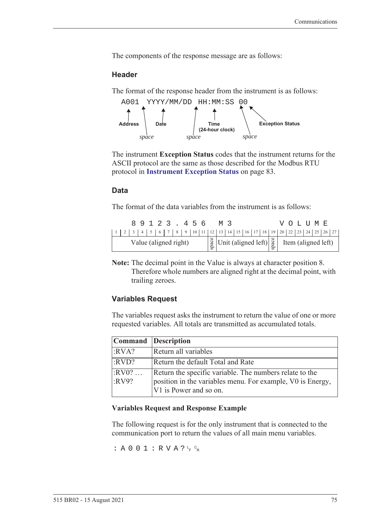The components of the response message are as follows:

#### **Header**

The format of the response header from the instrument is as follows:



The instrument **Exception Status** codes that the instrument returns for the ASCII protocol are the same as those described for the Modbus RTU protocol in **[Instrument Exception Status](#page-92-0)** on page 83.

#### **Data**

The format of the data variables from the instrument is as follows:

|  |                                                                                                                    |                       |  |  | 89123.456 |  | M २ |                                                                                                                                           |  |  |  |  | V O L II M E |  |  |
|--|--------------------------------------------------------------------------------------------------------------------|-----------------------|--|--|-----------|--|-----|-------------------------------------------------------------------------------------------------------------------------------------------|--|--|--|--|--------------|--|--|
|  | 2   3   4   5   6   7   8   9   10   11   12   13   14   15   16   17   18   19   20   22   23   24   25   26   27 |                       |  |  |           |  |     |                                                                                                                                           |  |  |  |  |              |  |  |
|  |                                                                                                                    | Value (aligned right) |  |  |           |  |     | $\begin{bmatrix} 8 \\ 8 \\ 6 \\ 6 \end{bmatrix}$ Unit (aligned left) $\begin{bmatrix} 8 \\ 8 \\ 6 \\ 6 \end{bmatrix}$ Item (aligned left) |  |  |  |  |              |  |  |

**Note:** The decimal point in the Value is always at character position 8. Therefore whole numbers are aligned right at the decimal point, with trailing zeroes.

#### **Variables Request**

The variables request asks the instrument to return the value of one or more requested variables. All totals are transmitted as accumulated totals.

|                             | Command Description                                                                                                                             |
|-----------------------------|-------------------------------------------------------------------------------------------------------------------------------------------------|
| :RVA?                       | Return all variables                                                                                                                            |
| :RVD?                       | Return the default Total and Rate                                                                                                               |
| $\vert:RV0? \dots$<br>:RV9? | Return the specific variable. The numbers relate to the<br>position in the variables menu. For example, V0 is Energy,<br>V1 is Power and so on. |

#### **Variables Request and Response Example**

The following request is for the only instrument that is connected to the communication port to return the values of all main menu variables.

: A 0 0 1 : R V A ?  ${}^{\mathsf{L}}$  F  ${}^{\mathsf{C}}$  R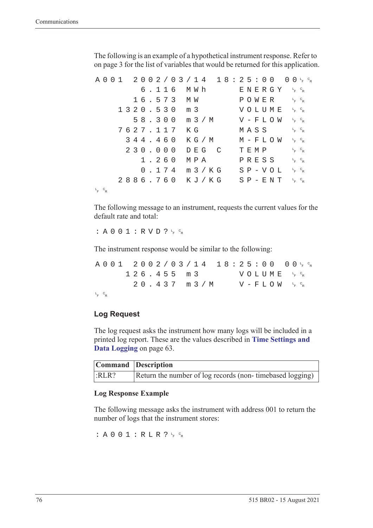The following is an example of a hypothetical instrument response. Refer to [on page 3](#page-12-0) for the list of variables that would be returned for this application.

|                 |  |  |  |  |          |  |              |  |       |  |                            |       |  | A 0 0 1 2 0 0 2 / 0 3 / 1 4 1 8 : 2 5 : 0 0 0 0 0 $\frac{1}{2}$ $\frac{6}{10}$ |                 |                 |  |
|-----------------|--|--|--|--|----------|--|--------------|--|-------|--|----------------------------|-------|--|--------------------------------------------------------------------------------|-----------------|-----------------|--|
|                 |  |  |  |  |          |  | 6.116 MWh    |  |       |  |                            |       |  | E N E R G Y                                                                    |                 |                 |  |
|                 |  |  |  |  |          |  | 16.573 MW    |  |       |  |                            | POWER |  |                                                                                | $L_{F}$ $C_{R}$ |                 |  |
|                 |  |  |  |  |          |  | 1320.530 m 3 |  |       |  |                            |       |  | VOLUME <sup>L</sup> <sub>R</sub> <sup>C</sup> R                                |                 |                 |  |
|                 |  |  |  |  |          |  |              |  |       |  | 58.300 m 3 / M V - F L O W |       |  |                                                                                | $L_{F}$ $C_{R}$ |                 |  |
|                 |  |  |  |  | 7627.117 |  | K G          |  |       |  |                            | MASS  |  |                                                                                |                 | $L_{F}$ $C_{R}$ |  |
|                 |  |  |  |  |          |  |              |  |       |  | 344.460 KG/M M-FLOW        |       |  |                                                                                | $L_F$ $C_R$     |                 |  |
|                 |  |  |  |  | 230.000  |  |              |  | DEG C |  | T E M P                    |       |  |                                                                                | $L_F$ $C_R$     |                 |  |
|                 |  |  |  |  | 1.260    |  | МРА          |  |       |  |                            | PRESS |  |                                                                                |                 | $L_{F}$ $C_{R}$ |  |
|                 |  |  |  |  |          |  |              |  |       |  | $0.174$ m $3/KG$ SP-VOL    |       |  |                                                                                | $L_F$ $C_R$     |                 |  |
|                 |  |  |  |  |          |  |              |  |       |  |                            |       |  | 2886.760 KJ/KG SP-ENT F <sup>c</sup> r                                         |                 |                 |  |
| $L_{F}$ $C_{R}$ |  |  |  |  |          |  |              |  |       |  |                            |       |  |                                                                                |                 |                 |  |

The following message to an instrument, requests the current values for the default rate and total:

: A 0 0 1 : R V D ?  $L_F$   $C_R$ 

The instrument response would be similar to the following:

A001 2002/03/14 18:25:00  $F$   $\circ$ <sub>R</sub> 126.455 m3 VOLUME <sup>L</sup>  $F$   $\circ$ <sub>R</sub> 20.437 m3/M V-FLOW <sup>L</sup> <sup>F</sup> <sup>C</sup> R L <sup>F</sup> <sup>C</sup> R

#### **Log Request**

The log request asks the instrument how many logs will be included in a printed log report. These are the values described in **[Time Settings and](#page-72-0)  [Data Logging](#page-72-0)** on page 63.

|      | Command Description                                      |
|------|----------------------------------------------------------|
| RLR? | Return the number of log records (non-timebased logging) |

#### **Log Response Example**

The following message asks the instrument with address 001 to return the number of logs that the instrument stores:

: A 0 0 1 : R L R ?  $L_F$   $C_R$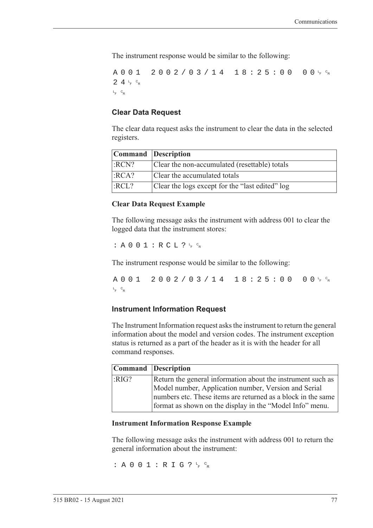The instrument response would be similar to the following:

A001 2002/03/14 18:25:00  $F$   $C_R$  $24r$ <sub>F</sub>  $c$ <sub>R</sub> L <sup>F</sup> <sup>C</sup> R

#### **Clear Data Request**

The clear data request asks the instrument to clear the data in the selected registers.

| Command Description |                                                 |
|---------------------|-------------------------------------------------|
| ERCN?               | Clear the non-accumulated (resettable) totals   |
| :RCA?               | Clear the accumulated totals                    |
| :RCL?               | Clear the logs except for the "last edited" log |

#### **Clear Data Request Example**

The following message asks the instrument with address 001 to clear the logged data that the instrument stores:

: A 0 0 1 : R C L ?  $L_F$   $c_R$ 

The instrument response would be similar to the following:

A001 2002/03/14 18:25:00  $F$   $C_R$ L <sup>F</sup> <sup>C</sup> R

#### <span id="page-86-0"></span>**Instrument Information Request**

The Instrument Information request asks the instrument to return the general information about the model and version codes. The instrument exception status is returned as a part of the header as it is with the header for all command responses.

| Command Description        |                                                              |
|----------------------------|--------------------------------------------------------------|
| $\mathsf{I}:\mathsf{RIG}?$ | Return the general information about the instrument such as  |
|                            | Model number, Application number, Version and Serial         |
|                            | numbers etc. These items are returned as a block in the same |
|                            | format as shown on the display in the "Model Info" menu.     |

#### **Instrument Information Response Example**

The following message asks the instrument with address 001 to return the general information about the instrument:

 $: A 0 0 1 : R I G ? L F c R$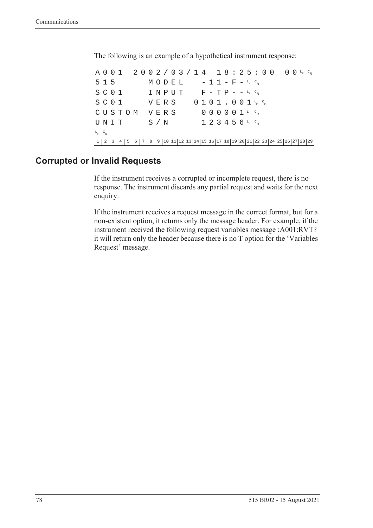The following is an example of a hypothetical instrument response:

A001 2002/03/14 18:25:00  $F$   $\circ$ <sub>R</sub>  $515$   $MODEL$   $-11-F F$   $R$  $S$  C O  $1$  I N P U T F - T P - - <sup>L</sup><sub>F</sub> <sup>C</sup>R  $S$  C O  $1$  V E R S O  $1$  O  $1$  J  $1$  , O  $0$   $1$   $1$   $1$   $6$   $8$ CUSTOM VERS 000001<sup>L</sup>F<sup>C</sup>R  $\texttt{UNIT}$  S/N 123456<sup>L</sup>F <sup>C</sup>R L <sup>F</sup> <sup>C</sup> R 1 2 3 4 5 6 7 8 9 10 11 12 13 14 15 16 17 18 19 20 21 22 23 24 25 26 27 28 29

#### **Corrupted or Invalid Requests**

If the instrument receives a corrupted or incomplete request, there is no response. The instrument discards any partial request and waits for the next enquiry.

If the instrument receives a request message in the correct format, but for a non-existent option, it returns only the message header. For example, if the instrument received the following request variables message :A001:RVT? it will return only the header because there is no T option for the 'Variables Request' message.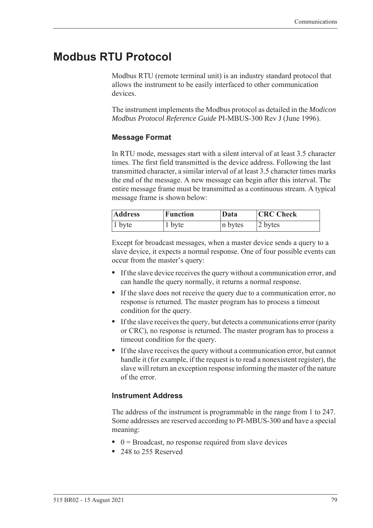### **Modbus RTU Protocol**

Modbus RTU (remote terminal unit) is an industry standard protocol that allows the instrument to be easily interfaced to other communication devices.

The instrument implements the Modbus protocol as detailed in the *Modicon Modbus Protocol Reference Guide* PI-MBUS-300 Rev J (June 1996).

#### **Message Format**

In RTU mode, messages start with a silent interval of at least 3.5 character times. The first field transmitted is the device address. Following the last transmitted character, a similar interval of at least 3.5 character times marks the end of the message. A new message can begin after this interval. The entire message frame must be transmitted as a continuous stream. A typical message frame is shown below:

| <b>Address</b> | <b>Function</b> | Data    | <b>CRC</b> Check |
|----------------|-----------------|---------|------------------|
| $ 1$ byte      | 1 byte          | n bytes | 2 bytes          |

Except for broadcast messages, when a master device sends a query to a slave device, it expects a normal response. One of four possible events can occur from the master's query:

- **•** If the slave device receives the query without a communication error, and can handle the query normally, it returns a normal response.
- **•** If the slave does not receive the query due to a communication error, no response is returned. The master program has to process a timeout condition for the query.
- **•** If the slave receives the query, but detects a communications error (parity or CRC), no response is returned. The master program has to process a timeout condition for the query.
- **•** If the slave receives the query without a communication error, but cannot handle it (for example, if the request is to read a nonexistent register), the slave will return an exception response informing the master of the nature of the error.

#### **Instrument Address**

The address of the instrument is programmable in the range from 1 to 247. Some addresses are reserved according to PI-MBUS-300 and have a special meaning:

- 0 = Broadcast, no response required from slave devices
- **•** 248 to 255 Reserved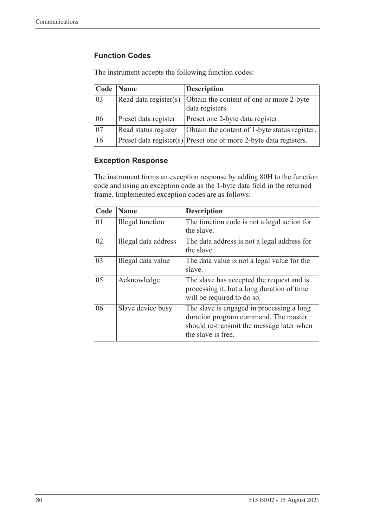#### **Function Codes**

| Code            | <b>Name</b>           | <b>Description</b>                                                    |
|-----------------|-----------------------|-----------------------------------------------------------------------|
| 03              | Read data register(s) | Obtain the content of one or more 2-byte<br>data registers.           |
| 06              | Preset data register  | Preset one 2-byte data register.                                      |
| $\overline{07}$ | Read status register  | Obtain the content of 1-byte status register.                         |
| 16              |                       | $ $ Preset data register(s) Preset one or more 2-byte data registers. |

The instrument accepts the following function codes:

#### **Exception Response**

The instrument forms an exception response by adding 80H to the function code and using an exception code as the 1-byte data field in the returned frame. Implemented exception codes are as follows:

| Code | Name                    | <b>Description</b>                                                                                                                                   |
|------|-------------------------|------------------------------------------------------------------------------------------------------------------------------------------------------|
| 01   | <b>Illegal</b> function | The function code is not a legal action for<br>the slave.                                                                                            |
| 02   | Illegal data address    | The data address is not a legal address for<br>the slave.                                                                                            |
| 03   | Illegal data value      | The data value is not a legal value for the<br>slave.                                                                                                |
| 05   | Acknowledge             | The slave has accepted the request and is<br>processing it, but a long duration of time<br>will be required to do so.                                |
| 06   | Slave device busy       | The slave is engaged in processing a long<br>duration program command. The master<br>should re-transmit the message later when<br>the slave is free. |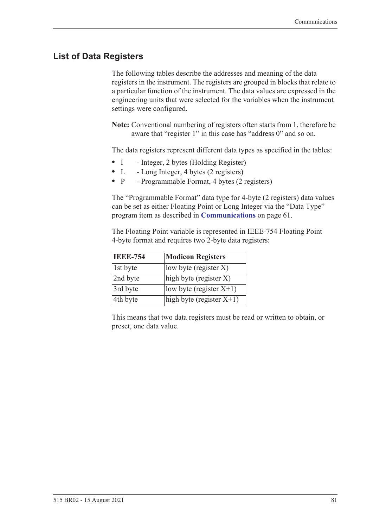#### **List of Data Registers**

The following tables describe the addresses and meaning of the data registers in the instrument. The registers are grouped in blocks that relate to a particular function of the instrument. The data values are expressed in the engineering units that were selected for the variables when the instrument settings were configured.

**Note:** Conventional numbering of registers often starts from 1, therefore be aware that "register 1" in this case has "address 0" and so on.

The data registers represent different data types as specified in the tables:

- I Integer, 2 bytes (Holding Register)
- L Long Integer, 4 bytes (2 registers)
- P Programmable Format, 4 bytes (2 registers)

The "Programmable Format" data type for 4-byte (2 registers) data values can be set as either Floating Point or Long Integer via the "Data Type" program item as described in **[Communications](#page-70-0)** on page 61.

The Floating Point variable is represented in IEEE-754 Floating Point 4-byte format and requires two 2-byte data registers:

| <b>IEEE-754</b> | <b>Modicon Registers</b>    |
|-----------------|-----------------------------|
| 1st byte        | low byte (register $X$ )    |
| 2nd byte        | high byte (register X)      |
| 3rd byte        | $ low byte (register X+1) $ |
| 4th byte        | high byte (register $X+1$ ) |

This means that two data registers must be read or written to obtain, or preset, one data value.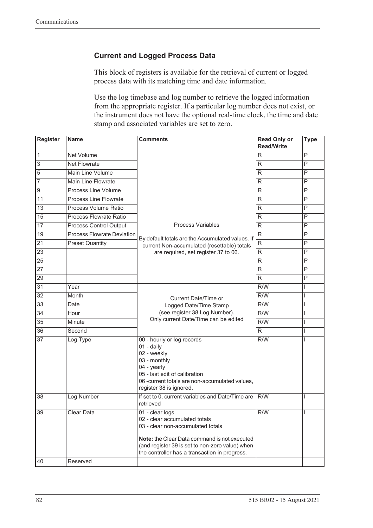#### **Current and Logged Process Data**

This block of registers is available for the retrieval of current or logged process data with its matching time and date information.

Use the log timebase and log number to retrieve the logged information from the appropriate register. If a particular log number does not exist, or the instrument does not have the optional real-time clock, the time and date stamp and associated variables are set to zero.

| <b>Register</b> | <b>Name</b>                       | <b>Comments</b>                                                                                                                                                                                                                                  | <b>Read Only or</b><br><b>Read/Write</b> | <b>Type</b>    |
|-----------------|-----------------------------------|--------------------------------------------------------------------------------------------------------------------------------------------------------------------------------------------------------------------------------------------------|------------------------------------------|----------------|
| $\mathbf{1}$    | Net Volume                        |                                                                                                                                                                                                                                                  | R                                        | P              |
| $\overline{3}$  | <b>Net Flowrate</b>               |                                                                                                                                                                                                                                                  | R                                        | P              |
| 5               | Main Line Volume                  |                                                                                                                                                                                                                                                  | R                                        | P              |
| 7               | <b>Main Line Flowrate</b>         |                                                                                                                                                                                                                                                  | R                                        | P              |
| $9$             | Process Line Volume               |                                                                                                                                                                                                                                                  | R                                        | $\overline{P}$ |
| 11              | Process Line Flowrate             |                                                                                                                                                                                                                                                  | R                                        | P              |
| 13              | Process Volume Ratio              |                                                                                                                                                                                                                                                  | R                                        | P              |
| 15              | Process Flowrate Ratio            |                                                                                                                                                                                                                                                  | R                                        | $\overline{P}$ |
| 17              | Process Control Output            | <b>Process Variables</b>                                                                                                                                                                                                                         | R                                        | P              |
| 19              | <b>Process Flowrate Deviation</b> | By default totals are the Accumulated values. If                                                                                                                                                                                                 | $\mathsf R$                              | P              |
| $\overline{21}$ | <b>Preset Quantity</b>            | current Non-accumulated (resettable) totals                                                                                                                                                                                                      | $\overline{R}$                           | $\overline{P}$ |
| 23              |                                   | are required, set register 37 to 06.                                                                                                                                                                                                             | R                                        | P              |
| 25              |                                   |                                                                                                                                                                                                                                                  | R                                        | P              |
| $\overline{27}$ |                                   |                                                                                                                                                                                                                                                  | R                                        | $\overline{P}$ |
| 29              |                                   |                                                                                                                                                                                                                                                  | R                                        | P              |
| 31              | Year                              |                                                                                                                                                                                                                                                  | R/W                                      |                |
| $\overline{32}$ | Month                             | Current Date/Time or                                                                                                                                                                                                                             | R/W                                      |                |
| 33              | Date                              | Logged Date/Time Stamp                                                                                                                                                                                                                           | R/W                                      |                |
| 34              | Hour                              | (see register 38 Log Number).                                                                                                                                                                                                                    | R/W                                      |                |
| $\overline{35}$ | Minute                            | Only current Date/Time can be edited                                                                                                                                                                                                             | R/W                                      |                |
| 36              | Second                            |                                                                                                                                                                                                                                                  | R                                        |                |
| 37              | Log Type                          | 00 - hourly or log records<br>$01 - \text{daily}$<br>02 - weekly<br>03 - monthly<br>04 - yearly<br>05 - last edit of calibration<br>06 - current totals are non-accumulated values,<br>register 38 is ignored.                                   | R/W                                      |                |
| 38              | Log Number                        | If set to 0, current variables and Date/Time are<br>retrieved                                                                                                                                                                                    | R/W                                      | ı              |
| $\overline{39}$ | <b>Clear Data</b>                 | 01 - clear logs<br>02 - clear accumulated totals<br>03 - clear non-accumulated totals<br><b>Note:</b> the Clear Data command is not executed<br>(and register 39 is set to non-zero value) when<br>the controller has a transaction in progress. | R/W                                      |                |
| 40              | Reserved                          |                                                                                                                                                                                                                                                  |                                          |                |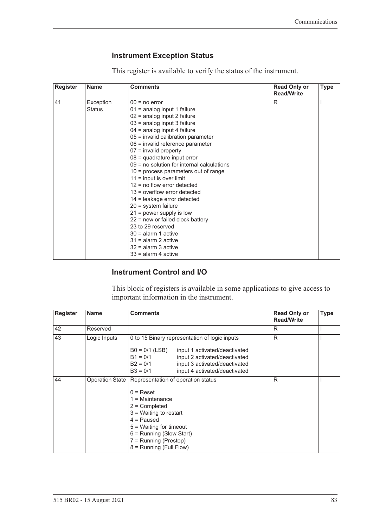#### <span id="page-92-0"></span>**Instrument Exception Status**

This register is available to verify the status of the instrument.

| <b>Register</b> | <b>Name</b>   | <b>Comments</b>                              | <b>Read Only or</b><br><b>Read/Write</b> | <b>Type</b> |
|-----------------|---------------|----------------------------------------------|------------------------------------------|-------------|
| 41              | Exception     | $00 = no error$                              | R                                        |             |
|                 | <b>Status</b> | $01$ = analog input 1 failure                |                                          |             |
|                 |               | 02 = analog input 2 failure                  |                                          |             |
|                 |               | 03 = analog input 3 failure                  |                                          |             |
|                 |               | 04 = analog input 4 failure                  |                                          |             |
|                 |               | 05 = invalid calibration parameter           |                                          |             |
|                 |               | 06 = invalid reference parameter             |                                          |             |
|                 |               | $07$ = invalid property                      |                                          |             |
|                 |               | $08$ = quadrature input error                |                                          |             |
|                 |               | $09$ = no solution for internal calculations |                                          |             |
|                 |               | $10$ = process parameters out of range       |                                          |             |
|                 |               | $11 =$ input is over limit                   |                                          |             |
|                 |               | $12$ = no flow error detected                |                                          |             |
|                 |               | $13$ = overflow error detected               |                                          |             |
|                 |               | $14$ = leakage error detected                |                                          |             |
|                 |               | $20 =$ system failure                        |                                          |             |
|                 |               | $21$ = power supply is low                   |                                          |             |
|                 |               | $22$ = new or failed clock battery           |                                          |             |
|                 |               | 23 to 29 reserved                            |                                          |             |
|                 |               | $30 =$ alarm 1 active                        |                                          |             |
|                 |               | $31$ = alarm 2 active                        |                                          |             |
|                 |               | $32$ = alarm 3 active                        |                                          |             |
|                 |               | $33$ = alarm 4 active                        |                                          |             |

#### **Instrument Control and I/O**

This block of registers is available in some applications to give access to important information in the instrument.

| <b>Register</b> | <b>Name</b>  | <b>Comments</b>                                                                                                                                                                                                                                                        | <b>Read Only or</b><br><b>Read/Write</b> | <b>Type</b> |
|-----------------|--------------|------------------------------------------------------------------------------------------------------------------------------------------------------------------------------------------------------------------------------------------------------------------------|------------------------------------------|-------------|
| 42              | Reserved     |                                                                                                                                                                                                                                                                        | R                                        |             |
| 43              | Logic Inputs | 0 to 15 Binary representation of logic inputs<br>$B0 = 0/1$ (LSB)<br>input 1 activated/deactivated<br>$B1 = 0/1$<br>input 2 activated/deactivated<br>$B2 = 0/1$<br>input 3 activated/deactivated<br>$B3 = 0/1$<br>input 4 activated/deactivated                        | R                                        |             |
| 44              |              | Operation State   Representation of operation status<br>$0 =$ Reset<br>$1 =$ Maintenance<br>$2 =$ Completed<br>$3$ = Waiting to restart<br>$4 =$ Paused<br>$5 =$ Waiting for timeout<br>6 = Running (Slow Start)<br>7 = Running (Prestop)<br>$8$ = Running (Full Flow) | R                                        |             |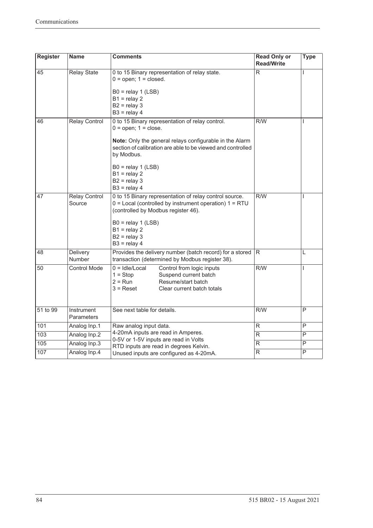| <b>Register</b> | <b>Name</b>                     | <b>Comments</b>                                                                                                                                                                                                                                                                                   | <b>Read Only or</b><br><b>Read/Write</b> | <b>Type</b>    |
|-----------------|---------------------------------|---------------------------------------------------------------------------------------------------------------------------------------------------------------------------------------------------------------------------------------------------------------------------------------------------|------------------------------------------|----------------|
| 45              | <b>Relay State</b>              | 0 to 15 Binary representation of relay state.<br>$0 =$ open; $1 =$ closed.<br>$B0 =$ relay 1 (LSB)<br>$B1 =$ relay 2<br>$B2 =$ relay 3<br>$B3 =$ relay 4                                                                                                                                          | $\overline{\mathsf{R}}$                  | $\overline{1}$ |
| 46              | <b>Relay Control</b>            | 0 to 15 Binary representation of relay control.<br>$0 =$ open; $1 =$ close.<br>Note: Only the general relays configurable in the Alarm<br>section of calibration are able to be viewed and controlled<br>by Modbus.<br>$B0 =$ relay 1 (LSB)<br>$B1 =$ relay 2<br>$B2 =$ relay 3<br>$B3 =$ relay 4 | R/W                                      | I              |
| 47              | <b>Relay Control</b><br>Source  | 0 to 15 Binary representation of relay control source.<br>$0 =$ Local (controlled by instrument operation) $1 = RTU$<br>(controlled by Modbus register 46).<br>$B0 =$ relay 1 (LSB)<br>$B1$ = relay 2<br>$B2 =$ relay 3<br>$B3 =$ relay 4                                                         | R/W                                      | T              |
| 48              | Delivery<br>Number              | Provides the delivery number (batch record) for a stored<br>transaction (determined by Modbus register 38).                                                                                                                                                                                       | R.                                       | L              |
| 50              | <b>Control Mode</b>             | $0 =$ Idle/Local<br>Control from logic inputs<br>$1 = Stop$<br>Suspend current batch<br>Resume/start batch<br>$2 = Run$<br>$3 =$ Reset<br>Clear current batch totals                                                                                                                              | R/W                                      | Ť              |
| 51 to 99        | Instrument<br><b>Parameters</b> | See next table for details.                                                                                                                                                                                                                                                                       | R/W                                      | P              |
| 101             | Analog Inp.1                    | Raw analog input data.                                                                                                                                                                                                                                                                            | $\overline{R}$                           | $\overline{P}$ |
| 103             | Analog Inp.2                    | 4-20mA inputs are read in Amperes.                                                                                                                                                                                                                                                                | $\overline{R}$                           | P              |
| 105             | Analog Inp.3                    | 0-5V or 1-5V inputs are read in Volts<br>RTD inputs are read in degrees Kelvin.                                                                                                                                                                                                                   | R                                        | $\overline{P}$ |
| 107             | Analog Inp.4                    | Unused inputs are configured as 4-20mA.                                                                                                                                                                                                                                                           | $\overline{\mathsf{R}}$                  | P              |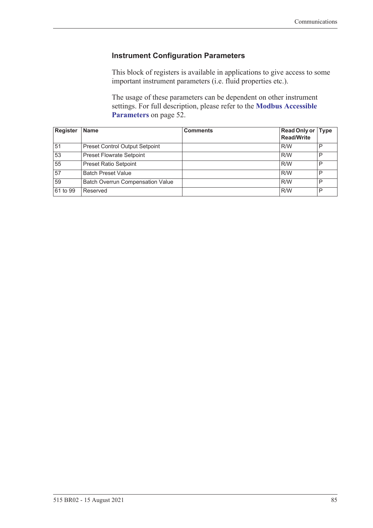#### **Instrument Configuration Parameters**

This block of registers is available in applications to give access to some important instrument parameters (i.e. fluid properties etc.).

The usage of these parameters can be dependent on other instrument settings. For full description, please refer to the **[Modbus Accessible](#page-61-0)  [Parameters](#page-61-0)** on page 52.

| <b>Register</b> | <b>Name</b>                             | <b>Comments</b> | Read Only or<br><b>Read/Write</b> | Type |
|-----------------|-----------------------------------------|-----------------|-----------------------------------|------|
| 51              | <b>Preset Control Output Setpoint</b>   |                 | R/W                               | P    |
| 53              | <b>Preset Flowrate Setpoint</b>         |                 | R/W                               | P    |
| 55              | <b>Preset Ratio Setpoint</b>            |                 | R/W                               | P    |
| 57              | <b>Batch Preset Value</b>               |                 | R/W                               | Ρ    |
| 59              | <b>Batch Overrun Compensation Value</b> |                 | R/W                               | P    |
| 61 to 99        | Reserved                                |                 | R/W                               | P    |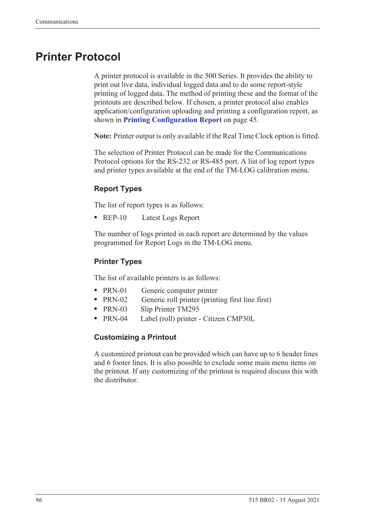## <span id="page-95-0"></span>**Printer Protocol**

A printer protocol is available in the 500 Series. It provides the ability to print out live data, individual logged data and to do some report-style printing of logged data. The method of printing these and the format of the printouts are described below. If chosen, a printer protocol also enables application/configuration uploading and printing a configuration report, as shown in **[Printing Configuration Report](#page-54-0)** on page 45.

**Note:** Printer output is only available if the Real Time Clock option is fitted.

The selection of Printer Protocol can be made for the Communications Protocol options for the RS-232 or RS-485 port. A list of log report types and printer types available at the end of the TM-LOG calibration menu.

#### **Report Types**

The list of report types is as follows:

**•** REP-10 Latest Logs Report

The number of logs printed in each report are determined by the values programmed for Report Logs in the TM-LOG menu.

#### **Printer Types**

The list of available printers is as follows:

- PRN-01 Generic computer printer
- PRN-02 Generic roll printer (printing first line first)
- PRN-03 Slip Printer TM295
- **•** PRN-04 Label (roll) printer Citizen CMP30L

#### **Customizing a Printout**

A customized printout can be provided which can have up to 6 header lines and 6 footer lines. It is also possible to exclude some main menu items on the printout. If any customizing of the printout is required discuss this with the distributor.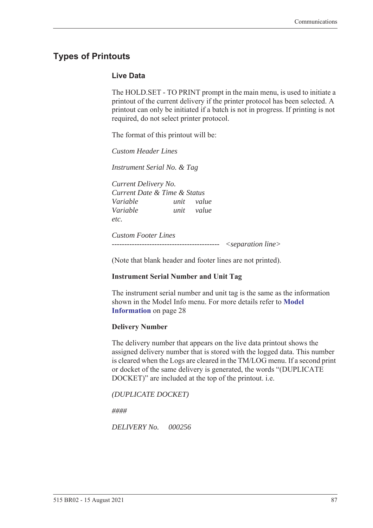#### **Types of Printouts**

#### **Live Data**

The HOLD.SET - TO PRINT prompt in the main menu, is used to initiate a printout of the current delivery if the printer protocol has been selected. A printout can only be initiated if a batch is not in progress. If printing is not required, do not select printer protocol.

The format of this printout will be:

*Custom Header Lines*

*Instrument Serial No. & Tag*

*Current Delivery No. Current Date & Time & Status Variable unit value Variable unit value etc.*

*Custom Footer Lines ------------------------------------------- <separation line>*

(Note that blank header and footer lines are not printed).

#### **Instrument Serial Number and Unit Tag**

The instrument serial number and unit tag is the same as the information shown in the Model Info menu. For more details refer to **[Model](#page-37-0)  [Information](#page-37-0)** on page 28

#### **Delivery Number**

The delivery number that appears on the live data printout shows the assigned delivery number that is stored with the logged data. This number is cleared when the Logs are cleared in the TM/LOG menu. If a second print or docket of the same delivery is generated, the words "(DUPLICATE DOCKET)" are included at the top of the printout. i.e.

*(DUPLICATE DOCKET)*

*####*

*DELIVERY No. 000256*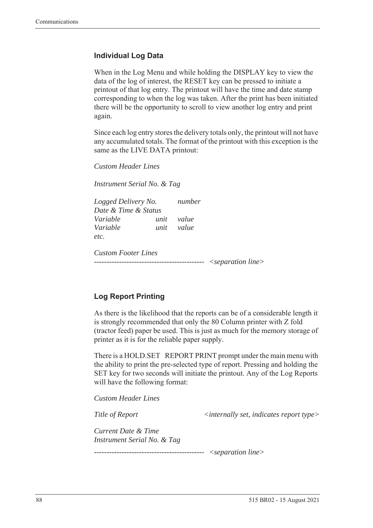#### **Individual Log Data**

When in the Log Menu and while holding the DISPLAY key to view the data of the log of interest, the RESET key can be pressed to initiate a printout of that log entry. The printout will have the time and date stamp corresponding to when the log was taken. After the print has been initiated there will be the opportunity to scroll to view another log entry and print again.

Since each log entry stores the delivery totals only, the printout will not have any accumulated totals. The format of the printout with this exception is the same as the LIVE DATA printout:

*Custom Header Lines*

*Instrument Serial No. & Tag*

| Logged Delivery No.  |            | number |  |  |
|----------------------|------------|--------|--|--|
| Date & Time & Status |            |        |  |  |
| Variable             | unit value |        |  |  |
| Variable             | unit value |        |  |  |
| etc.                 |            |        |  |  |

*Custom Footer Lines* 

*-------------------------------------------- <separation line>*

#### **Log Report Printing**

As there is the likelihood that the reports can be of a considerable length it is strongly recommended that only the 80 Column printer with Z fold (tractor feed) paper be used. This is just as much for the memory storage of printer as it is for the reliable paper supply.

There is a HOLD.SET REPORT PRINT prompt under the main menu with the ability to print the pre-selected type of report. Pressing and holding the SET key for two seconds will initiate the printout. Any of the Log Reports will have the following format:

*Custom Header Lines*

*Title of Report*  $\langle$  *internally set, indicates report type>* 

*Current Date & Time Instrument Serial No. & Tag*

*-------------------------------------------- <separation line>*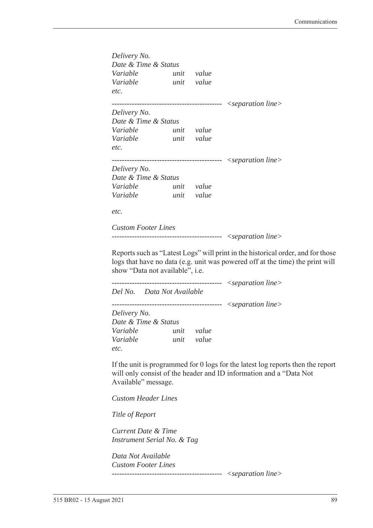| Delivery No.                                |      |            |                                                                                                                                                                  |
|---------------------------------------------|------|------------|------------------------------------------------------------------------------------------------------------------------------------------------------------------|
| Date & Time & Status<br>Variable unit value |      |            |                                                                                                                                                                  |
| Variable                                    |      | unit value |                                                                                                                                                                  |
| etc.                                        |      |            |                                                                                                                                                                  |
|                                             |      |            |                                                                                                                                                                  |
| Delivery No.                                |      |            |                                                                                                                                                                  |
| Date & Time & Status                        |      |            |                                                                                                                                                                  |
| Variable                                    |      | unit value |                                                                                                                                                                  |
| Variable                                    |      | unit value |                                                                                                                                                                  |
| etc.                                        |      |            |                                                                                                                                                                  |
|                                             |      |            |                                                                                                                                                                  |
| Delivery No.                                |      |            |                                                                                                                                                                  |
| Date & Time & Status                        |      |            |                                                                                                                                                                  |
| Variable unit value                         |      |            |                                                                                                                                                                  |
| Variable                                    |      | unit value |                                                                                                                                                                  |
|                                             |      |            |                                                                                                                                                                  |
| etc.                                        |      |            |                                                                                                                                                                  |
| <b>Custom Footer Lines</b>                  |      |            |                                                                                                                                                                  |
|                                             |      |            |                                                                                                                                                                  |
|                                             |      |            |                                                                                                                                                                  |
| show "Data not available", i.e.             |      |            | Reports such as "Latest Logs" will print in the historical order, and for those<br>logs that have no data (e.g. unit was powered off at the time) the print will |
|                                             |      |            |                                                                                                                                                                  |
| Del No. Data Not Available                  |      |            |                                                                                                                                                                  |
|                                             |      |            |                                                                                                                                                                  |
|                                             |      |            |                                                                                                                                                                  |
| Delivery No.                                |      |            |                                                                                                                                                                  |
| Date & Time & Status                        |      |            |                                                                                                                                                                  |
| Variable unit value                         |      |            |                                                                                                                                                                  |
| Variable                                    | unit | value      |                                                                                                                                                                  |
| etc.                                        |      |            |                                                                                                                                                                  |
| Available" message.                         |      |            | If the unit is programmed for 0 logs for the latest log reports then the report<br>will only consist of the header and ID information and a "Data Not            |

*Custom Header Lines*

*Title of Report*

*Current Date & Time Instrument Serial No. & Tag*

*Data Not Available Custom Footer Lines -------------------------------------------- <separation line>*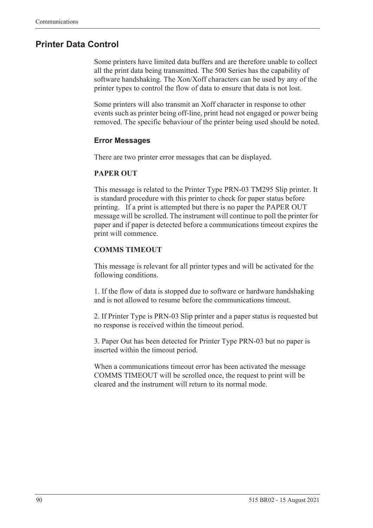#### **Printer Data Control**

Some printers have limited data buffers and are therefore unable to collect all the print data being transmitted. The 500 Series has the capability of software handshaking. The Xon/Xoff characters can be used by any of the printer types to control the flow of data to ensure that data is not lost.

Some printers will also transmit an Xoff character in response to other events such as printer being off-line, print head not engaged or power being removed. The specific behaviour of the printer being used should be noted.

#### **Error Messages**

There are two printer error messages that can be displayed.

#### **PAPER OUT**

This message is related to the Printer Type PRN-03 TM295 Slip printer. It is standard procedure with this printer to check for paper status before printing. If a print is attempted but there is no paper the PAPER OUT message will be scrolled. The instrument will continue to poll the printer for paper and if paper is detected before a communications timeout expires the print will commence.

#### **COMMS TIMEOUT**

This message is relevant for all printer types and will be activated for the following conditions.

1. If the flow of data is stopped due to software or hardware handshaking and is not allowed to resume before the communications timeout.

2. If Printer Type is PRN-03 Slip printer and a paper status is requested but no response is received within the timeout period.

3. Paper Out has been detected for Printer Type PRN-03 but no paper is inserted within the timeout period.

When a communications timeout error has been activated the message COMMS TIMEOUT will be scrolled once, the request to print will be cleared and the instrument will return to its normal mode.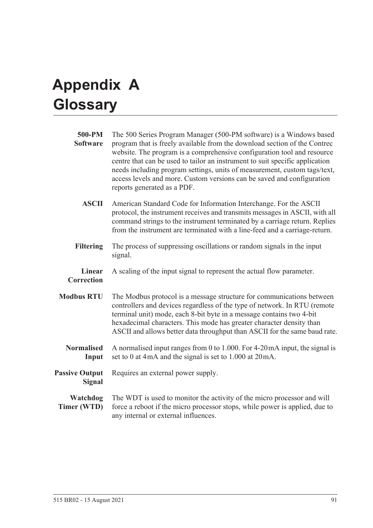# **Appendix A Glossary**

| 500-PM<br><b>Software</b>              | The 500 Series Program Manager (500-PM software) is a Windows based<br>program that is freely available from the download section of the Contrec<br>website. The program is a comprehensive configuration tool and resource<br>centre that can be used to tailor an instrument to suit specific application<br>needs including program settings, units of measurement, custom tags/text,<br>access levels and more. Custom versions can be saved and configuration<br>reports generated as a PDF. |
|----------------------------------------|---------------------------------------------------------------------------------------------------------------------------------------------------------------------------------------------------------------------------------------------------------------------------------------------------------------------------------------------------------------------------------------------------------------------------------------------------------------------------------------------------|
| <b>ASCII</b>                           | American Standard Code for Information Interchange. For the ASCII<br>protocol, the instrument receives and transmits messages in ASCII, with all<br>command strings to the instrument terminated by a carriage return. Replies<br>from the instrument are terminated with a line-feed and a carriage-return.                                                                                                                                                                                      |
| <b>Filtering</b>                       | The process of suppressing oscillations or random signals in the input<br>signal.                                                                                                                                                                                                                                                                                                                                                                                                                 |
| Linear<br>Correction                   | A scaling of the input signal to represent the actual flow parameter.                                                                                                                                                                                                                                                                                                                                                                                                                             |
| <b>Modbus RTU</b>                      | The Modbus protocol is a message structure for communications between<br>controllers and devices regardless of the type of network. In RTU (remote<br>terminal unit) mode, each 8-bit byte in a message contains two 4-bit<br>hexadecimal characters. This mode has greater character density than<br>ASCII and allows better data throughput than ASCII for the same baud rate.                                                                                                                  |
| <b>Normalised</b><br>Input             | A normalised input ranges from 0 to 1.000. For 4-20 mA input, the signal is<br>set to 0 at 4mA and the signal is set to 1.000 at 20mA.                                                                                                                                                                                                                                                                                                                                                            |
| <b>Passive Output</b><br><b>Signal</b> | Requires an external power supply.                                                                                                                                                                                                                                                                                                                                                                                                                                                                |
| Watchdog<br>Timer (WTD)                | The WDT is used to monitor the activity of the micro processor and will<br>force a reboot if the micro processor stops, while power is applied, due to<br>any internal or external influences.                                                                                                                                                                                                                                                                                                    |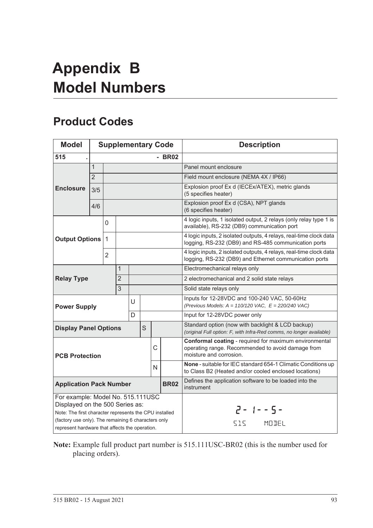# **Appendix B Model Numbers**

## **Product Codes**

| <b>Model</b>                                                                                                                                                                                                                            | <b>Supplementary Code</b> |                |                |   |                                                                      | <b>Description</b>                           |                                                                                                                                        |                                                                                                                              |
|-----------------------------------------------------------------------------------------------------------------------------------------------------------------------------------------------------------------------------------------|---------------------------|----------------|----------------|---|----------------------------------------------------------------------|----------------------------------------------|----------------------------------------------------------------------------------------------------------------------------------------|------------------------------------------------------------------------------------------------------------------------------|
| 515                                                                                                                                                                                                                                     |                           |                |                |   |                                                                      |                                              | - BR02                                                                                                                                 |                                                                                                                              |
|                                                                                                                                                                                                                                         | $\mathbf{1}$              |                |                |   |                                                                      |                                              |                                                                                                                                        | Panel mount enclosure                                                                                                        |
|                                                                                                                                                                                                                                         | $\overline{2}$            |                |                |   |                                                                      |                                              |                                                                                                                                        | Field mount enclosure (NEMA 4X / IP66)                                                                                       |
| <b>Enclosure</b>                                                                                                                                                                                                                        | 3/5                       |                |                |   |                                                                      |                                              |                                                                                                                                        | Explosion proof Ex d (IECEx/ATEX), metric glands<br>(5 specifies heater)                                                     |
|                                                                                                                                                                                                                                         | 4/6                       |                |                |   |                                                                      |                                              |                                                                                                                                        | Explosion proof Ex d (CSA), NPT glands<br>(6 specifies heater)                                                               |
|                                                                                                                                                                                                                                         |                           | 0              |                |   |                                                                      |                                              |                                                                                                                                        | 4 logic inputs, 1 isolated output, 2 relays (only relay type 1 is<br>available), RS-232 (DB9) communication port             |
| <b>Output Options</b>                                                                                                                                                                                                                   |                           | $\mathbf{1}$   |                |   |                                                                      |                                              |                                                                                                                                        | 4 logic inputs, 2 isolated outputs, 4 relays, real-time clock data<br>logging, RS-232 (DB9) and RS-485 communication ports   |
|                                                                                                                                                                                                                                         |                           | $\overline{2}$ |                |   |                                                                      |                                              |                                                                                                                                        | 4 logic inputs, 2 isolated outputs, 4 relays, real-time clock data<br>logging, RS-232 (DB9) and Ethernet communication ports |
|                                                                                                                                                                                                                                         |                           |                | $\mathbf{1}$   |   |                                                                      |                                              |                                                                                                                                        | Electromechanical relays only                                                                                                |
| <b>Relay Type</b>                                                                                                                                                                                                                       | $\overline{2}$            |                |                |   |                                                                      | 2 electromechanical and 2 solid state relays |                                                                                                                                        |                                                                                                                              |
|                                                                                                                                                                                                                                         |                           |                | $\overline{3}$ |   |                                                                      |                                              |                                                                                                                                        | Solid state relays only                                                                                                      |
| <b>Power Supply</b>                                                                                                                                                                                                                     |                           |                |                | U |                                                                      |                                              |                                                                                                                                        | Inputs for 12-28VDC and 100-240 VAC, 50-60Hz<br>(Previous Models: $A = 110/120$ VAC, $E = 220/240$ VAC)                      |
|                                                                                                                                                                                                                                         |                           |                |                | D |                                                                      |                                              |                                                                                                                                        | Input for 12-28VDC power only                                                                                                |
| <b>Display Panel Options</b>                                                                                                                                                                                                            |                           |                |                |   | S                                                                    |                                              |                                                                                                                                        | Standard option (now with backlight & LCD backup)<br>(original Full option: F, with Infra-Red comms, no longer available)    |
| C<br><b>PCB Protection</b>                                                                                                                                                                                                              |                           |                |                |   |                                                                      |                                              | Conformal coating - required for maximum environmental<br>operating range. Recommended to avoid damage from<br>moisture and corrosion. |                                                                                                                              |
| N                                                                                                                                                                                                                                       |                           |                |                |   |                                                                      |                                              |                                                                                                                                        | None - suitable for IEC standard 654-1 Climatic Conditions up<br>to Class B2 (Heated and/or cooled enclosed locations)       |
| <b>BR02</b><br><b>Application Pack Number</b>                                                                                                                                                                                           |                           |                |                |   | Defines the application software to be loaded into the<br>instrument |                                              |                                                                                                                                        |                                                                                                                              |
| For example: Model No. 515.111USC<br>Displayed on the 500 Series as:<br>Note: The first character represents the CPU installed<br>(factory use only). The remaining 6 characters only<br>represent hardware that affects the operation. |                           |                |                |   |                                                                      |                                              | $2 - 1 - - 5 -$<br>515<br>MODEL                                                                                                        |                                                                                                                              |

**Note:** Example full product part number is 515.111USC-BR02 (this is the number used for placing orders).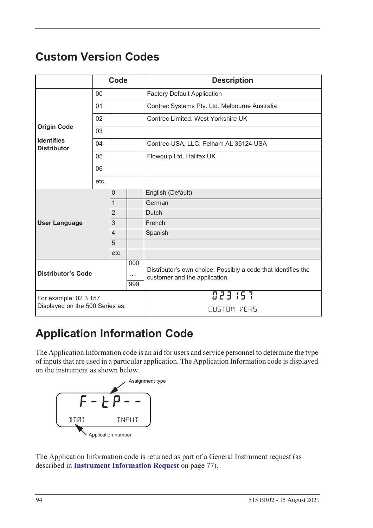# **Custom Version Codes**

|                                              | Code |                                                                                                | <b>Description</b>                            |  |  |
|----------------------------------------------|------|------------------------------------------------------------------------------------------------|-----------------------------------------------|--|--|
|                                              | 00   |                                                                                                | <b>Factory Default Application</b>            |  |  |
|                                              | 01   |                                                                                                | Contrec Systems Pty. Ltd. Melbourne Australia |  |  |
|                                              | 02   |                                                                                                | Contrec Limited, West Yorkshire UK            |  |  |
| <b>Origin Code</b>                           | 03   |                                                                                                |                                               |  |  |
| <b>Identifies</b><br><b>Distributor</b>      | 04   |                                                                                                | Contrec-USA, LLC. Pelham AL 35124 USA         |  |  |
|                                              | 05   |                                                                                                | Flowquip Ltd. Halifax UK                      |  |  |
|                                              | 06   |                                                                                                |                                               |  |  |
|                                              | etc. |                                                                                                |                                               |  |  |
|                                              |      | $\overline{0}$                                                                                 | English (Default)                             |  |  |
|                                              |      | $\mathbf{1}$                                                                                   | German                                        |  |  |
|                                              |      | $\overline{2}$                                                                                 | Dutch                                         |  |  |
| <b>User Language</b>                         |      | 3                                                                                              | French                                        |  |  |
|                                              |      | $\overline{4}$                                                                                 | Spanish                                       |  |  |
|                                              |      | $\overline{5}$                                                                                 |                                               |  |  |
|                                              |      | etc.                                                                                           |                                               |  |  |
| 000<br><b>Distributor's Code</b><br>$\cdots$ |      |                                                                                                |                                               |  |  |
|                                              |      | Distributor's own choice. Possibly a code that identifies the<br>customer and the application. |                                               |  |  |
| 999                                          |      |                                                                                                |                                               |  |  |
| For example: 02 3 157                        |      |                                                                                                | 023157                                        |  |  |
| Displayed on the 500 Series as:              |      | <b>CUSTOM VERS</b>                                                                             |                                               |  |  |

# **Application Information Code**

The Application Information code is an aid for users and service personnel to determine the type of inputs that are used in a particular application. The Application Information code is displayed on the instrument as shown below.



The Application Information code is returned as part of a General Instrument request (as described in **[Instrument Information Request](#page-86-0)** on page 77).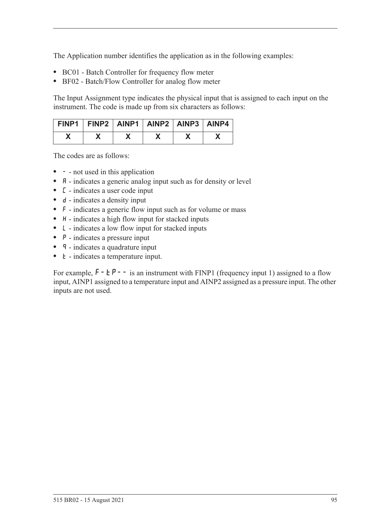The Application number identifies the application as in the following examples:

- **•** BC01 Batch Controller for frequency flow meter
- **•** BF02 Batch/Flow Controller for analog flow meter

The Input Assignment type indicates the physical input that is assigned to each input on the instrument. The code is made up from six characters as follows:

| FINP1   FINP2   AINP1   AINP2   AINP3   AINP4 |  |  |  |
|-----------------------------------------------|--|--|--|
|                                               |  |  |  |

The codes are as follows:

- - not used in this application
- **A** indicates a generic analog input such as for density or level
- **•** C indicates a user code input
- d indicates a density input
- **•** F indicates a generic flow input such as for volume or mass
- H indicates a high flow input for stacked inputs
- **•** L indicates a low flow input for stacked inputs
- **•** P indicates a pressure input
- **q** indicates a quadrature input
- *k* indicates a temperature input.

For example,  $F - tP - -$  is an instrument with FINP1 (frequency input 1) assigned to a flow input, AINP1 assigned to a temperature input and AINP2 assigned as a pressure input. The other inputs are not used.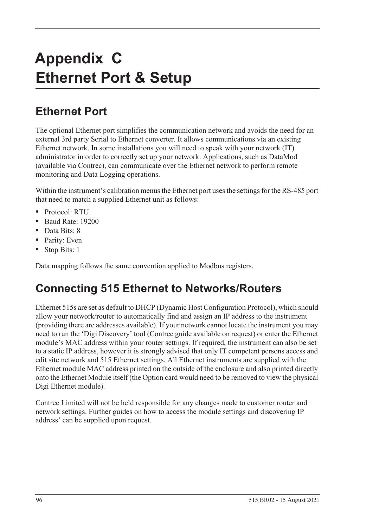# <span id="page-105-0"></span>**Appendix C Ethernet Port & Setup**

# **Ethernet Port**

The optional Ethernet port simplifies the communication network and avoids the need for an external 3rd party Serial to Ethernet converter. It allows communications via an existing Ethernet network. In some installations you will need to speak with your network (IT) administrator in order to correctly set up your network. Applications, such as DataMod (available via Contrec), can communicate over the Ethernet network to perform remote monitoring and Data Logging operations.

Within the instrument's calibration menus the Ethernet port uses the settings for the RS-485 port that need to match a supplied Ethernet unit as follows:

- **•** Protocol: RTU
- **•** Baud Rate: 19200
- **•** Data Bits: 8
- **•** Parity: Even
- **•** Stop Bits: 1

Data mapping follows the same convention applied to Modbus registers.

# **Connecting 515 Ethernet to Networks/Routers**

Ethernet 515s are set as default to DHCP (Dynamic Host Configuration Protocol), which should allow your network/router to automatically find and assign an IP address to the instrument (providing there are addresses available). If your network cannot locate the instrument you may need to run the 'Digi Discovery' tool (Contrec guide available on request) or enter the Ethernet module's MAC address within your router settings. If required, the instrument can also be set to a static IP address, however it is strongly advised that only IT competent persons access and edit site network and 515 Ethernet settings. All Ethernet instruments are supplied with the Ethernet module MAC address printed on the outside of the enclosure and also printed directly onto the Ethernet Module itself (the Option card would need to be removed to view the physical Digi Ethernet module).

Contrec Limited will not be held responsible for any changes made to customer router and network settings. Further guides on how to access the module settings and discovering IP address' can be supplied upon request.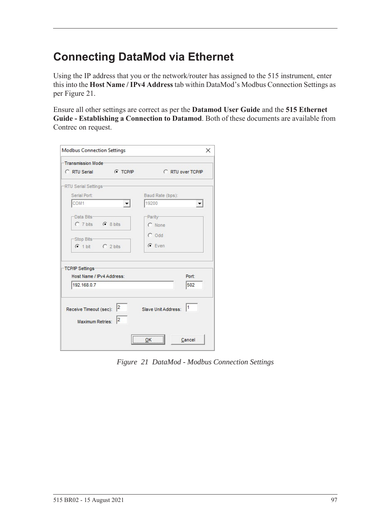# **Connecting DataMod via Ethernet**

Using the IP address that you or the network/router has assigned to the 515 instrument, enter this into the **Host Name / IPv4 Address** tab within DataMod's Modbus Connection Settings as per [Figure 21.](#page-106-0)

Ensure all other settings are correct as per the **Datamod User Guide** and the **515 Ethernet Guide - Establishing a Connection to Datamod**. Both of these documents are available from Contrec on request.

| Transmission Mode-        |                  |                     |                   |
|---------------------------|------------------|---------------------|-------------------|
| C RTU Serial              | <b>CONTINUES</b> |                     | C RTU over TCP/IP |
| -RTU Serial Settings-     |                  |                     |                   |
| Serial Port:              |                  | Baud Rate (bps):    |                   |
| COM1                      |                  | 19200               |                   |
| -Data Bits-               |                  | -Parity-            |                   |
| C 7 bits C 8 bits         |                  | C None              |                   |
|                           |                  | $C$ Odd             |                   |
| -Stop Bits-               |                  |                     |                   |
| $C$ 1 bit $C$ 2 bits      |                  | $G$ Even            |                   |
| <b>TCP/IP Settings</b>    |                  |                     |                   |
| Host Name / IPv4 Address: |                  |                     | Port:             |
| 192.168.0.7               |                  |                     | 502               |
|                           |                  |                     |                   |
|                           |                  |                     |                   |
| Receive Timeout (sec): 2  |                  | Slave Unit Address: | 1                 |
| <b>Maximum Retries:</b>   | 2                |                     |                   |
|                           |                  | ,                   |                   |
|                           |                  | ок                  | Cancel            |

<span id="page-106-0"></span>*Figure 21 DataMod - Modbus Connection Settings*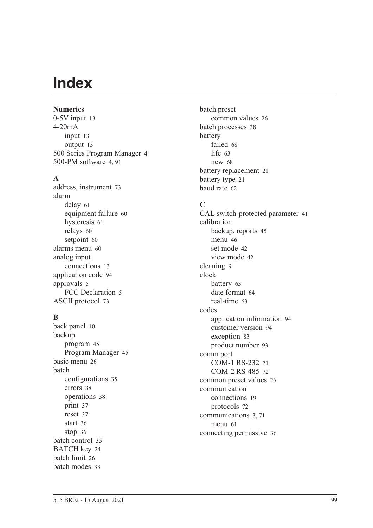# **Index**

#### **Numerics**

0-5V inpu[t 13](#page-22-0) 4-20mA input [13](#page-22-1) output [15](#page-24-0) 500 Series Program Manage[r 4](#page-13-0) 500-PM software [4,](#page-13-0) [91](#page-100-0)

# **A**

address, instrumen[t 73](#page-82-0) alarm dela[y 61](#page-70-0) equipment failur[e 60](#page-69-0) hysteresi[s 61](#page-70-1) relays [60](#page-69-1) setpoin[t 60](#page-69-2) alarms menu [60](#page-69-3) analog input connection[s 13](#page-22-2) application cod[e 94](#page-103-0) approvals [5](#page-14-0) FCC Declaration [5](#page-14-1) ASCII protoco[l 73](#page-82-1)

# **B**

back panel [10](#page-19-0) backup program [45](#page-54-0) Program Manage[r 45](#page-54-1) basic men[u 26](#page-35-0) batch configuration[s 35](#page-44-0) error[s 38](#page-47-0) operation[s 38](#page-47-1) print [37](#page-46-0) reset [37](#page-46-1) start [36](#page-45-0) sto[p 36](#page-45-1) batch contro[l 35](#page-44-1) BATCH ke[y 24](#page-33-0) batch limit [26](#page-35-1) batch mode[s 33](#page-42-0)

batch preset common values [26](#page-35-2) batch processes [38](#page-47-1) battery faile[d 68](#page-77-0) life [63](#page-72-0) new [68](#page-77-0) battery replacement [21](#page-30-0) battery type [21](#page-30-1) baud rat[e 62](#page-71-0)

# **C**

CAL switch-protected parameter [41](#page-50-0) calibration backup, reports [45](#page-54-0) menu [46](#page-55-0) set mode [42](#page-51-0) view mode [42](#page-51-1) cleaning [9](#page-18-0) clock batter[y 63](#page-72-0) date format [64](#page-73-0) real-tim[e 63](#page-72-1) codes application information [94](#page-103-0) customer versio[n 94](#page-103-1) exception [83](#page-92-0) product numbe[r 93](#page-102-0) comm port COM-1 RS-232 [71](#page-80-0) COM-2 RS-485 [72](#page-81-0) common preset value[s 26](#page-35-2) communication connection[s 19](#page-28-0) protocols [72](#page-81-1) communication[s 3,](#page-12-0) [71](#page-80-1) menu [61](#page-70-2) connecting permissive [36](#page-45-2)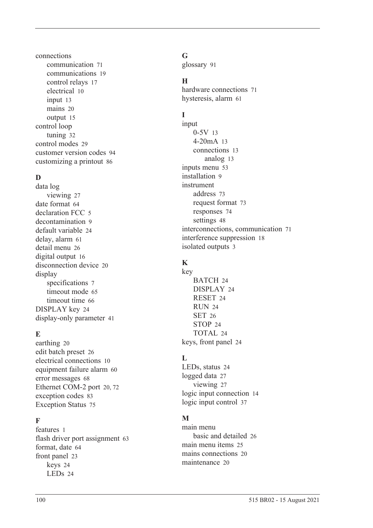connections communicatio[n 71](#page-80-2) communication[s 19](#page-28-0) control relay[s 17](#page-26-0) electrical [10](#page-19-1) inpu[t 13](#page-22-3) main[s 20](#page-29-0) outpu[t 15](#page-24-1) control loop tunin[g 32](#page-41-0) control mode[s 29](#page-38-0) customer version code[s 94](#page-103-1) customizing a printout [86](#page-95-0)

## **D**

data log viewin[g 27](#page-36-0) date format [64](#page-73-0) declaration FCC [5](#page-14-1) decontamination [9](#page-18-0) default variable [24](#page-33-1) delay, alar[m 61](#page-70-0) detail men[u 26](#page-35-0) digital outpu[t 16](#page-25-0) disconnection device [20](#page-29-1) display specifications [7](#page-16-0) timeout mod[e 65](#page-74-0) timeout time [66](#page-75-0) DISPLAY key [24](#page-33-2) display-only parameter [41](#page-50-1)

## **E**

earthin[g 20](#page-29-2) edit batch prese[t 26](#page-35-3) electrical connections [10](#page-19-1) equipment failure alarm [60](#page-69-0) error message[s 68](#page-77-1) Ethernet COM-2 por[t 20,](#page-29-3) [72](#page-81-2) exception codes [83](#page-92-0) Exception Status [75](#page-84-0)

## **F**

features [1](#page-10-0) flash driver port assignmen[t 63](#page-72-2) format, date [64](#page-73-0) front pane[l 23](#page-32-0) keys [24](#page-33-3) LEDs [24](#page-33-4)

#### **G**

glossary [91](#page-100-1)

#### **H**

hardware connections [71](#page-80-2) hysteresis, alar[m 61](#page-70-1)

# **I**

input 0-5[V 13](#page-22-0) 4-20mA [13](#page-22-1) connections [13](#page-22-3) analog [13](#page-22-2) inputs menu [53](#page-62-0) installation [9](#page-18-1) instrument address [73](#page-82-0) request forma[t 73](#page-82-2) response[s 74](#page-83-0) setting[s 48](#page-57-0) interconnections, communication [71](#page-80-2) interference suppression [18](#page-27-0) isolated output[s 3](#page-12-1)

## **K**

key BATC[H 24](#page-33-0) DISPLA[Y 24](#page-33-2) RESE[T 24](#page-33-5) RUN [24](#page-33-6) SET [26](#page-35-4) STOP [24](#page-33-7) TOTAL [24](#page-33-8) keys, front panel [24](#page-33-3)

## **L**

LEDs, status [24](#page-33-4) logged dat[a 27](#page-36-0) viewin[g 27](#page-36-1) logic input connection [14](#page-23-0) logic input contro[l 37](#page-46-2)

## **M**

main menu basic and detailed [26](#page-35-0) main menu item[s 25](#page-34-0) mains connections [20](#page-29-0) maintenanc[e 20](#page-29-4)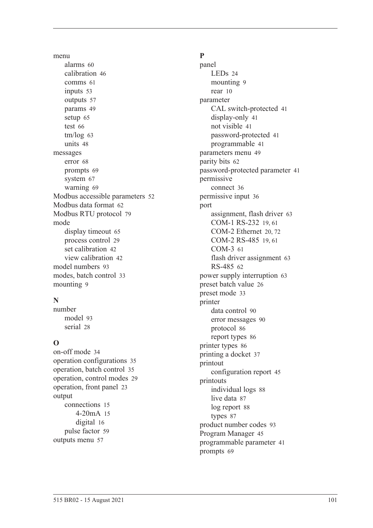menu alarm[s 60](#page-69-3) calibratio[n 46](#page-55-0) comms [61](#page-70-2) input[s 53](#page-62-0) output[s 57](#page-66-0) params [49](#page-58-0) setu[p 65](#page-74-1) test [66](#page-75-1) tm/lo[g 63](#page-72-3) unit[s 48](#page-57-1) messages erro[r 68](#page-77-1) prompt[s 69](#page-78-0) syste[m 67](#page-76-0) warnin[g 69](#page-78-1) Modbus accessible parameters [52](#page-61-0) Modbus data forma[t 62](#page-71-1) Modbus RTU protoco[l 79](#page-88-0) mode display timeou[t 65](#page-74-0) process contro[l 29](#page-38-0) set calibration [42](#page-51-0) view calibration [42](#page-51-1) model number[s 93](#page-102-1) modes, batch contro[l 33](#page-42-0) mountin[g 9](#page-18-2)

## **N**

number mode[l 93](#page-102-1) seria[l 28](#page-37-0)

## **O**

on-off mode [34](#page-43-0) operation configurations [35](#page-44-0) operation, batch contro[l 35](#page-44-1) operation, control modes [29](#page-38-0) operation, front panel [23](#page-32-0) output connection[s 15](#page-24-1) 4-20m[A 15](#page-24-0) digital [16](#page-25-0) pulse facto[r 59](#page-68-0) outputs men[u 57](#page-66-0)

# **P**

panel LEDs [24](#page-33-4) mounting [9](#page-18-2) rear [10](#page-19-0) parameter CAL switch-protected [41](#page-50-0) display-only [41](#page-50-1) not visibl[e 41](#page-50-2) password-protected [41](#page-50-3) programmable [41](#page-50-4) parameters men[u 49](#page-58-0) parity bit[s 62](#page-71-2) password-protected parameter [41](#page-50-3) permissive connec[t 36](#page-45-2) permissive input [36](#page-45-3) port assignment, flash driver [63](#page-72-2) COM-1 RS-232 [19,](#page-28-1) [61](#page-70-3) COM-2 Ethernet [20,](#page-29-3) [72](#page-81-2) COM-2 RS-485 [19,](#page-28-2) [61](#page-70-4) COM-[3 61](#page-70-5) flash driver assignment [63](#page-72-2) RS-485 [62](#page-71-3) power supply interruption [63](#page-72-0) preset batch value [26](#page-35-3) preset mod[e 33](#page-42-1) printer data control [90](#page-99-0) error messages [90](#page-99-1) protocol [86](#page-95-1) report types [86](#page-95-2) printer type[s 86](#page-95-3) printing a docke[t 37](#page-46-0) printout configuration repor[t 45](#page-54-2) printouts individual logs [88](#page-97-0) live data [87](#page-96-0) log report [88](#page-97-1) type[s 87](#page-96-1) product number codes [93](#page-102-0) Program Manager [45](#page-54-1) programmable parameter [41](#page-50-4) prompt[s 69](#page-78-0)